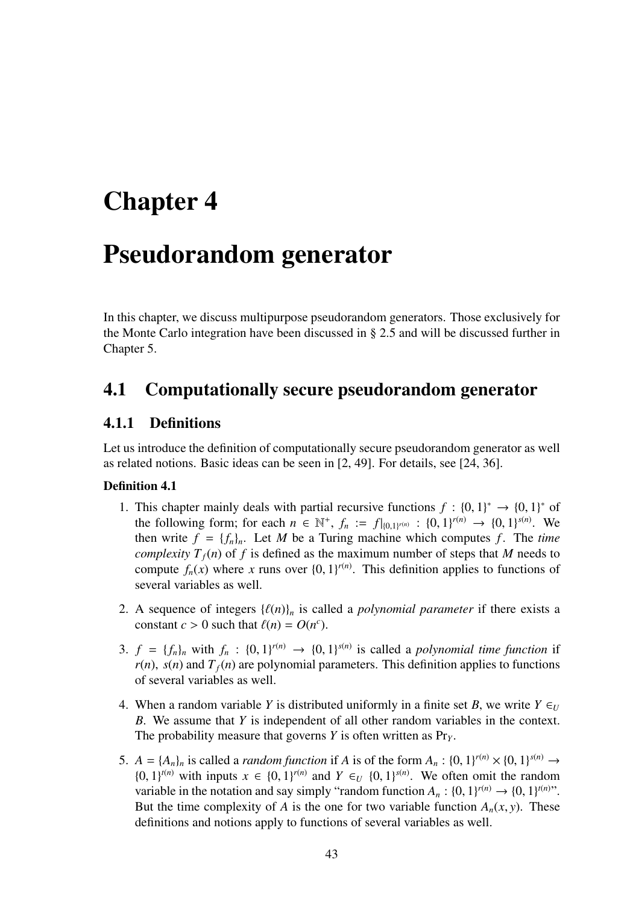# Chapter 4

# Pseudorandom generator

In this chapter, we discuss multipurpose pseudorandom generators. Those exclusively for the Monte Carlo integration have been discussed in § 2.5 and will be discussed further in Chapter 5.

# 4.1 Computationally secure pseudorandom generator

# 4.1.1 Definitions

Let us introduce the definition of computationally secure pseudorandom generator as well as related notions. Basic ideas can be seen in [2, 49]. For details, see [24, 36].

### Definition 4.1

- 1. This chapter mainly deals with partial recursive functions  $f : \{0,1\}^* \to \{0,1\}^*$  of the following form; for each  $n \in \mathbb{N}^+$ ,  $f_n := f|_{\{0,1\}^{r(n)}} : \{0,1\}^{r(n)} \to \{0,1\}^{s(n)}$ . We then write  $f = \{f_n\}_n$ . Let M be a Turing machine which computes f. The *time complexity*  $T_f(n)$  of f is defined as the maximum number of steps that M needs to compute  $f_n(x)$  where x runs over  $\{0, 1\}^{r(n)}$ . This definition applies to functions of several variables as well.
- 2. A sequence of integers  $\{\ell(n)\}_n$  is called a *polynomial parameter* if there exists a constant *c* > 0 such that  $\ell(n) = O(n^c)$ .
- 3.  $f = \{f_n\}_n$  with  $f_n : \{0, 1\}^{r(n)} \rightarrow \{0, 1\}^{s(n)}$  is called a *polynomial time function* if  $r(n)$ ,  $s(n)$  and  $T_f(n)$  are polynomial parameters. This definition applies to functions of several variables as well.
- 4. When a random variable *Y* is distributed uniformly in a finite set *B*, we write  $Y \in U$ *B*. We assume that *Y* is independent of all other random variables in the context. The probability measure that governs *Y* is often written as Pr*<sup>Y</sup>* .
- 5.  $A = \{A_n\}_n$  is called a *random function* if *A* is of the form  $A_n : \{0, 1\}^{r(n)} \times \{0, 1\}^{s(n)} \rightarrow$ {0, 1}<sup>*t*(*n*)</sup> with inputs *x* ∈ {0, 1}<sup>*r*(*n*)</sup> and *Y* ∈<sub>*U*</sub> {0, 1}<sup>*s*(*n*)</sub>. We often omit the random</sup> variable in the notation and say simply "random function  $A_n$ :  $\{0, 1\}^{r(n)} \rightarrow \{0, 1\}^{r(n)}$ ". But the time complexity of *A* is the one for two variable function  $A_n(x, y)$ . These definitions and notions apply to functions of several variables as well.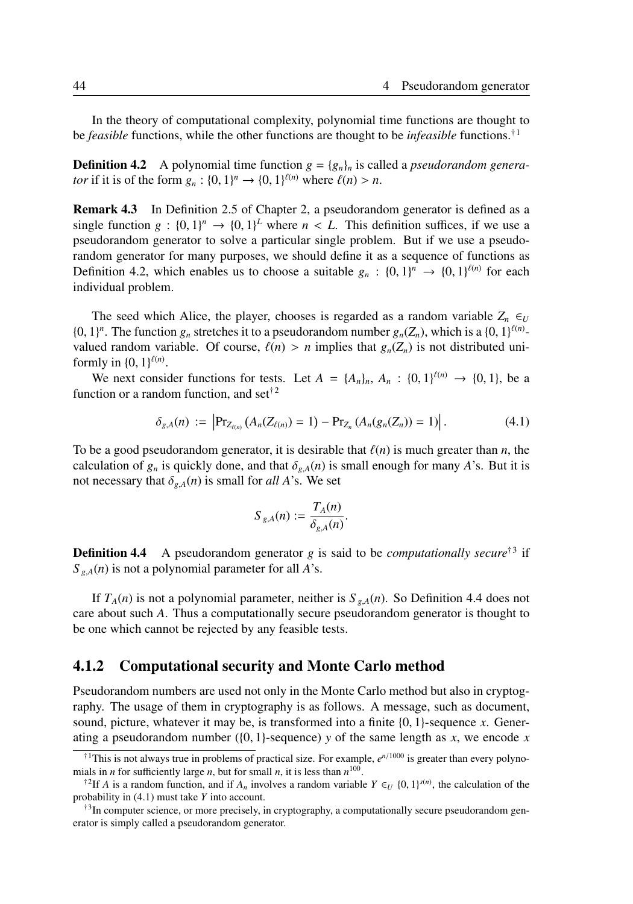In the theory of computational complexity, polynomial time functions are thought to be *feasible* functions, while the other functions are thought to be *infeasible* functions.†<sup>1</sup>

**Definition 4.2** A polynomial time function  $g = \{g_n\}_n$  is called a *pseudorandom generator* if it is of the form  $g_n : \{0, 1\}^n \to \{0, 1\}^{\ell(n)}$  where  $\ell(n) > n$ .

Remark 4.3 In Definition 2.5 of Chapter 2, a pseudorandom generator is defined as a single function  $g : \{0, 1\}^n \to \{0, 1\}^L$  where  $n < L$ . This definition suffices, if we use a pseudorandom generator to solve a particular single problem. But if we use a pseudorandom generator for many purposes, we should define it as a sequence of functions as Definition 4.2, which enables us to choose a suitable  $g_n : \{0,1\}^n \to \{0,1\}^{\ell(n)}$  for each individual problem.

The seed which Alice, the player, chooses is regarded as a random variable  $Z_n \in U$  $\{0, 1\}^n$ . The function  $g_n$  stretches it to a pseudorandom number  $g_n(Z_n)$ , which is a  $\{0, 1\}^{\ell(n)}$ valued random variable. Of course,  $\ell(n) > n$  implies that  $g_n(Z_n)$  is not distributed uniformly in  $\{0, 1\}^{\ell(n)}$ .

We next consider functions for tests. Let  $A = \{A_n\}_n$ ,  $A_n : \{0, 1\}^{\ell(n)} \to \{0, 1\}$ , be a function or a random function, and set<sup> $\dagger$ 2</sup>

$$
\delta_{g,A}(n) := \left| \Pr_{Z_{\ell(n)}} (A_n(Z_{\ell(n)}) = 1) - \Pr_{Z_n} (A_n(g_n(Z_n)) = 1) \right|.
$$
 (4.1)

To be a good pseudorandom generator, it is desirable that  $\ell(n)$  is much greater than *n*, the calculation of  $g_n$  is quickly done, and that  $\delta_{g,A}(n)$  is small enough for many *A*'s. But it is not necessary that  $\delta_{g,A}(n)$  is small for *all A*'s. We set

$$
S_{g,A}(n) := \frac{T_A(n)}{\delta_{g,A}(n)}.
$$

**Definition 4.4** A pseudorandom generator *g* is said to be *computationally secure*<sup>†3</sup> if  $S_{g,A}(n)$  is not a polynomial parameter for all *A*'s.

If  $T_A(n)$  is not a polynomial parameter, neither is  $S_{g,A}(n)$ . So Definition 4.4 does not care about such *A*. Thus a computationally secure pseudorandom generator is thought to be one which cannot be rejected by any feasible tests.

### 4.1.2 Computational security and Monte Carlo method

Pseudorandom numbers are used not only in the Monte Carlo method but also in cryptography. The usage of them in cryptography is as follows. A message, such as document, sound, picture, whatever it may be, is transformed into a finite {0, 1}-sequence *x*. Generating a pseudorandom number ( $\{0, 1\}$ -sequence) *y* of the same length as *x*, we encode *x* 

<sup>&</sup>lt;sup>†1</sup>This is not always true in problems of practical size. For example,  $e^{n/1000}$  is greater than every polynomials in *n* for sufficiently large *n*, but for small *n*, it is less than  $n^{100}$ .

<sup>&</sup>lt;sup>†2</sup>If *A* is a random function, and if  $A_n$  involves a random variable  $Y \in U \{0, 1\}^{s(n)}$ , the calculation of the probability in (4.1) must take *Y* into account.

<sup>&</sup>lt;sup>†3</sup>In computer science, or more precisely, in cryptography, a computationally secure pseudorandom generator is simply called a pseudorandom generator.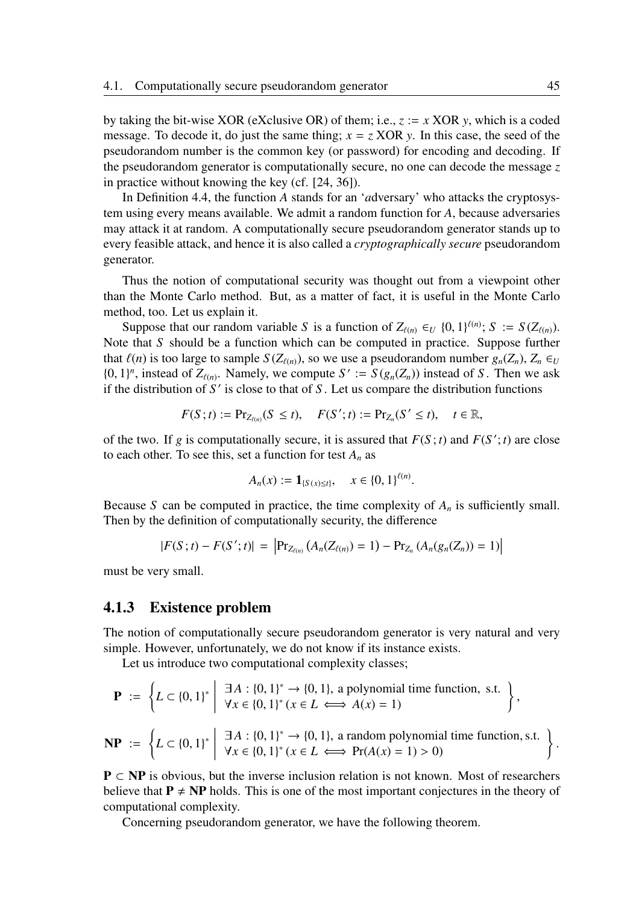by taking the bit-wise XOR (eXclusive OR) of them; i.e., *z* := *x* XOR *y*, which is a coded message. To decode it, do just the same thing;  $x = z$  XOR y. In this case, the seed of the pseudorandom number is the common key (or password) for encoding and decoding. If the pseudorandom generator is computationally secure, no one can decode the message *z* in practice without knowing the key (cf. [24, 36]).

In Definition 4.4, the function *A* stands for an '*a*dversary' who attacks the cryptosystem using every means available. We admit a random function for *A*, because adversaries may attack it at random. A computationally secure pseudorandom generator stands up to every feasible attack, and hence it is also called a *cryptographically secure* pseudorandom generator.

Thus the notion of computational security was thought out from a viewpoint other than the Monte Carlo method. But, as a matter of fact, it is useful in the Monte Carlo method, too. Let us explain it.

Suppose that our random variable *S* is a function of  $Z_{\ell(n)} \in U \{0, 1\}^{\ell(n)}$ ;  $S := S(Z_{\ell(n)})$ . Note that *S* should be a function which can be computed in practice. Suppose further that  $\ell(n)$  is too large to sample  $S(Z_{\ell(n)})$ , so we use a pseudorandom number  $g_n(Z_n)$ ,  $Z_n \in U$  $\{0, 1\}^n$ , instead of  $Z_{\ell(n)}$ . Namely, we compute  $S' := S(g_n(Z_n))$  instead of S. Then we ask if the distribution of *S* ′ is close to that of *S* . Let us compare the distribution functions

$$
F(S;t) := \Pr_{Z_{\ell(n)}}(S \leq t), \quad F(S';t) := \Pr_{Z_n}(S' \leq t), \quad t \in \mathbb{R},
$$

of the two. If *g* is computationally secure, it is assured that  $F(S; t)$  and  $F(S'; t)$  are close to each other. To see this, set a function for test  $A_n$  as

$$
A_n(x) := \mathbf{1}_{\{S(x) \le t\}}, \quad x \in \{0,1\}^{\ell(n)}.
$$

Because *S* can be computed in practice, the time complexity of  $A_n$  is sufficiently small. Then by the definition of computationally security, the difference

$$
|F(S;t) - F(S';t)| = |Pr_{Z_{\ell(n)}}(A_n(Z_{\ell(n)}) = 1) - Pr_{Z_n}(A_n(g_n(Z_n)) = 1)|
$$

must be very small.

#### 4.1.3 Existence problem

The notion of computationally secure pseudorandom generator is very natural and very simple. However, unfortunately, we do not know if its instance exists.

Let us introduce two computational complexity classes;

$$
\mathbf{P} := \left\{ L \subset \{0,1\}^* \; \middle| \; \begin{array}{c} \exists A : \{0,1\}^* \to \{0,1\}, \text{ a polynomial time function, s.t.} \\ \forall x \in \{0,1\}^* \ (x \in L \iff A(x) = 1) \end{array} \right\},
$$

$$
\mathbf{NP} := \left\{ L \subset \{0,1\}^* \; \middle| \; \begin{array}{l} \exists A : \{0,1\}^* \to \{0,1\}, \text{ a random polynomial time function, s.t.} \\ \forall x \in \{0,1\}^* \ (x \in L \iff \Pr(A(x) = 1) > 0) \end{array} \right\}.
$$

 $P \subset NP$  is obvious, but the inverse inclusion relation is not known. Most of researchers believe that  $P \neq NP$  holds. This is one of the most important conjectures in the theory of computational complexity.

Concerning pseudorandom generator, we have the following theorem.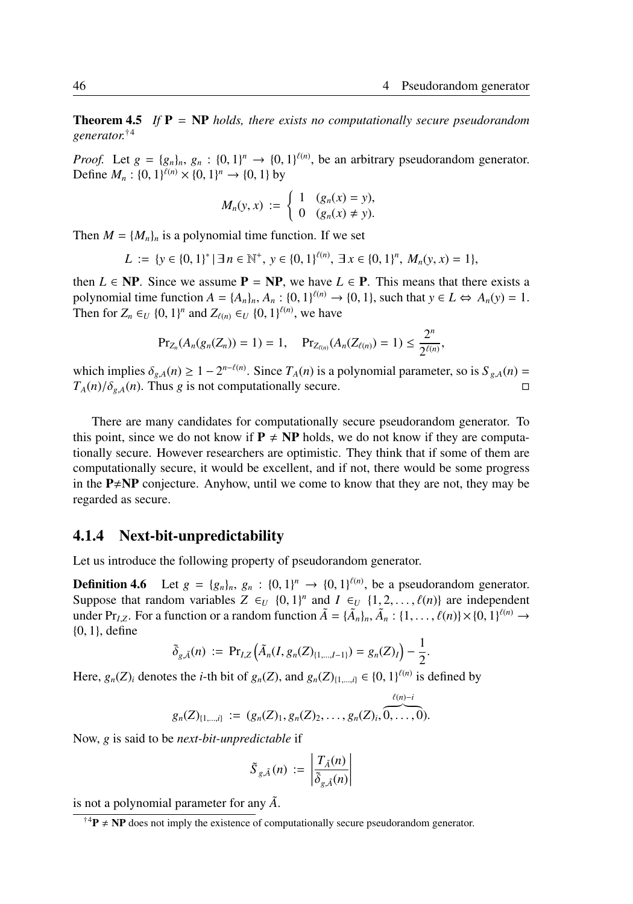**Theorem 4.5** *If*  $P = NP$  *holds, there exists no computationally secure pseudorandom generator.*†<sup>4</sup>

*Proof.* Let  $g = \{g_n\}_n, g_n : \{0, 1\}^n \to \{0, 1\}^{\ell(n)}$ , be an arbitrary pseudorandom generator. Define  $M_n$ :  $\{0, 1\}^{\ell(n)} \times \{0, 1\}^n \to \{0, 1\}$  by

$$
M_n(y, x) := \begin{cases} 1 & (g_n(x) = y), \\ 0 & (g_n(x) \neq y). \end{cases}
$$

Then  $M = \{M_n\}_n$  is a polynomial time function. If we set

$$
L := \{ y \in \{0,1\}^* \mid \exists n \in \mathbb{N}^+, y \in \{0,1\}^{\ell(n)}, \exists x \in \{0,1\}^n, M_n(y,x) = 1 \},\
$$

then  $L \in NP$ . Since we assume  $P = NP$ , we have  $L \in P$ . This means that there exists a polynomial time function  $A = \{A_n\}_n$ ,  $A_n : \{0, 1\}^{\ell(n)} \to \{0, 1\}$ , such that  $y \in L \Leftrightarrow A_n(y) = 1$ . Then for  $Z_n \in U \{0, 1\}^n$  and  $Z_{\ell(n)} \in U \{0, 1\}^{\ell(n)}$ , we have

$$
\Pr_{Z_n}(A_n(g_n(Z_n))=1)=1, \quad \Pr_{Z_{\ell(n)}}(A_n(Z_{\ell(n)})=1)\leq \frac{2^n}{2^{\ell(n)}},
$$

which implies  $\delta_{g,A}(n) \geq 1 - 2^{n-\ell(n)}$ . Since  $T_A(n)$  is a polynomial parameter, so is  $S_{g,A}(n) =$  $T_A(n)/\delta_{g,A}(n)$ . Thus *g* is not computationally secure. □

There are many candidates for computationally secure pseudorandom generator. To this point, since we do not know if  $P \neq NP$  holds, we do not know if they are computationally secure. However researchers are optimistic. They think that if some of them are computationally secure, it would be excellent, and if not, there would be some progress in the  $P \neq NP$  conjecture. Anyhow, until we come to know that they are not, they may be regarded as secure.

### 4.1.4 Next-bit-unpredictability

Let us introduce the following property of pseudorandom generator.

**Definition 4.6** Let  $g = \{g_n\}_n, g_n : \{0, 1\}^n \to \{0, 1\}^{\ell(n)}$ , be a pseudorandom generator. Suppose that random variables  $Z \in U \{0, 1\}^n$  and  $I \in U \{1, 2, ..., \ell(n)\}$  are independent under Pr<sub>*I*</sub><sub>*Z*</sub>. For a function or a random function  $\tilde{A} = {\{\tilde{A}_n\}_n, \tilde{A}_n : {1, ..., \ell(n)} \times {0, 1}\}^{\ell(n)} \rightarrow$ {0, 1}, define

$$
\tilde{\delta}_{g,\tilde{A}}(n) := \Pr_{I,Z}\left(\tilde{A}_n(I,g_n(Z)_{\{1,\ldots,I-1\}}) = g_n(Z)_I\right) - \frac{1}{2}
$$

.

Here,  $g_n(Z)_i$  denotes the *i*-th bit of  $g_n(Z)$ , and  $g_n(Z)_{\{1,\ldots,i\}} \in \{0,1\}^{\ell(n)}$  is defined by

$$
g_n(Z)_{\{1,\ldots,i\}} := (g_n(Z)_1, g_n(Z)_2, \ldots, g_n(Z)_i, \overbrace{0,\ldots,0}^{\ell(n)-i}).
$$

Now, *g* is said to be *next-bit-unpredictable* if

$$
\tilde{S}_{g,\tilde{A}}(n) := \left| \frac{T_{\tilde{A}}(n)}{\tilde{\delta}_{g,\tilde{A}}(n)} \right|
$$

is not a polynomial parameter for any  $\tilde{A}$ .

<sup>&</sup>lt;sup>†4</sup> $P \neq NP$  does not imply the existence of computationally secure pseudorandom generator.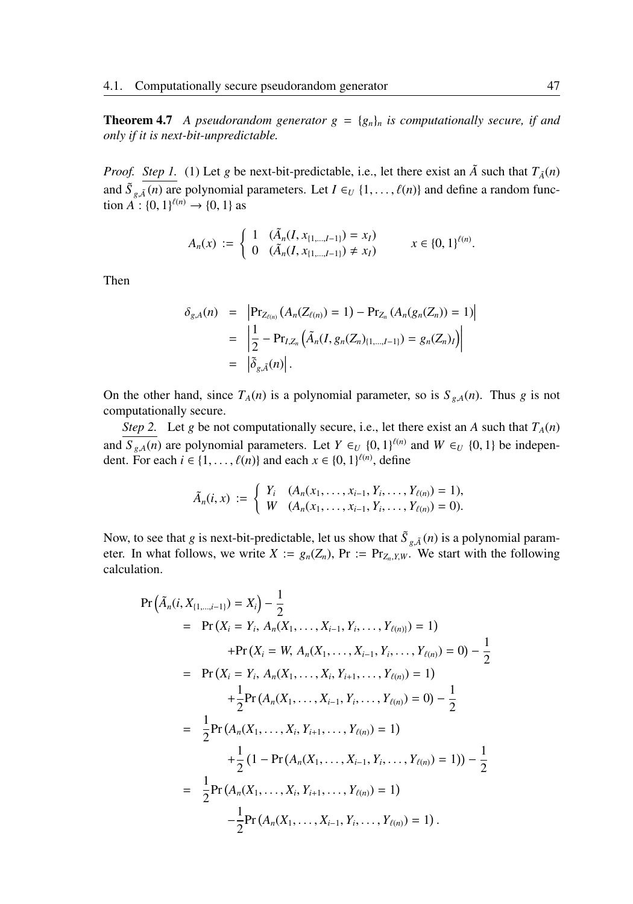**Theorem 4.7** *A pseudorandom generator*  $g = \{g_n\}_n$  *is computationally secure, if and only if it is next-bit-unpredictable.*

*Proof.* Step 1. (1) Let *g* be next-bit-predictable, i.e., let there exist an  $\tilde{A}$  such that  $T_{\tilde{A}}(n)$ and  $\tilde{S}_{g,\tilde{A}}(n)$  are polynomial parameters. Let  $I \in U \{1,\ldots,\ell(n)\}$  and define a random function  $A^{\circ}$ : {0, 1}<sup> $\ell$ (*n*)</sup>  $\rightarrow$  {0, 1} as

$$
A_n(x) := \begin{cases} 1 & (\tilde{A}_n(I, x_{\{1,\ldots,I-1\}}) = x_I) \\ 0 & (\tilde{A}_n(I, x_{\{1,\ldots,I-1\}}) \neq x_I) \end{cases} \qquad x \in \{0,1\}^{\ell(n)}.
$$

Then

$$
\delta_{g,A}(n) = \left| \Pr_{Z_{\ell(n)}}(A_n(Z_{\ell(n)}) = 1) - \Pr_{Z_n}(A_n(g_n(Z_n)) = 1) \right|
$$
  
=  $\left| \frac{1}{2} - \Pr_{I,Z_n}(\tilde{A}_n(I, g_n(Z_n)_{\{1,\ldots,I-1\}}) = g_n(Z_n)_I) \right|$   
=  $|\tilde{\delta}_{g,\tilde{A}}(n)|$ .

On the other hand, since  $T_A(n)$  is a polynomial parameter, so is  $S_{g,A}(n)$ . Thus *g* is not computationally secure.

*Step 2.* Let *g* be not computationally secure, i.e., let there exist an *A* such that  $T_A(n)$ and  $S_{g,A}(n)$  are polynomial parameters. Let  $Y \in U \{0, 1\}^{\ell(n)}$  and  $W \in U \{0, 1\}$  be independent. For each  $i \in \{1, ..., \ell(n)\}\$  and each  $x \in \{0, 1\}^{\ell(n)}$ , define

$$
\tilde{A}_n(i,x) := \begin{cases} Y_i & (A_n(x_1,\ldots,x_{i-1},Y_i,\ldots,Y_{\ell(n)}) = 1), \\ W & (A_n(x_1,\ldots,x_{i-1},Y_i,\ldots,Y_{\ell(n)}) = 0). \end{cases}
$$

Now, to see that *g* is next-bit-predictable, let us show that  $\tilde{S}_{g,\tilde{A}}(n)$  is a polynomial parameter. In what follows, we write  $X := g_n(Z_n)$ ,  $Pr := Pr_{Z_n, Y, W}$ . We start with the following calculation.

$$
\Pr\left(\tilde{A}_n(i, X_{\{1,\ldots,i-1\}}) = X_i\right) - \frac{1}{2}
$$
\n
$$
= \Pr\left(X_i = Y_i, A_n(X_1, \ldots, X_{i-1}, Y_i, \ldots, Y_{\ell(n)})\right) = 1)
$$
\n
$$
+ \Pr\left(X_i = W, A_n(X_1, \ldots, X_{i-1}, Y_i, \ldots, Y_{\ell(n)})\right) = 0) - \frac{1}{2}
$$
\n
$$
= \Pr\left(X_i = Y_i, A_n(X_1, \ldots, X_i, Y_{i+1}, \ldots, Y_{\ell(n)})\right) = 1)
$$
\n
$$
+ \frac{1}{2} \Pr\left(A_n(X_1, \ldots, X_{i-1}, Y_i, \ldots, Y_{\ell(n)})\right) = 0) - \frac{1}{2}
$$
\n
$$
= \frac{1}{2} \Pr\left(A_n(X_1, \ldots, X_i, Y_{i+1}, \ldots, Y_{\ell(n)})\right) = 1)
$$
\n
$$
+ \frac{1}{2} \left(1 - \Pr\left(A_n(X_1, \ldots, X_{i-1}, Y_i, \ldots, Y_{\ell(n)})\right)\right) - \frac{1}{2}
$$
\n
$$
= \frac{1}{2} \Pr\left(A_n(X_1, \ldots, X_i, Y_{i+1}, \ldots, Y_{\ell(n)})\right) = 1)
$$
\n
$$
- \frac{1}{2} \Pr\left(A_n(X_1, \ldots, X_{i-1}, Y_i, \ldots, Y_{\ell(n)})\right) = 1).
$$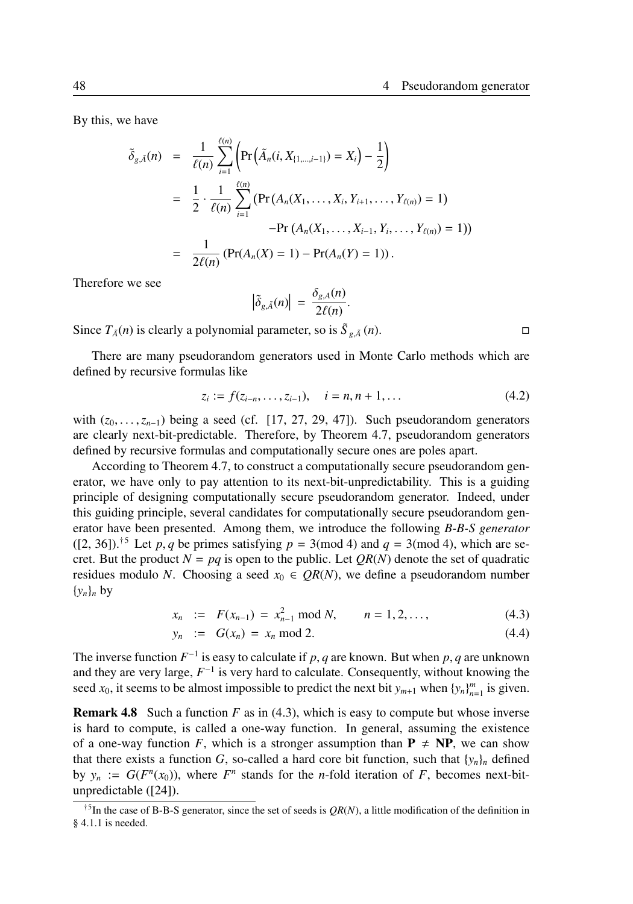By this, we have

$$
\tilde{\delta}_{g,\tilde{A}}(n) = \frac{1}{\ell(n)} \sum_{i=1}^{\ell(n)} \left( \Pr\left( \tilde{A}_n(i, X_{\{1,\dots,i-1\}}) = X_i \right) - \frac{1}{2} \right)
$$
\n
$$
= \frac{1}{2} \cdot \frac{1}{\ell(n)} \sum_{i=1}^{\ell(n)} \left( \Pr\left( A_n(X_1, \dots, X_i, Y_{i+1}, \dots, Y_{\ell(n)} \right) = 1 \right)
$$
\n
$$
- \Pr\left( A_n(X_1, \dots, X_{i-1}, Y_i, \dots, Y_{\ell(n)} \right) = 1 \right)
$$
\n
$$
= \frac{1}{2\ell(n)} \left( \Pr(A_n(X) = 1) - \Pr(A_n(Y) = 1) \right).
$$

Therefore we see

$$
\left|\tilde{\delta}_{g,\tilde{A}}(n)\right| = \frac{\delta_{g,A}(n)}{2\ell(n)}.
$$

Since  $T_{\tilde{A}}(n)$  is clearly a polynomial parameter, so is  $\tilde{S}_{g,\tilde{A}}(n)$ .

There are many pseudorandom generators used in Monte Carlo methods which are defined by recursive formulas like

$$
z_i := f(z_{i-n}, \dots, z_{i-1}), \quad i = n, n+1, \dots
$$
 (4.2)

with  $(z_0, \ldots, z_{n-1})$  being a seed (cf. [17, 27, 29, 47]). Such pseudorandom generators are clearly next-bit-predictable. Therefore, by Theorem 4.7, pseudorandom generators defined by recursive formulas and computationally secure ones are poles apart.

According to Theorem 4.7, to construct a computationally secure pseudorandom generator, we have only to pay attention to its next-bit-unpredictability. This is a guiding principle of designing computationally secure pseudorandom generator. Indeed, under this guiding principle, several candidates for computationally secure pseudorandom generator have been presented. Among them, we introduce the following *B-B-S generator*  $([2, 36])$ <sup> $\dagger$ 5</sup> Let *p*, *q* be primes satisfying *p* = 3(mod 4) and *q* = 3(mod 4), which are secret. But the product  $N = pq$  is open to the public. Let  $QR(N)$  denote the set of quadratic residues modulo *N*. Choosing a seed  $x_0 \in QR(N)$ , we define a pseudorandom number  $\{y_n\}_n$  by

$$
x_n := F(x_{n-1}) = x_{n-1}^2 \text{ mod } N, \qquad n = 1, 2, ..., \qquad (4.3)
$$

$$
y_n := G(x_n) = x_n \bmod 2. \tag{4.4}
$$

The inverse function  $F^{-1}$  is easy to calculate if p, q are known. But when p, q are unknown and they are very large,  $F^{-1}$  is very hard to calculate. Consequently, without knowing the seed  $x_0$ , it seems to be almost impossible to predict the next bit  $y_{m+1}$  when  $\{y_n\}_{n=1}^m$  is given.

Remark 4.8 Such a function *F* as in (4.3), which is easy to compute but whose inverse is hard to compute, is called a one-way function. In general, assuming the existence of a one-way function *F*, which is a stronger assumption than  $P \neq NP$ , we can show that there exists a function *G*, so-called a hard core bit function, such that  $\{y_n\}_n$  defined by  $y_n := G(F^n(x_0))$ , where  $F^n$  stands for the *n*-fold iteration of *F*, becomes next-bitunpredictable ([24]).

<sup>†</sup>5 In the case of B-B-S generator, since the set of seeds is *QR*(*N*), a little modification of the definition in § 4.1.1 is needed.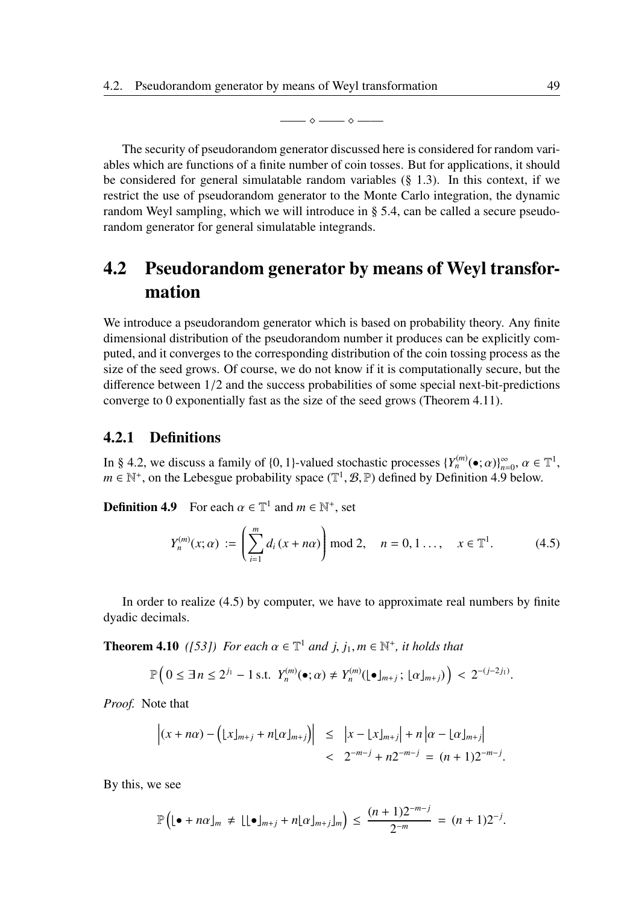—— ⋄ —— ⋄ ——

The security of pseudorandom generator discussed here is considered for random variables which are functions of a finite number of coin tosses. But for applications, it should be considered for general simulatable random variables  $(\S$  1.3). In this context, if we restrict the use of pseudorandom generator to the Monte Carlo integration, the dynamic random Weyl sampling, which we will introduce in § 5.4, can be called a secure pseudorandom generator for general simulatable integrands.

# 4.2 Pseudorandom generator by means of Weyl transformation

We introduce a pseudorandom generator which is based on probability theory. Any finite dimensional distribution of the pseudorandom number it produces can be explicitly computed, and it converges to the corresponding distribution of the coin tossing process as the size of the seed grows. Of course, we do not know if it is computationally secure, but the difference between 1/2 and the success probabilities of some special next-bit-predictions converge to 0 exponentially fast as the size of the seed grows (Theorem 4.11).

### 4.2.1 Definitions

In § 4.2, we discuss a family of {0, 1}-valued stochastic processes  $\{Y_n^{(m)}(\bullet; \alpha)\}_{n=0}^{\infty}$ ,  $\alpha \in \mathbb{T}^1$ ,  $m \in \mathbb{N}^+$ , on the Lebesgue probability space  $(\mathbb{T}^1, \mathcal{B}, \mathbb{P})$  defined by Definition 4.9 below.

**Definition 4.9** For each  $\alpha \in \mathbb{T}^1$  and  $m \in \mathbb{N}^+$ , set

$$
Y_n^{(m)}(x;\alpha) := \left(\sum_{i=1}^m d_i(x+n\alpha)\right) \text{ mod } 2, \quad n = 0, 1 \dots, \quad x \in \mathbb{T}^1. \tag{4.5}
$$

In order to realize (4.5) by computer, we have to approximate real numbers by finite dyadic decimals.

**Theorem 4.10** ([53]) For each  $\alpha \in \mathbb{T}^1$  and  $j, j_1, m \in \mathbb{N}^+$ , it holds that

$$
\mathbb{P}\Big(0\leq \exists n\leq 2^{j_1}-1 \text{ s.t. } Y_n^{(m)}(\bullet;\alpha)\neq Y_n^{(m)}(\lfloor \bullet \rfloor_{m+j});\lfloor \alpha \rfloor_{m+j})\Big) < 2^{-(j-2j_1)}.
$$

*Proof.* Note that

$$
\left| (x + n\alpha) - \left( \lfloor x \rfloor_{m+j} + n \lfloor \alpha \rfloor_{m+j} \right) \right| \leq \left| x - \lfloor x \rfloor_{m+j} \right| + n \left| \alpha - \lfloor \alpha \rfloor_{m+j} \right|
$$
  
<  $2^{-m-j} + n2^{-m-j} = (n+1)2^{-m-j}.$ 

By this, we see

$$
\mathbb{P}\left( [\bullet + n\alpha]_m \neq [\bullet]_{m+j} + n[\alpha]_{m+j} \right) \leq \frac{(n+1)2^{-m-j}}{2^{-m}} = (n+1)2^{-j}.
$$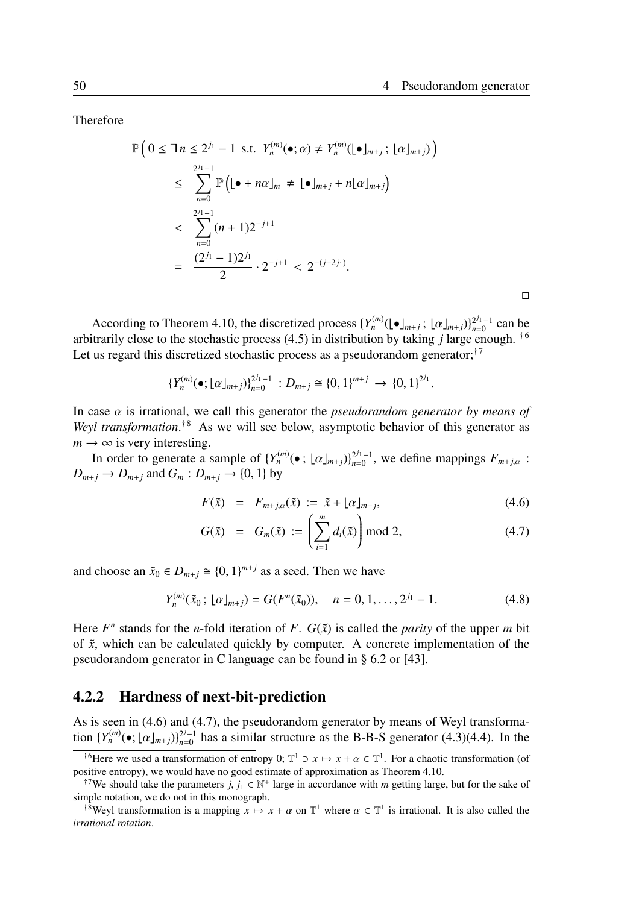.

□

Therefore

$$
\mathbb{P}\left(0 \leq \exists n \leq 2^{j_1} - 1 \text{ s.t. } Y_n^{(m)}(\bullet; \alpha) \neq Y_n^{(m)}(\bullet)_{m+j}; \lfloor \alpha \rfloor_{m+j})\right)
$$
\n
$$
\leq \sum_{n=0}^{2^{j_1}-1} \mathbb{P}\left((\bullet + n\alpha)_{m} \neq \lfloor \bullet \rfloor_{m+j} + n\lfloor \alpha \rfloor_{m+j}\right)
$$
\n
$$
< \sum_{n=0}^{2^{j_1}-1} (n+1)2^{-j+1}
$$
\n
$$
= \frac{(2^{j_1}-1)2^{j_1}}{2} \cdot 2^{-j+1} < 2^{-(j-2j_1)}.
$$

According to Theorem 4.10, the discretized process  $\{Y_n^{(m)}(\lfloor \bullet \rfloor_{m+j}; \lfloor \alpha \rfloor_{m+j})\}_{n=0}^{2^{j_1}-1}$  can be arbitrarily close to the stochastic process (4.5) in distribution by taking *j* large enough. †<sup>6</sup> Let us regard this discretized stochastic process as a pseudorandom generator;<sup>†7</sup>

$$
\{Y_n^{(m)}(\bullet; \lfloor \alpha \rfloor_{m+j})\}_{n=0}^{2^{j_1}-1} : D_{m+j} \cong \{0,1\}^{m+j} \to \{0,1\}^{2^{j_1}}
$$

In case  $\alpha$  is irrational, we call this generator the *pseudorandom generator by means of* Weyl transformation.<sup>†8</sup> As we will see below, asymptotic behavior of this generator as  $m \rightarrow \infty$  is very interesting.

In order to generate a sample of  $\{Y_n^{(m)}(\bullet; [\alpha]_{m+j})\}_{n=0}^{2^{j_1}-1}$ , we define mappings  $F_{m+j,\alpha}$ :  $D_{m+j} \to D_{m+j}$  and  $G_m : D_{m+j} \to \{0, 1\}$  by

$$
F(\tilde{x}) = F_{m+j,\alpha}(\tilde{x}) := \tilde{x} + \lfloor \alpha \rfloor_{m+j}, \tag{4.6}
$$

$$
G(\tilde{x}) = G_m(\tilde{x}) := \left(\sum_{i=1}^m d_i(\tilde{x})\right) \mod 2, \tag{4.7}
$$

and choose an  $\tilde{x}_0 \in D_{m+j} \cong \{0, 1\}^{m+j}$  as a seed. Then we have

$$
Y_n^{(m)}(\tilde{x}_0; \lfloor \alpha \rfloor_{m+j}) = G(F^n(\tilde{x}_0)), \quad n = 0, 1, \dots, 2^{j_1} - 1. \tag{4.8}
$$

Here  $F^n$  stands for the *n*-fold iteration of *F*.  $G(\tilde{x})$  is called the *parity* of the upper *m* bit of ˜*x*, which can be calculated quickly by computer. A concrete implementation of the pseudorandom generator in C language can be found in § 6.2 or [43].

### 4.2.2 Hardness of next-bit-prediction

As is seen in (4.6) and (4.7), the pseudorandom generator by means of Weyl transformation  $\{Y_n^{(m)}(\bullet; \lfloor \alpha \rfloor_{m+j})\}_{n=0}^{2^j-1}$  has a similar structure as the B-B-S generator (4.3)(4.4). In the

<sup>&</sup>lt;sup>†6</sup>Here we used a transformation of entropy 0;  $\mathbb{T}^1 \ni x \mapsto x + \alpha \in \mathbb{T}^1$ . For a chaotic transformation (of positive entropy), we would have no good estimate of approximation as Theorem 4.10.

<sup>&</sup>lt;sup>†7</sup>We should take the parameters *j*, *j*<sub>1</sub>  $\in \mathbb{N}^+$  large in accordance with *m* getting large, but for the sake of simple notation, we do not in this monograph.

<sup>&</sup>lt;sup>†8</sup>Weyl transformation is a mapping  $x \mapsto x + \alpha$  on  $\mathbb{T}^1$  where  $\alpha \in \mathbb{T}^1$  is irrational. It is also called the *irrational rotation*.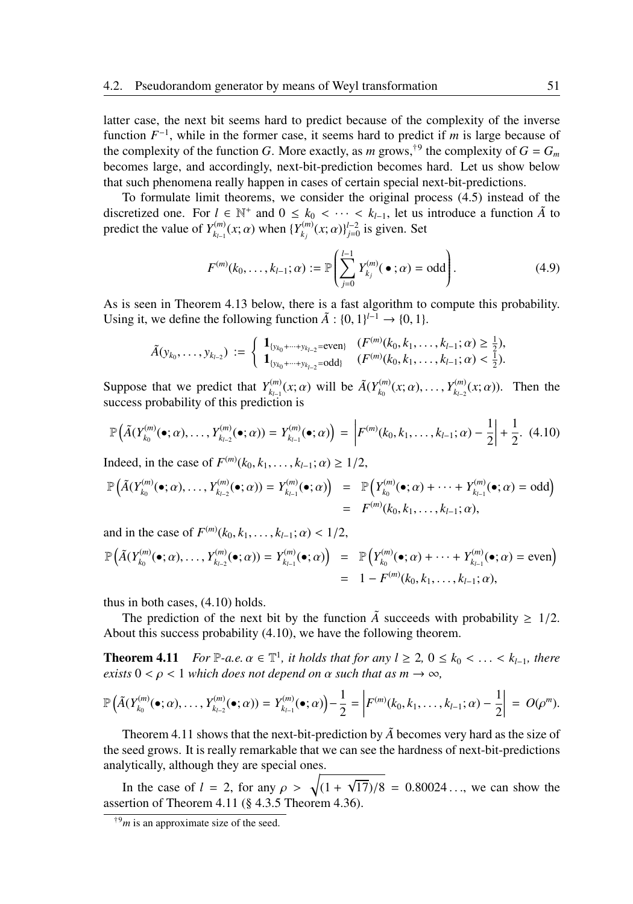latter case, the next bit seems hard to predict because of the complexity of the inverse function  $F^{-1}$ , while in the former case, it seems hard to predict if *m* is large because of the complexity of the function *G*. More exactly, as *m* grows,<sup>†9</sup> the complexity of  $G = G_m$ becomes large, and accordingly, next-bit-prediction becomes hard. Let us show below that such phenomena really happen in cases of certain special next-bit-predictions.

To formulate limit theorems, we consider the original process (4.5) instead of the discretized one. For  $l \in \mathbb{N}^+$  and  $0 \leq k_0 < \cdots < k_{l-1}$ , let us introduce a function  $\tilde{A}$  to predict the value of  $Y_{k_1}^{(m)}$  $Y_{k_{l-1}}^{(m)}(x;\alpha)$  when  $\{Y_{k_j}^{(m)}\}$  $f_{k_j}^{(m)}(x; \alpha) \}^{l-2}_{j=0}$  is given. Set

$$
F^{(m)}(k_0,\ldots,k_{l-1};\alpha) := \mathbb{P}\left(\sum_{j=0}^{l-1} Y_{k_j}^{(m)}(\bullet;\alpha) = \text{odd}\right).
$$
 (4.9)

As is seen in Theorem 4.13 below, there is a fast algorithm to compute this probability. Using it, we define the following function  $\tilde{A}$  : {0, 1}<sup>*l*−1</sup> → {0, 1}.

$$
\tilde{A}(y_{k_0},\ldots,y_{k_{l-2}}) := \begin{cases} \mathbf{1}_{\{y_{k_0}+\cdots+y_{k_{l-2}}=\text{even}\}} & (F^{(m)}(k_0,k_1,\ldots,k_{l-1};\alpha) \ge \frac{1}{2}), \\ \mathbf{1}_{\{y_{k_0}+\cdots+y_{k_{l-2}}=\text{odd}\}} & (F^{(m)}(k_0,k_1,\ldots,k_{l-1};\alpha) < \frac{1}{2}). \end{cases}
$$

Suppose that we predict that  $Y_{k_{n-1}}^{(m)}$  $\tilde{A}(Y_{k_1-1}^{(m)}(x;\alpha))$  will be  $\tilde{A}(Y_{k_0}^{(m)})$  $Y_{k_0}^{(m)}(x;\alpha), \ldots, Y_{k_{l-2}}^{(m)}$  $f_{k-2}^{(m)}(x;\alpha)$ . Then the success probability of this prediction is

$$
\mathbb{P}\left(\tilde{A}(Y_{k_0}^{(m)}(\bullet;\alpha),\ldots,Y_{k_{l-2}}^{(m)}(\bullet;\alpha))=Y_{k_{l-1}}^{(m)}(\bullet;\alpha)\right)=\left|F^{(m)}(k_0,k_1,\ldots,k_{l-1};\alpha)-\frac{1}{2}\right|+\frac{1}{2}.\tag{4.10}
$$

Indeed, in the case of  $F^{(m)}(k_0, k_1, \ldots, k_{l-1}; \alpha) \ge 1/2$ ,

$$
\mathbb{P}\left(\tilde{A}(Y_{k_0}^{(m)}(\bullet;\alpha),\ldots,Y_{k_{l-2}}^{(m)}(\bullet;\alpha))=Y_{k_{l-1}}^{(m)}(\bullet;\alpha)\right) = \mathbb{P}\left(Y_{k_0}^{(m)}(\bullet;\alpha)+\cdots+Y_{k_{l-1}}^{(m)}(\bullet;\alpha)=\text{odd}\right)
$$

$$
= F^{(m)}(k_0,k_1,\ldots,k_{l-1};\alpha),
$$

and in the case of  $F^{(m)}(k_0, k_1, \ldots, k_{l-1}; \alpha) < 1/2$ ,

$$
\mathbb{P}\Big(\tilde{A}(Y_{k_0}^{(m)}(\bullet;\alpha),\ldots,Y_{k_{l-2}}^{(m)}(\bullet;\alpha))=Y_{k_{l-1}}^{(m)}(\bullet;\alpha)\Big) = \mathbb{P}\Big(Y_{k_0}^{(m)}(\bullet;\alpha)+\cdots+Y_{k_{l-1}}^{(m)}(\bullet;\alpha)=\text{even}\Big)
$$
  
= 1 - F<sup>(m)</sup>(k\_0,k\_1,\ldots,k\_{l-1};\alpha),

thus in both cases, (4.10) holds.

The prediction of the next bit by the function  $\tilde{A}$  succeeds with probability  $\geq 1/2$ . About this success probability (4.10), we have the following theorem.

**Theorem 4.11** *For*  $\mathbb{P}\text{-}a.e.$   $\alpha \in \mathbb{T}^1$ , it holds that for any  $l \geq 2$ ,  $0 \leq k_0 < \ldots < k_{l-1}$ , there *exists*  $0 < \rho < 1$  *which does not depend on*  $\alpha$  *such that as m*  $\rightarrow \infty$ *,* 

$$
\mathbb{P}\left(\tilde{A}(Y_{k_0}^{(m)}(\bullet;\alpha),\ldots,Y_{k_{l-2}}^{(m)}(\bullet;\alpha))=Y_{k_{l-1}}^{(m)}(\bullet;\alpha)\right)-\frac{1}{2}=\left|F^{(m)}(k_0,k_1,\ldots,k_{l-1};\alpha)-\frac{1}{2}\right| = O(\rho^m).
$$

Theorem 4.11 shows that the next-bit-prediction by  $\tilde{A}$  becomes very hard as the size of the seed grows. It is really remarkable that we can see the hardness of next-bit-predictions analytically, although they are special ones.

In the case of  $l = 2$ , for any  $\rho > \sqrt{(1 +$  $\sqrt{17}/8$  = 0.80024..., we can show the assertion of Theorem 4.11 (§ 4.3.5 Theorem 4.36).

<sup>†</sup><sup>9</sup>*m* is an approximate size of the seed.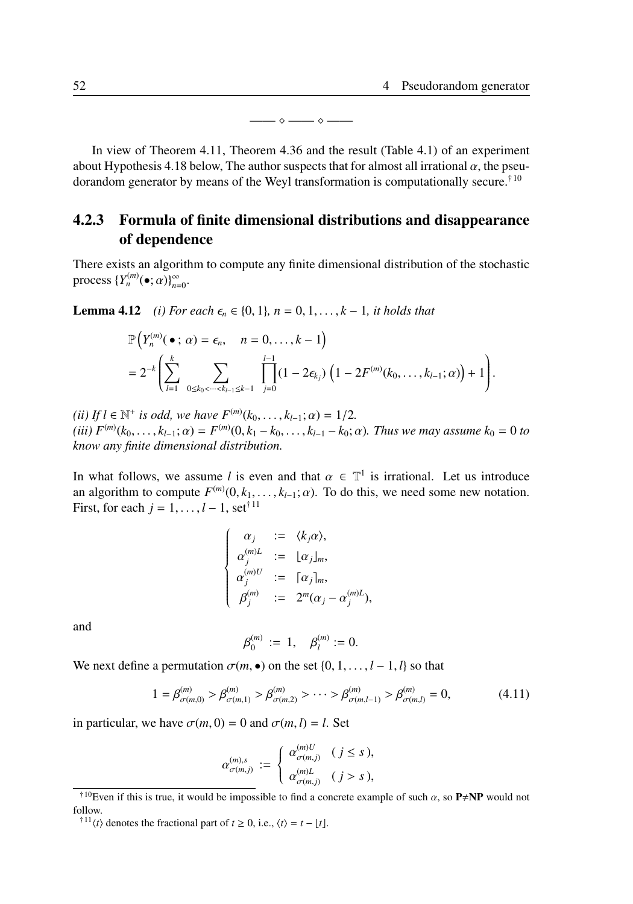—— ⋄ —— ⋄ ——

In view of Theorem 4.11, Theorem 4.36 and the result (Table 4.1) of an experiment about Hypothesis 4.18 below, The author suspects that for almost all irrational  $\alpha$ , the pseudorandom generator by means of the Weyl transformation is computationally secure.†<sup>10</sup>

# 4.2.3 Formula of finite dimensional distributions and disappearance of dependence

There exists an algorithm to compute any finite dimensional distribution of the stochastic process  $\{Y_n^{(m)}(\bullet; \alpha)\}_{n=0}^{\infty}$ .

**Lemma 4.12** *(i) For each*  $\epsilon_n$  ∈ {0, 1}*, n* = 0*,* 1*<i>, . . . , k* − 1*, it holds that* 

$$
\mathbb{P}\Big(Y_n^{(m)}(\bullet; \alpha) = \epsilon_n, \quad n = 0, \ldots, k-1\Big) \n= 2^{-k} \Bigg( \sum_{l=1}^k \sum_{\substack{0 \le k_0 < \cdots < k_{l-1} \le k-1}} \prod_{j=0}^{l-1} (1 - 2\epsilon_{k_j}) \left(1 - 2F^{(m)}(k_0, \ldots, k_{l-1}; \alpha)\right) + 1 \Bigg).
$$

 $(iii)$  *If l* ∈  $\mathbb{N}^+$  *is odd, we have*  $F^{(m)}(k_0, \ldots, k_{l-1}; \alpha) = 1/2$ *.*  $(iii)$   $F^{(m)}(k_0, \ldots, k_{l-1}; \alpha) = F^{(m)}(0, k_1 - k_0, \ldots, k_{l-1} - k_0; \alpha)$ . Thus we may assume  $k_0 = 0$  to *know any finite dimensional distribution.*

In what follows, we assume *l* is even and that  $\alpha \in \mathbb{T}^1$  is irrational. Let us introduce an algorithm to compute  $F^{(m)}(0, k_1, \ldots, k_{l-1}; \alpha)$ . To do this, we need some new notation. First, for each  $j = 1, \ldots, l-1$ , set<sup>†11</sup>

$$
\begin{cases}\n\alpha_j &:= \langle k_j \alpha \rangle, \\
\alpha_j^{(m)L} &:= \lfloor \alpha_j \rfloor_m, \\
\alpha_j^{(m)U} &:= \lceil \alpha_j \rceil_m, \\
\beta_j^{(m)} &:= 2^m (\alpha_j - \alpha_j^{(m)L}),\n\end{cases}
$$

and

$$
\beta_0^{(m)} := 1, \quad \beta_l^{(m)} := 0.
$$

We next define a permutation  $\sigma(m, \bullet)$  on the set  $\{0, 1, \ldots, l-1, l\}$  so that

$$
1 = \beta_{\sigma(m,0)}^{(m)} > \beta_{\sigma(m,1)}^{(m)} > \beta_{\sigma(m,2)}^{(m)} > \cdots > \beta_{\sigma(m,l-1)}^{(m)} > \beta_{\sigma(m,l)}^{(m)} = 0,
$$
\n(4.11)

in particular, we have  $\sigma(m, 0) = 0$  and  $\sigma(m, l) = l$ . Set

$$
\alpha_{\sigma(m,j)}^{(m),s}:=\left\{\begin{array}{ll} \alpha_{\sigma(m,j)}^{(m)U} & (j\leq s), \\[1ex] \alpha_{\sigma(m,j)}^{(m)L} & (j>s), \end{array}\right.
$$

<sup>&</sup>lt;sup>†10</sup>Even if this is true, it would be impossible to find a concrete example of such  $\alpha$ , so P $\neq$ NP would not follow.

<sup>&</sup>lt;sup>†11</sup> $\langle t \rangle$  denotes the fractional part of *t* ≥ 0, i.e.,  $\langle t \rangle = t - \lfloor t \rfloor$ .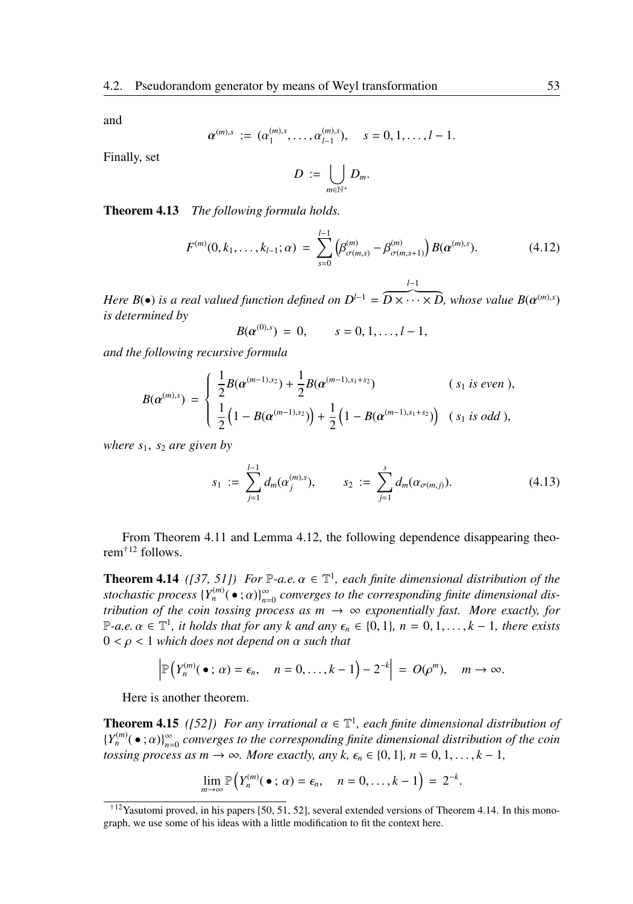and

$$
\alpha^{(m),s} := (\alpha_1^{(m),s}, \ldots, \alpha_{l-1}^{(m),s}), \quad s = 0, 1, \ldots, l-1.
$$

Finally, set

$$
D := \bigcup_{m \in \mathbb{N}^+} D_m.
$$

Theorem 4.13 *The following formula holds.*

$$
F^{(m)}(0,k_1,\ldots,k_{l-1};\alpha) = \sum_{s=0}^{l-1} \left(\beta^{(m)}_{\sigma(m,s)} - \beta^{(m)}_{\sigma(m,s+1)}\right) B(\alpha^{(m),s}). \tag{4.12}
$$

*Here B*( $\bullet$ ) *is a real valued function defined on*  $D^{l-1} = \overbrace{D \times \cdots \times D}$ , whose value  $B(\alpha^{(m),s})$ *l*−1 *is determined by*

$$
B(\alpha^{(0),s}) = 0, \qquad s = 0, 1, \ldots, l-1,
$$

*and the following recursive formula*

$$
B(\alpha^{(m),s}) = \begin{cases} \frac{1}{2}B(\alpha^{(m-1),s_2}) + \frac{1}{2}B(\alpha^{(m-1),s_1+s_2}) & (s_1 \text{ is even}), \\ \frac{1}{2}(1 - B(\alpha^{(m-1),s_2})) + \frac{1}{2}(1 - B(\alpha^{(m-1),s_1+s_2})) & (s_1 \text{ is odd}), \end{cases}
$$

*where s*1, *s*<sup>2</sup> *are given by*

$$
s_1 := \sum_{j=1}^{l-1} d_m(\alpha_j^{(m),s}), \qquad s_2 := \sum_{j=1}^s d_m(\alpha_{\sigma(m,j)}).
$$
 (4.13)

From Theorem 4.11 and Lemma 4.12, the following dependence disappearing theorem†<sup>12</sup> follows.

**Theorem 4.14** ([37, 51]) For  $\mathbb{P}\text{-}a.e.$   $\alpha \in \mathbb{T}^1$ , each finite dimensional distribution of the *stochastic process*  ${Y_n^{(m)}( \bullet ; a)}_{n=0}^{\infty}$  *converges to the corresponding finite dimensional distribution of the coin tossing process as*  $m \rightarrow \infty$  *exponentially fast. More exactly, for*  $\mathbb{P}\text{-}a.e. \alpha \in \mathbb{T}^1$ , *it holds that for any k* and any  $\epsilon_n \in \{0, 1\}$ ,  $n = 0, 1, \ldots, k - 1$ , there exists 0 < ρ < 1 *which does not depend on* α *such that*

$$
\left|\mathbb{P}\left(Y_n^{(m)}(\bullet\ ;\ \alpha)=\epsilon_n,\quad n=0,\ldots,k-1\right)-2^{-k}\right| = O(\rho^m),\quad m\to\infty.
$$

Here is another theorem.

**Theorem 4.15** ([52]) For any irrational  $\alpha \in \mathbb{T}^1$ , each finite dimensional distribution of  ${Y_n^{(m)}( \bullet; \alpha) }_{n=0}^{\infty}$  *converges to the corresponding finite dimensional distribution of the coin tossing process as m*  $\rightarrow \infty$ *. More exactly, any k,*  $\epsilon_n \in \{0, 1\}$ *, n* = 0, 1, ..., *k* − 1*,* 

$$
\lim_{m\to\infty}\mathbb{P}\Big(Y_n^{(m)}(\bullet\,;\,\alpha)=\epsilon_n,\quad n=0,\ldots,k-1\Big)=2^{-k}.
$$

<sup>†</sup>12Yasutomi proved, in his papers [50, 51, 52], several extended versions of Theorem 4.14. In this monograph, we use some of his ideas with a little modification to fit the context here.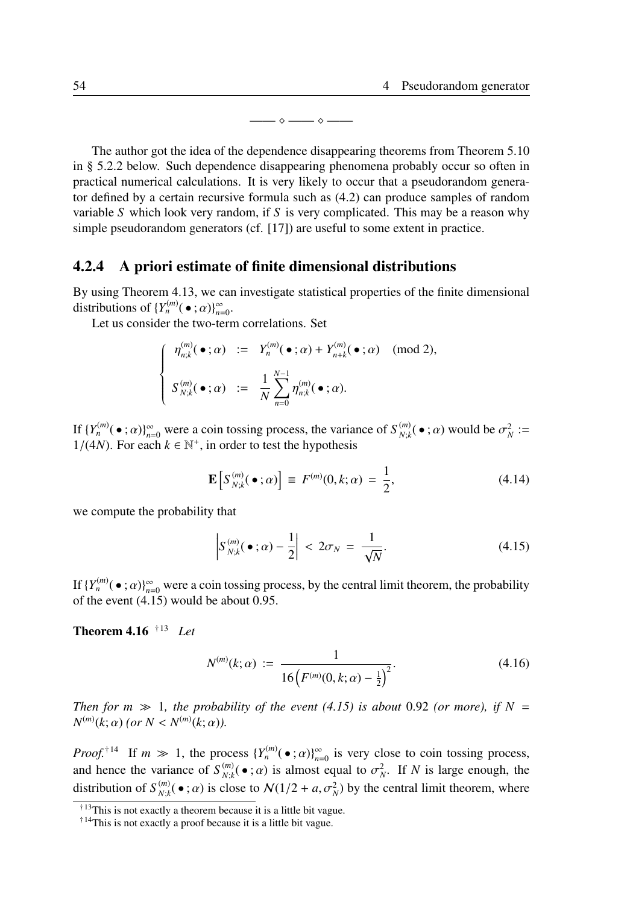—— ⋄ —— ⋄ ——

The author got the idea of the dependence disappearing theorems from Theorem 5.10 in § 5.2.2 below. Such dependence disappearing phenomena probably occur so often in practical numerical calculations. It is very likely to occur that a pseudorandom generator defined by a certain recursive formula such as (4.2) can produce samples of random variable *S* which look very random, if *S* is very complicated. This may be a reason why simple pseudorandom generators (cf. [17]) are useful to some extent in practice.

### 4.2.4 A priori estimate of finite dimensional distributions

By using Theorem 4.13, we can investigate statistical properties of the finite dimensional distributions of  $\{Y_n^{(m)}(\bullet;\alpha)\}_{n=0}^{\infty}$ .

Let us consider the two-term correlations. Set

$$
\begin{cases}\n\eta_{n;k}^{(m)}(\bullet;\alpha) := Y_n^{(m)}(\bullet;\alpha) + Y_{n+k}^{(m)}(\bullet;\alpha) \pmod{2}, \\
S_{N;k}^{(m)}(\bullet;\alpha) := \frac{1}{N} \sum_{n=0}^{N-1} \eta_{n;k}^{(m)}(\bullet;\alpha).\n\end{cases}
$$

If  ${Y_n^{(m)}( \bullet ; \alpha)}_{n=0}^{\infty}$  were a coin tossing process, the variance of  $S_{N;k}^{(m)}$  $\sum_{N,k}^{(m)}(\bullet;\alpha)$  would be  $\sigma_N^2 :=$  $1/(4N)$ . For each  $k \in \mathbb{N}^+$ , in order to test the hypothesis

$$
\mathbf{E}\left[S_{N;k}^{(m)}(\bullet;\alpha)\right] \equiv F^{(m)}(0,k;\alpha) = \frac{1}{2},\tag{4.14}
$$

we compute the probability that

$$
\left| S_{N;k}^{(m)}(\bullet;\alpha) - \frac{1}{2} \right| < 2\sigma_N = \frac{1}{\sqrt{N}}.\tag{4.15}
$$

If  $\{Y_n^{(m)}(\bullet;\alpha)\}_{n=0}^\infty$  were a coin tossing process, by the central limit theorem, the probability of the event (4.15) would be about 0.95.

#### Theorem 4.16 †<sup>13</sup> *Let*

$$
N^{(m)}(k; \alpha) := \frac{1}{16\left(F^{(m)}(0, k; \alpha) - \frac{1}{2}\right)^2}.
$$
\n(4.16)

*Then for m*  $\gg$  1*, the probability of the event (4.15) is about* 0.92 *(or more), if*  $N =$ *N*<sup>(*m*)</sup>(*k*;  $\alpha$ ) (*or*  $N < N^{(m)}(k; \alpha)$ ).

*Proof.*<sup>†14</sup> If  $m \gg 1$ , the process  $\{Y_n^{(m)}(\bullet; \alpha)\}_{n=0}^{\infty}$  is very close to coin tossing process, and hence the variance of  $S_{N,k}^{(m)}$  $\int_{N,k}^{(m)}(\bullet; \alpha)$  is almost equal to  $\sigma_N^2$ . If *N* is large enough, the distribution of  $S_{N \cdot k}^{(m)}$  $N_{N,k}^{(m)}(\bullet; \alpha)$  is close to  $N(1/2 + a, \sigma_N^2)$  by the central limit theorem, where

<sup>†</sup><sup>13</sup>This is not exactly a theorem because it is a little bit vague.

<sup>†</sup>14This is not exactly a proof because it is a little bit vague.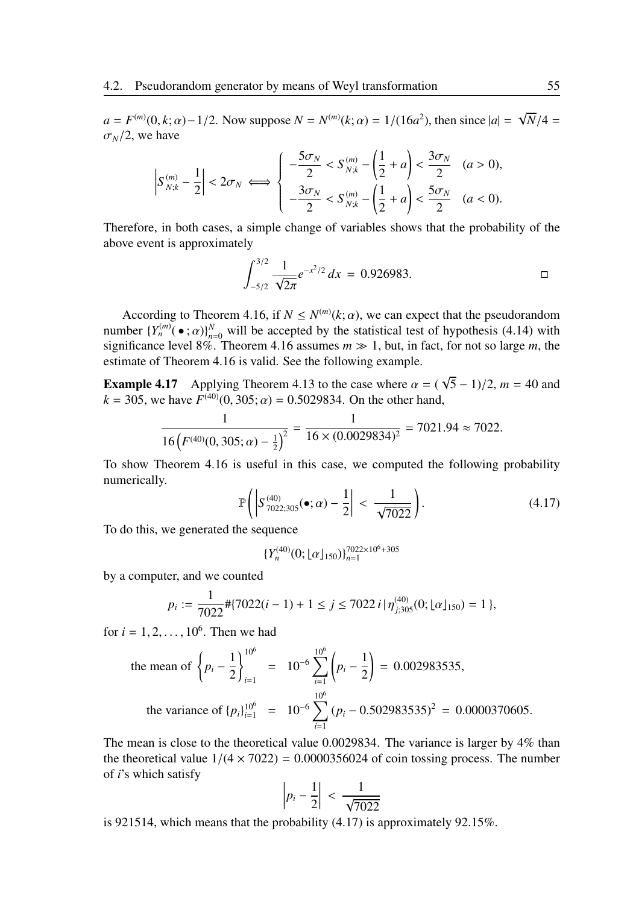$a = F^{(m)}(0, k; \alpha) - 1/2$ . Now suppose  $N = N^{(m)}(k; \alpha) = 1/(16a^2)$ , then since  $|a| = \sqrt{2a}$ , *N*/4 =  $\sigma_N/2$ , we have

$$
\left| S_{N;k}^{(m)} - \frac{1}{2} \right| < 2\sigma_N \iff \left\{ \begin{array}{ll} -\frac{5\sigma_N}{2} < S_{N;k}^{(m)} - \left( \frac{1}{2} + a \right) < \frac{3\sigma_N}{2} & (a > 0), \\ -\frac{3\sigma_N}{2} < S_{N;k}^{(m)} - \left( \frac{1}{2} + a \right) < \frac{5\sigma_N}{2} & (a < 0). \end{array} \right.
$$

Therefore, in both cases, a simple change of variables shows that the probability of the above event is approximately

$$
\int_{-5/2}^{3/2} \frac{1}{\sqrt{2\pi}} e^{-x^2/2} dx = 0.926983.
$$

According to Theorem 4.16, if  $N \le N^{(m)}(k;\alpha)$ , we can expect that the pseudorandom number  ${Y_n^{(m)}(\bullet;\alpha)}_{n=0}^N$  will be accepted by the statistical test of hypothesis (4.14) with significance level 8%. Theorem 4.16 assumes  $m \gg 1$ , but, in fact, for not so large m, the estimate of Theorem 4.16 is valid. See the following example.

**Example 4.17** Applying Theorem 4.13 to the case where  $\alpha = 0$ √  $\sqrt{5} - 1$ )/2, *m* = 40 and  $k = 305$ , we have  $F^{(40)}(0, 305; \alpha) = 0.5029834$ . On the other hand,

$$
\frac{1}{16\left(F^{(40)}(0,305;\alpha)-\frac{1}{2}\right)^2}=\frac{1}{16\times(0.0029834)^2}=7021.94\approx7022.
$$

To show Theorem 4.16 is useful in this case, we computed the following probability numerically.

$$
\mathbb{P}\left(\left|S^{(40)}_{7022;305}(\bullet;\alpha)-\frac{1}{2}\right|<\frac{1}{\sqrt{7022}}\right). \tag{4.17}
$$

To do this, we generated the sequence

$$
\{Y_n^{(40)}(0; \lfloor \alpha \rfloor_{150})\}_{n=1}^{7022 \times 10^6 + 305}
$$

by a computer, and we counted

$$
p_i := \frac{1}{7022} \# \{ 7022(i-1) + 1 \le j \le 7022i \mid \eta_{j;305}^{(40)}(0; \lfloor \alpha \rfloor_{150}) = 1 \},
$$

for  $i = 1, 2, ..., 10^6$ . Then we had

the mean of 
$$
\left\{ p_i - \frac{1}{2} \right\}_{i=1}^{10^6}
$$
 =  $10^{-6} \sum_{i=1}^{10^6} \left( p_i - \frac{1}{2} \right) = 0.002983535$ ,  
the variance of  $\{p_i\}_{i=1}^{10^6}$  =  $10^{-6} \sum_{i=1}^{10^6} (p_i - 0.502983535)^2 = 0.0000370605$ .

The mean is close to the theoretical value 0.0029834. The variance is larger by 4% than the theoretical value  $1/(4 \times 7022) = 0.0000356024$  of coin tossing process. The number of *i*'s which satisfy

$$
\left| p_i - \frac{1}{2} \right| < \frac{1}{\sqrt{7022}}
$$

is 921514, which means that the probability (4.17) is approximately 92.15%.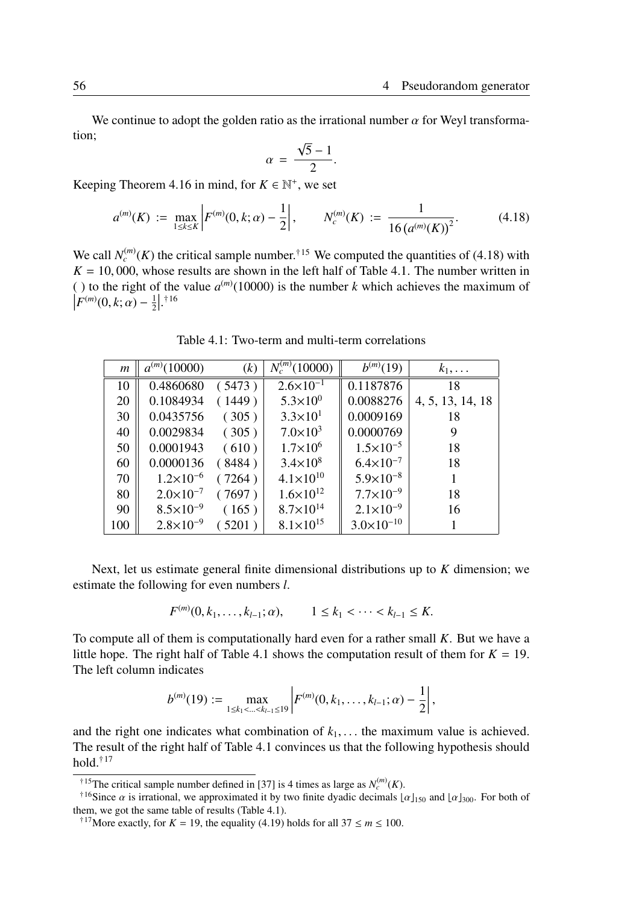We continue to adopt the golden ratio as the irrational number  $\alpha$  for Weyl transformation; √

$$
\alpha = \frac{\sqrt{5} - 1}{2}.
$$

Keeping Theorem 4.16 in mind, for  $K \in \mathbb{N}^+$ , we set

$$
a^{(m)}(K) := \max_{1 \le k \le K} \left| F^{(m)}(0, k; \alpha) - \frac{1}{2} \right|, \qquad N_c^{(m)}(K) := \frac{1}{16 \left( a^{(m)}(K) \right)^2}.
$$
 (4.18)

We call  $N_c^{(m)}(K)$  the critical sample number.<sup>†15</sup> We computed the quantities of (4.18) with  $K = 10,000$ , whose results are shown in the left half of Table 4.1. The number written in ( ) to the right of the value  $a^{(m)}(10000)$  is the number *k* which achieves the maximum of  $\left|F^{(m)}(0,k;\alpha)-\frac{1}{2}\right|.$ <sup>†16</sup>

| m   | $a^{(m)}(10000)$     | (k)    | $N_c^{(m)}(10000)$   | $b^{(m)}(19)$         | $k_1,\ldots$     |
|-----|----------------------|--------|----------------------|-----------------------|------------------|
| 10  | 0.4860680            | (5473) | $2.6 \times 10^{-1}$ | 0.1187876             | 18               |
| 20  | 0.1084934            | (1449) | $5.3 \times 10^{0}$  | 0.0088276             | 4, 5, 13, 14, 18 |
| 30  | 0.0435756            | (305)  | $3.3 \times 10^{1}$  | 0.0009169             | 18               |
| 40  | 0.0029834            | (305)  | $7.0 \times 10^3$    | 0.0000769             | 9                |
| 50  | 0.0001943            | (610)  | $1.7 \times 10^{6}$  | $1.5 \times 10^{-5}$  | 18               |
| 60  | 0.0000136            | (8484) | $3.4 \times 10^8$    | $6.4 \times 10^{-7}$  | 18               |
| 70  | $1.2\times10^{-6}$   | (7264) | $4.1 \times 10^{10}$ | $5.9 \times 10^{-8}$  |                  |
| 80  | $2.0 \times 10^{-7}$ | (7697) | $1.6 \times 10^{12}$ | $7.7 \times 10^{-9}$  | 18               |
| 90  | $8.5 \times 10^{-9}$ | (165)  | $8.7 \times 10^{14}$ | $2.1 \times 10^{-9}$  | 16               |
| 100 | $2.8 \times 10^{-9}$ | (5201) | $8.1 \times 10^{15}$ | $3.0 \times 10^{-10}$ |                  |

Table 4.1: Two-term and multi-term correlations

Next, let us estimate general finite dimensional distributions up to *K* dimension; we estimate the following for even numbers *l*.

$$
F^{(m)}(0, k_1, \ldots, k_{l-1}; \alpha), \qquad 1 \le k_1 < \cdots < k_{l-1} \le K.
$$

To compute all of them is computationally hard even for a rather small *K*. But we have a little hope. The right half of Table 4.1 shows the computation result of them for  $K = 19$ . The left column indicates

$$
b^{(m)}(19) := \max_{1 \leq k_1 < \ldots < k_{l-1} \leq 19} \left| F^{(m)}(0, k_1, \ldots, k_{l-1}; \alpha) - \frac{1}{2} \right|,
$$

and the right one indicates what combination of  $k_1, \ldots$  the maximum value is achieved. The result of the right half of Table 4.1 convinces us that the following hypothesis should hold.†<sup>17</sup>

<sup>&</sup>lt;sup>†15</sup>The critical sample number defined in [37] is 4 times as large as  $N_c^{(m)}(K)$ .

<sup>&</sup>lt;sup>†16</sup>Since  $\alpha$  is irrational, we approximated it by two finite dyadic decimals  $\alpha$ <sub>150</sub> and  $\alpha$ <sub>1500</sub>. For both of them, we got the same table of results (Table 4.1).

<sup>&</sup>lt;sup>†17</sup>More exactly, for *K* = 19, the equality (4.19) holds for all 37  $\leq m \leq 100$ .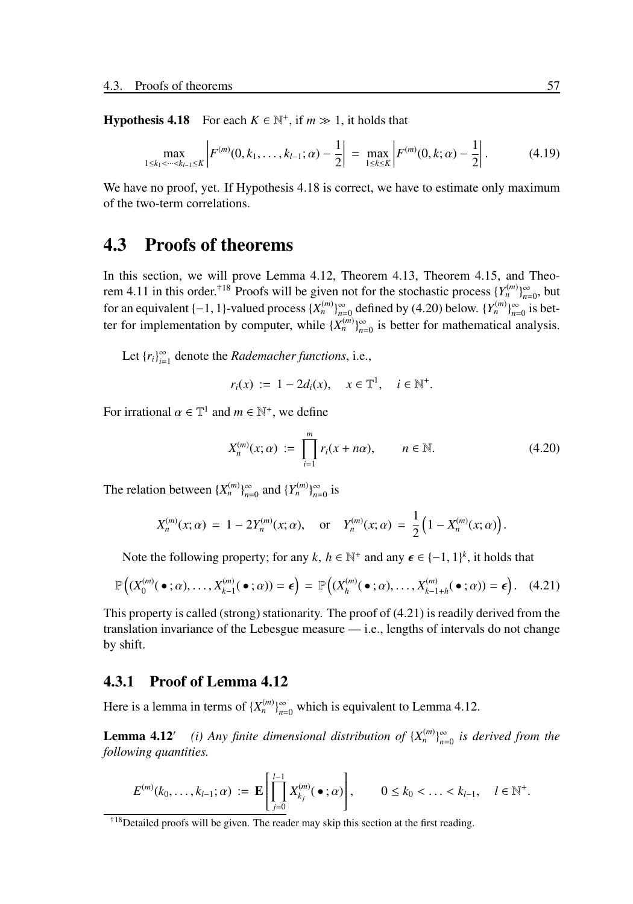**Hypothesis 4.18** For each  $K \in \mathbb{N}^+$ , if  $m \gg 1$ , it holds that

$$
\max_{1 \le k_1 < \dots < k_{l-1} \le K} \left| F^{(m)}(0, k_1, \dots, k_{l-1}; \alpha) - \frac{1}{2} \right| = \max_{1 \le k \le K} \left| F^{(m)}(0, k; \alpha) - \frac{1}{2} \right|. \tag{4.19}
$$

We have no proof, yet. If Hypothesis 4.18 is correct, we have to estimate only maximum of the two-term correlations.

# 4.3 Proofs of theorems

In this section, we will prove Lemma 4.12, Theorem 4.13, Theorem 4.15, and Theorem 4.11 in this order.<sup>†18</sup> Proofs will be given not for the stochastic process  $\{Y_n^{(m)}\}_{n=0}^{\infty}$ , but for an equivalent {-1, 1}-valued process  $\{X_n^{(m)}\}_{n=0}^{\infty}$  defined by (4.20) below.  $\{Y_n^{(m)}\}_{n=0}^{\infty}$  is better for implementation by computer, while  $\{X_n^{(m)}\}_{n=0}^{\infty}$  is better for mathematical analysis.

Let  $\{r_i\}_{i=1}^{\infty}$  denote the *Rademacher functions*, i.e.,

$$
r_i(x) := 1 - 2d_i(x), \quad x \in \mathbb{T}^1, \quad i \in \mathbb{N}^+.
$$

For irrational  $\alpha \in \mathbb{T}^1$  and  $m \in \mathbb{N}^+$ , we define

$$
X_n^{(m)}(x;\alpha) := \prod_{i=1}^m r_i(x+n\alpha), \qquad n \in \mathbb{N}.
$$
 (4.20)

The relation between  $\{X_n^{(m)}\}_{n=0}^\infty$  and  $\{Y_n^{(m)}\}_{n=0}^\infty$  is

$$
X_n^{(m)}(x;\alpha) = 1 - 2Y_n^{(m)}(x;\alpha), \text{ or } Y_n^{(m)}(x;\alpha) = \frac{1}{2} \left( 1 - X_n^{(m)}(x;\alpha) \right).
$$

Note the following property; for any  $k, h \in \mathbb{N}^+$  and any  $\epsilon \in \{-1, 1\}^k$ , it holds that

$$
\mathbb{P}\left(\left(X_0^{(m)}(\bullet;\alpha),\ldots,X_{k-1}^{(m)}(\bullet;\alpha)\right)=\epsilon\right)=\mathbb{P}\left(\left(X_{h}^{(m)}(\bullet;\alpha),\ldots,X_{k-1+h}^{(m)}(\bullet;\alpha)\right)=\epsilon\right). (4.21)
$$

This property is called (strong) stationarity. The proof of (4.21) is readily derived from the translation invariance of the Lebesgue measure — i.e., lengths of intervals do not change by shift.

# 4.3.1 Proof of Lemma 4.12

Here is a lemma in terms of  $\{X_n^{(m)}\}_{n=0}^{\infty}$  which is equivalent to Lemma 4.12.

**Lemma 4.12′** (*i*) Any finite dimensional distribution of  ${X_n^{(m)}}_{n=0}^{\infty}$  is derived from the *following quantities.*

$$
E^{(m)}(k_0,\ldots,k_{l-1};\alpha) := \mathbf{E}\left[\prod_{j=0}^{l-1} X_{k_j}^{(m)}(\bullet;\alpha)\right], \qquad 0 \le k_0 < \ldots < k_{l-1}, \quad l \in \mathbb{N}^+.
$$

<sup>†</sup>18Detailed proofs will be given. The reader may skip this section at the first reading.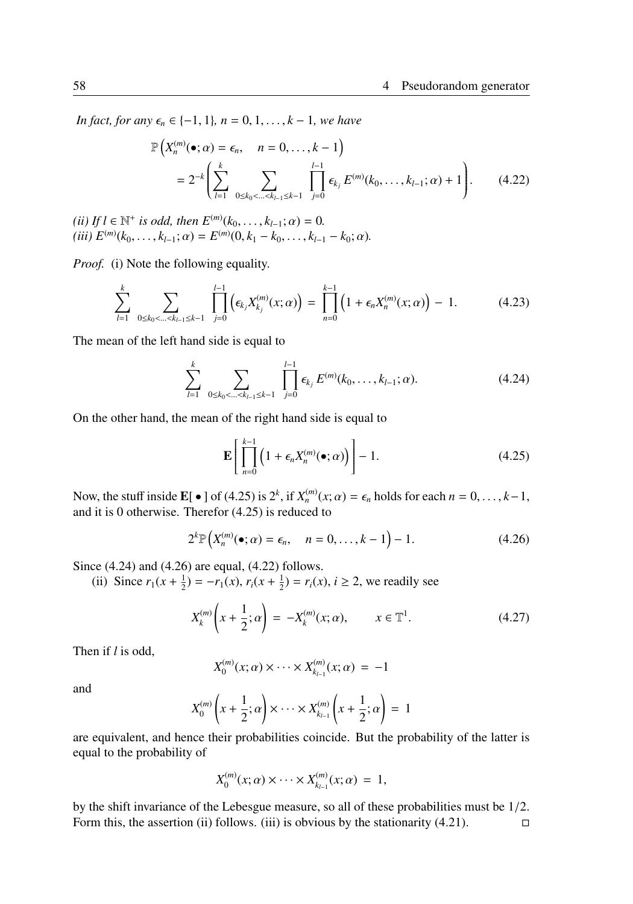*In fact, for any*  $\epsilon_n \in \{-1, 1\}$ *, n* = 0, 1, . . . , *k* − 1*, we have* 

$$
\mathbb{P}\left(X_n^{(m)}(\bullet; \alpha) = \epsilon_n, \quad n = 0, \dots, k - 1\right)
$$
  
=  $2^{-k} \left( \sum_{l=1}^k \sum_{0 \le k_0 < \dots < k_{l-1} \le k-1} \prod_{j=0}^{l-1} \epsilon_{k_j} E^{(m)}(k_0, \dots, k_{l-1}; \alpha) + 1 \right).$  (4.22)

 $(iii) If l \in \mathbb{N}^+$  *is odd, then*  $E^{(m)}(k_0, ..., k_{l-1}; \alpha) = 0$ *.*  $(iii) E^{(m)}(k_0, \ldots, k_{l-1}; \alpha) = E^{(m)}(0, k_1 - k_0, \ldots, k_{l-1} - k_0; \alpha).$ 

*Proof.* (i) Note the following equality.

$$
\sum_{l=1}^k \sum_{0 \le k_0 < \dots < k_{l-1} \le k-1} \prod_{j=0}^{l-1} \left( \epsilon_{k_j} X_{k_j}^{(m)}(x; \alpha) \right) = \prod_{n=0}^{k-1} \left( 1 + \epsilon_n X_n^{(m)}(x; \alpha) \right) - 1. \tag{4.23}
$$

The mean of the left hand side is equal to

$$
\sum_{l=1}^{k} \sum_{0 \leq k_0 < \ldots < k_{l-1} \leq k-1} \prod_{j=0}^{l-1} \epsilon_{k_j} E^{(m)}(k_0, \ldots, k_{l-1}; \alpha).
$$
 (4.24)

On the other hand, the mean of the right hand side is equal to

$$
\mathbf{E}\left[\prod_{n=0}^{k-1} \left(1 + \epsilon_n X_n^{(m)}(\bullet; \alpha)\right)\right] - 1. \tag{4.25}
$$

Now, the stuff inside  $\mathbf{E}[\bullet]$  of (4.25) is  $2^k$ , if  $X_n^{(m)}(x;\alpha) = \epsilon_n$  holds for each  $n = 0, \ldots, k-1$ , and it is 0 otherwise. Therefor (4.25) is reduced to

$$
2^{k} \mathbb{P}\left(X_n^{(m)}(\bullet; \alpha) = \epsilon_n, \quad n = 0, \dots, k - 1\right) - 1. \tag{4.26}
$$

Since (4.24) and (4.26) are equal, (4.22) follows.

(ii) Since  $r_1(x + \frac{1}{2}) = -r_1(x)$ ,  $r_i(x + \frac{1}{2}) = r_i(x)$ ,  $i \ge 2$ , we readily see

$$
X_k^{(m)}\left(x + \frac{1}{2}; \alpha\right) = -X_k^{(m)}(x; \alpha), \qquad x \in \mathbb{T}^1. \tag{4.27}
$$

Then if *l* is odd,

$$
X_0^{(m)}(x;\alpha) \times \cdots \times X_{k_{l-1}}^{(m)}(x;\alpha) = -1
$$

and

$$
X_0^{(m)}\left(x+\frac{1}{2};\alpha\right) \times \cdots \times X_{k_{l-1}}^{(m)}\left(x+\frac{1}{2};\alpha\right) = 1
$$

are equivalent, and hence their probabilities coincide. But the probability of the latter is equal to the probability of

$$
X_0^{(m)}(x;\alpha) \times \cdots \times X_{k_{l-1}}^{(m)}(x;\alpha) = 1,
$$

by the shift invariance of the Lebesgue measure, so all of these probabilities must be 1/2. Form this, the assertion (ii) follows. (iii) is obvious by the stationarity  $(4.21)$ .  $\Box$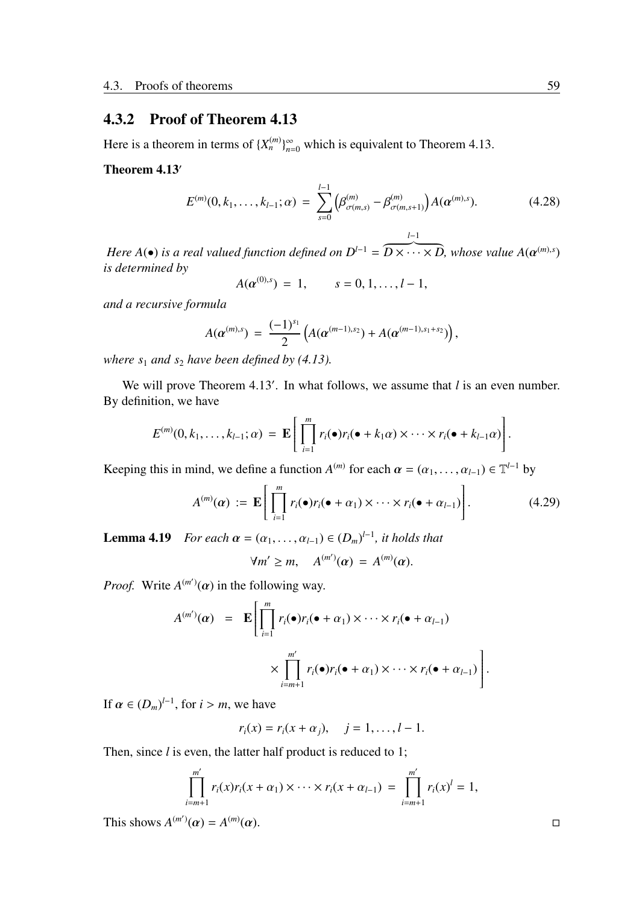# 4.3.2 Proof of Theorem 4.13

Here is a theorem in terms of  $\{X_n^{(m)}\}_{n=0}^{\infty}$  which is equivalent to Theorem 4.13.

### Theorem 4.13′

$$
E^{(m)}(0,k_1,\ldots,k_{l-1};\alpha) = \sum_{s=0}^{l-1} \left(\beta^{(m)}_{\sigma(m,s)} - \beta^{(m)}_{\sigma(m,s+1)}\right) A(\boldsymbol{\alpha}^{(m),s}). \tag{4.28}
$$

*l*−1

*Here A*( $\bullet$ ) *is a real valued function defined on*  $D^{l-1}$  =  $\widetilde{D \times \cdots \times D}$ , whose value  $A(\boldsymbol{\alpha}^{(m),s})$ *is determined by*

$$
A(\alpha^{(0),s}) = 1, \qquad s = 0, 1, \ldots, l-1,
$$

*and a recursive formula*

$$
A(\boldsymbol{\alpha}^{(m),s})\,=\,\frac{(-1)^{s_1}}{2}\left(A(\boldsymbol{\alpha}^{(m-1),s_2})+A(\boldsymbol{\alpha}^{(m-1),s_1+s_2})\right),
$$

*where*  $s_1$  *and*  $s_2$  *have been defined by (4.13).* 

We will prove Theorem 4.13'. In what follows, we assume that *l* is an even number. By definition, we have

$$
E^{(m)}(0,k_1,\ldots,k_{l-1};\alpha) = \mathbf{E}\Bigg[\prod_{i=1}^m r_i(\bullet)r_i(\bullet+k_1\alpha)\times\cdots\times r_i(\bullet+k_{l-1}\alpha)\Bigg].
$$

Keeping this in mind, we define a function  $A^{(m)}$  for each  $\alpha = (\alpha_1, \dots, \alpha_{l-1}) \in \mathbb{T}^{l-1}$  by

$$
A^{(m)}(\alpha) := \mathbf{E}\Bigg[\prod_{i=1}^m r_i(\bullet) r_i(\bullet + \alpha_1) \times \cdots \times r_i(\bullet + \alpha_{l-1})\Bigg]. \tag{4.29}
$$

**Lemma 4.19** *For each*  $\alpha = (\alpha_1, \dots, \alpha_{l-1}) \in (D_m)^{l-1}$ , *it holds that* 

$$
\forall m' \geq m, \quad A^{(m')}(a) = A^{(m)}(a).
$$

*Proof.* Write  $A^{(m')}(a)$  in the following way.

$$
A^{(m')}(\alpha) = \mathbf{E} \left[ \prod_{i=1}^{m} r_i(\bullet) r_i(\bullet + \alpha_1) \times \cdots \times r_i(\bullet + \alpha_{l-1}) \times \prod_{i=m+1}^{m'} r_i(\bullet) r_i(\bullet + \alpha_1) \times \cdots \times r_i(\bullet + \alpha_{l-1}) \right]
$$

If  $\alpha \in (D_m)^{l-1}$ , for  $i > m$ , we have

$$
r_i(x) = r_i(x + \alpha_j), \quad j = 1, ..., l - 1.
$$

Then, since *l* is even, the latter half product is reduced to 1;

$$
\prod_{i=m+1}^{m'} r_i(x)r_i(x+\alpha_1)\times\cdots\times r_i(x+\alpha_{l-1}) = \prod_{i=m+1}^{m'} r_i(x)^l = 1,
$$

This shows  $A^{(m')}(\alpha) = A^{(m)}$  $(\alpha)$ .

.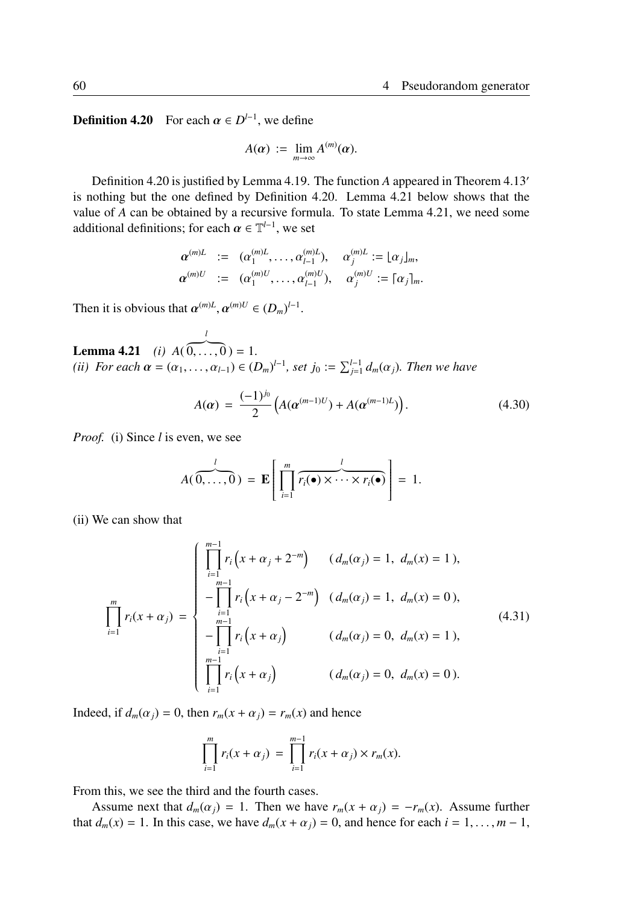**Definition 4.20** For each  $\alpha \in D^{l-1}$ , we define

$$
A(\alpha) := \lim_{m \to \infty} A^{(m)}(\alpha).
$$

Definition 4.20 is justified by Lemma 4.19. The function *A* appeared in Theorem 4.13′ is nothing but the one defined by Definition 4.20. Lemma 4.21 below shows that the value of *A* can be obtained by a recursive formula. To state Lemma 4.21, we need some additional definitions; for each  $\alpha \in \mathbb{T}^{l-1}$ , we set

$$
\begin{array}{rcl}\n\alpha^{(m)L} & := & (\alpha_1^{(m)L}, \dots, \alpha_{l-1}^{(m)L}), \quad \alpha_j^{(m)L} := \lfloor \alpha_j \rfloor_m, \\
\alpha^{(m)U} & := & (\alpha_1^{(m)U}, \dots, \alpha_{l-1}^{(m)U}), \quad \alpha_j^{(m)U} := \lceil \alpha_j \rceil_m.\n\end{array}
$$

Then it is obvious that  $\alpha^{(m)L}, \alpha^{(m)U} \in (D_m)^{l-1}$ .

Lemma 4.21 *(i) A*( *l*  $\overline{0, \ldots, 0}$  = 1. *(ii)* For each  $\alpha = (\alpha_1, \ldots, \alpha_{l-1}) \in (D_m)^{l-1}$ , set  $j_0 := \sum_{j=1}^{l-1} d_m(\alpha_j)$ . Then we have

$$
A(\alpha) = \frac{(-1)^{j_0}}{2} \left( A(\alpha^{(m-1)U}) + A(\alpha^{(m-1)L}) \right). \tag{4.30}
$$

*Proof.* (i) Since *l* is even, we see

$$
A(\overbrace{0,\ldots,0}^{l}) = \mathbf{E}\left[\prod_{i=1}^{m} \overbrace{r_i(\bullet)\times\cdots\times r_i(\bullet)}^{l}\right] = 1.
$$

(ii) We can show that

$$
\prod_{i=1}^{m} r_i(x + \alpha_j) = \begin{cases}\n\prod_{i=1}^{m-1} r_i(x + \alpha_j + 2^{-m}) & (d_m(\alpha_j) = 1, d_m(x) = 1), \\
-\prod_{i=1}^{m-1} r_i(x + \alpha_j - 2^{-m}) & (d_m(\alpha_j) = 1, d_m(x) = 0), \\
-\prod_{i=1}^{m-1} r_i(x + \alpha_j) & (d_m(\alpha_j) = 0, d_m(x) = 1), \\
\prod_{i=1}^{m-1} r_i(x + \alpha_j) & (d_m(\alpha_j) = 0, d_m(x) = 0).\n\end{cases} \tag{4.31}
$$

Indeed, if  $d_m(\alpha_j) = 0$ , then  $r_m(x + \alpha_j) = r_m(x)$  and hence

$$
\prod_{i=1}^{m} r_i(x + \alpha_j) = \prod_{i=1}^{m-1} r_i(x + \alpha_j) \times r_m(x).
$$

From this, we see the third and the fourth cases.

Assume next that  $d_m(\alpha_j) = 1$ . Then we have  $r_m(x + \alpha_j) = -r_m(x)$ . Assume further that  $d_m(x) = 1$ . In this case, we have  $d_m(x + \alpha_j) = 0$ , and hence for each  $i = 1, \ldots, m - 1$ ,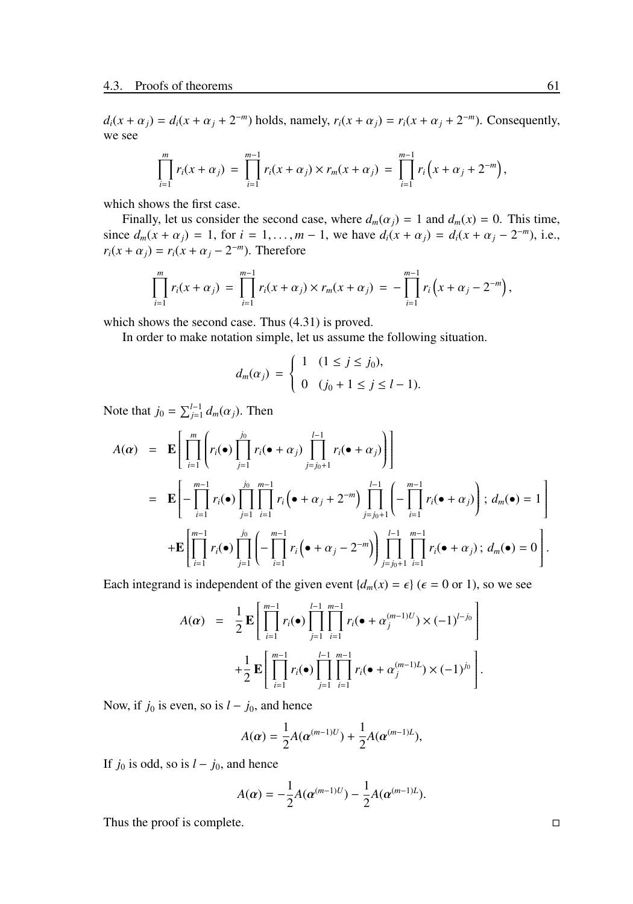$d_i(x + \alpha_j) = d_i(x + \alpha_j + 2^{-m})$  holds, namely,  $r_i(x + \alpha_j) = r_i(x + \alpha_j + 2^{-m})$ . Consequently, we see

$$
\prod_{i=1}^m r_i(x+\alpha_j) = \prod_{i=1}^{m-1} r_i(x+\alpha_j) \times r_m(x+\alpha_j) = \prod_{i=1}^{m-1} r_i(x+\alpha_j+2^{-m}),
$$

which shows the first case.

Finally, let us consider the second case, where  $d_m(\alpha_i) = 1$  and  $d_m(x) = 0$ . This time, since  $d_m(x + \alpha_j) = 1$ , for  $i = 1, ..., m - 1$ , we have  $d_i(x + \alpha_j) = d_i(x + \alpha_j - 2^{-m})$ , i.e.,  $r_i(x + \alpha_j) = r_i(x + \alpha_j - 2^{-m})$ . Therefore

$$
\prod_{i=1}^m r_i(x+\alpha_j) = \prod_{i=1}^{m-1} r_i(x+\alpha_j) \times r_m(x+\alpha_j) = -\prod_{i=1}^{m-1} r_i\Big(x+\alpha_j-2^{-m}\Big),
$$

which shows the second case. Thus (4.31) is proved.

In order to make notation simple, let us assume the following situation.

$$
d_m(\alpha_j) = \begin{cases} 1 & (1 \le j \le j_0), \\ 0 & (j_0 + 1 \le j \le l - 1). \end{cases}
$$

Note that  $j_0 = \sum_{j=1}^{l-1} d_m(\alpha_j)$ . Then

$$
A(\boldsymbol{\alpha}) = \mathbf{E} \Bigg[ \prod_{i=1}^{m} \Bigg( r_i(\bullet) \prod_{j=1}^{j_0} r_i(\bullet + \alpha_j) \prod_{j=j_0+1}^{l-1} r_i(\bullet + \alpha_j) \Bigg) \Bigg] \n= \mathbf{E} \Bigg[ - \prod_{i=1}^{m-1} r_i(\bullet) \prod_{j=1}^{j_0} \prod_{i=1}^{m-1} r_i \Big( \bullet + \alpha_j + 2^{-m} \Big) \prod_{j=j_0+1}^{l-1} \Bigg( - \prod_{i=1}^{m-1} r_i(\bullet + \alpha_j) \Bigg) ; d_m(\bullet) = 1 \Bigg] \n+ \mathbf{E} \Bigg[ \prod_{i=1}^{m-1} r_i(\bullet) \prod_{j=1}^{j_0} \Bigg( - \prod_{i=1}^{m-1} r_i \Big( \bullet + \alpha_j - 2^{-m} \Big) \Bigg) \prod_{j=j_0+1}^{l-1} \prod_{i=1}^{m-1} r_i(\bullet + \alpha_j) ; d_m(\bullet) = 0 \Bigg].
$$

Each integrand is independent of the given event  $\{d_m(x) = \epsilon\}$  ( $\epsilon = 0$  or 1), so we see

$$
A(\alpha) = \frac{1}{2} \mathbf{E} \Bigg[ \prod_{i=1}^{m-1} r_i(\bullet) \prod_{j=1}^{l-1} \prod_{i=1}^{m-1} r_i(\bullet + \alpha_j^{(m-1)U}) \times (-1)^{l-j_0} \Bigg] + \frac{1}{2} \mathbf{E} \Bigg[ \prod_{i=1}^{m-1} r_i(\bullet) \prod_{j=1}^{l-1} \prod_{i=1}^{m-1} r_i(\bullet + \alpha_j^{(m-1)L}) \times (-1)^{j_0} \Bigg].
$$

Now, if  $j_0$  is even, so is  $l - j_0$ , and hence

$$
A(\alpha) = \frac{1}{2}A(\alpha^{(m-1)U}) + \frac{1}{2}A(\alpha^{(m-1)L}),
$$

If  $j_0$  is odd, so is  $l - j_0$ , and hence

$$
A(\alpha) = -\frac{1}{2}A(\alpha^{(m-1)U}) - \frac{1}{2}A(\alpha^{(m-1)L}).
$$

Thus the proof is complete. □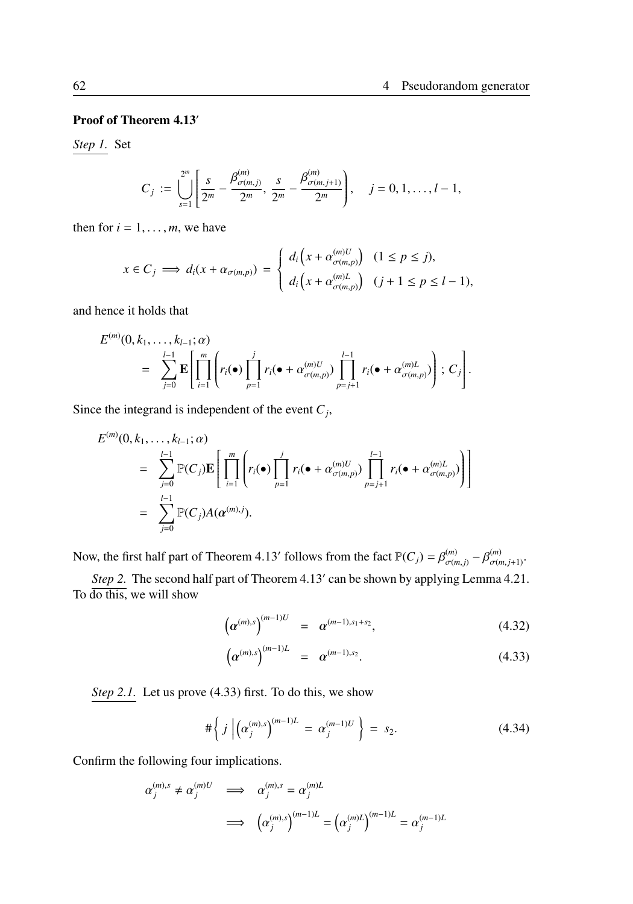### Proof of Theorem 4.13′

*Step 1.* Set

$$
C_j := \bigcup_{s=1}^{2^m} \left[ \frac{s}{2^m} - \frac{\beta_{\sigma(m,j)}^{(m)}}{2^m}, \frac{s}{2^m} - \frac{\beta_{\sigma(m,j+1)}^{(m)}}{2^m} \right], \quad j = 0, 1, \ldots, l-1,
$$

then for  $i = 1, \ldots, m$ , we have

$$
x \in C_j \implies d_i(x + \alpha_{\sigma(m,p)}) = \begin{cases} d_i\left(x + \alpha_{\sigma(m,p)}^{(m)U}\right) & (1 \le p \le j), \\ d_i\left(x + \alpha_{\sigma(m,p)}^{(m)U}\right) & (j+1 \le p \le l-1), \end{cases}
$$

and hence it holds that

$$
E^{(m)}(0,k_1,\ldots,k_{l-1};\alpha) = \sum_{j=0}^{l-1} \mathbf{E} \left[ \prod_{i=1}^m \left( r_i(\bullet) \prod_{p=1}^j r_i(\bullet+\alpha_{\sigma(m,p)}^{(m)U}) \prod_{p=j+1}^{l-1} r_i(\bullet+\alpha_{\sigma(m,p)}^{(m)L}) \right); C_j \right].
$$

Since the integrand is independent of the event  $C_j$ ,

$$
E^{(m)}(0, k_1, \ldots, k_{l-1}; \alpha)
$$
\n
$$
= \sum_{j=0}^{l-1} \mathbb{P}(C_j) \mathbf{E} \left[ \prod_{i=1}^m \left( r_i(\bullet) \prod_{p=1}^j r_i(\bullet + \alpha_{\sigma(m,p)}^{(m)U}) \prod_{p=j+1}^{l-1} r_i(\bullet + \alpha_{\sigma(m,p)}^{(m)U}) \right) \right]
$$
\n
$$
= \sum_{j=0}^{l-1} \mathbb{P}(C_j) A(\alpha^{(m),j}).
$$

Now, the first half part of Theorem 4.13′ follows from the fact  $\mathbb{P}(C_j) = \beta_{\sigma(m,j)}^{(m)} - \beta_{\sigma(m,j+1)}^{(m)}$ .

*Step 2.* The second half part of Theorem 4.13′ can be shown by applying Lemma 4.21. To do this, we will show

$$
\left(\alpha^{(m),s}\right)^{(m-1)U} = \alpha^{(m-1),s_1+s_2}, \tag{4.32}
$$

$$
\left(\alpha^{(m),s}\right)^{(m-1)L} = \alpha^{(m-1),s_2}.
$$
\n(4.33)

*Step 2.1.* Let us prove (4.33) first. To do this, we show

$$
\#\left\{j \left| \left( \alpha_j^{(m),s} \right)^{(m-1)L} = \alpha_j^{(m-1)U} \right. \right\} = s_2. \tag{4.34}
$$

Confirm the following four implications.

$$
\alpha_j^{(m),s} \neq \alpha_j^{(m)U} \implies \alpha_j^{(m),s} = \alpha_j^{(m)L}
$$
  

$$
\implies \left(\alpha_j^{(m),s}\right)^{(m-1)L} = \left(\alpha_j^{(m)L}\right)^{(m-1)L} = \alpha_j^{(m-1)L}
$$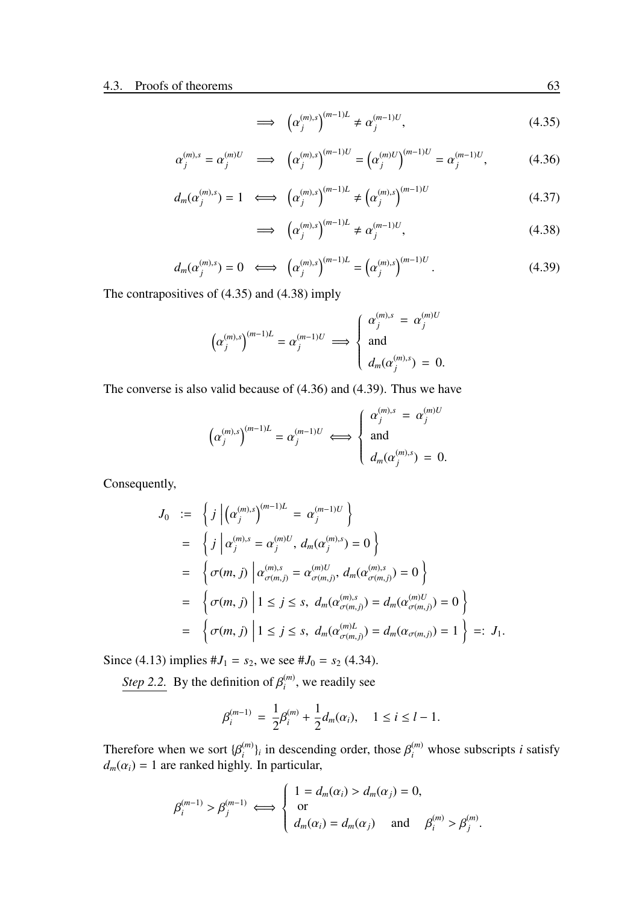$$
\implies \left(\alpha_j^{(m),s}\right)^{(m-1)L} \neq \alpha_j^{(m-1)U},\tag{4.35}
$$

$$
\alpha_j^{(m),s} = \alpha_j^{(m)U} \implies \left( \alpha_j^{(m),s} \right)^{(m-1)U} = \left( \alpha_j^{(m)U} \right)^{(m-1)U} = \alpha_j^{(m-1)U}, \tag{4.36}
$$

$$
d_m(\alpha_j^{(m),s}) = 1 \iff (\alpha_j^{(m),s})^{(m-1)L} \neq (\alpha_j^{(m),s})^{(m-1)U}
$$
 (4.37)

$$
\implies \left(\alpha_j^{(m),s}\right)^{(m-1)L} \neq \alpha_j^{(m-1)U},\tag{4.38}
$$

$$
d_m(\alpha_j^{(m),s}) = 0 \iff (\alpha_j^{(m),s})^{(m-1)L} = (\alpha_j^{(m),s})^{(m-1)U}.
$$
 (4.39)

The contrapositives of (4.35) and (4.38) imply

$$
\left(\alpha_j^{(m),s}\right)^{(m-1)L} = \alpha_j^{(m-1)U} \implies \begin{cases} \alpha_j^{(m),s} = \alpha_j^{(m)U} \\ \text{and} \\ d_m(\alpha_j^{(m),s}) = 0. \end{cases}
$$

The converse is also valid because of (4.36) and (4.39). Thus we have

$$
\left(\alpha_j^{(m),s}\right)^{(m-1)L} = \alpha_j^{(m-1)U} \iff \begin{cases} \alpha_j^{(m),s} = \alpha_j^{(m)U} \\ \text{and} \\ d_m(\alpha_j^{(m),s}) = 0. \end{cases}
$$

Consequently,

$$
J_0 := \left\{ j \left| \left( \alpha_j^{(m),s} \right)^{(m-1)L} = \alpha_j^{(m-1)U} \right\} \right\}
$$
  
\n
$$
= \left\{ j \left| \alpha_j^{(m),s} = \alpha_j^{(m)U}, d_m(\alpha_j^{(m),s}) = 0 \right\} \right\}
$$
  
\n
$$
= \left\{ \sigma(m,j) \left| \alpha_{\sigma(m,j)}^{(m),s} = \alpha_{\sigma(m,j)}^{(m)U}, d_m(\alpha_{\sigma(m,j)}^{(m),s}) = 0 \right\} \right\}
$$
  
\n
$$
= \left\{ \sigma(m,j) \left| 1 \le j \le s, d_m(\alpha_{\sigma(m,j)}^{(m),s}) = d_m(\alpha_{\sigma(m,j)}^{(m)U}) = 0 \right\} \right\}
$$
  
\n
$$
= \left\{ \sigma(m,j) \left| 1 \le j \le s, d_m(\alpha_{\sigma(m,j)}^{(m)U}) = d_m(\alpha_{\sigma(m,j)}) = 1 \right\} =: J_1.
$$

Since (4.13) implies  $#J_1 = s_2$ , we see  $#J_0 = s_2$  (4.34).

*Step 2.2.* By the definition of  $\beta_i^{(m)}$ , we readily see

$$
\beta_i^{(m-1)} = \frac{1}{2}\beta_i^{(m)} + \frac{1}{2}d_m(\alpha_i), \quad 1 \le i \le l-1.
$$

Therefore when we sort  $\{\beta_i^{(m)}\}_i$  in descending order, those  $\beta_i^{(m)}$  whose subscripts *i* satisfy  $d_m(\alpha_i) = 1$  are ranked highly. In particular,

$$
\beta_i^{(m-1)} > \beta_j^{(m-1)} \iff \begin{cases} 1 = d_m(\alpha_i) > d_m(\alpha_j) = 0, \\ \text{or} \\ d_m(\alpha_i) = d_m(\alpha_j) \text{ and } \beta_i^{(m)} > \beta_j^{(m)}.\end{cases}
$$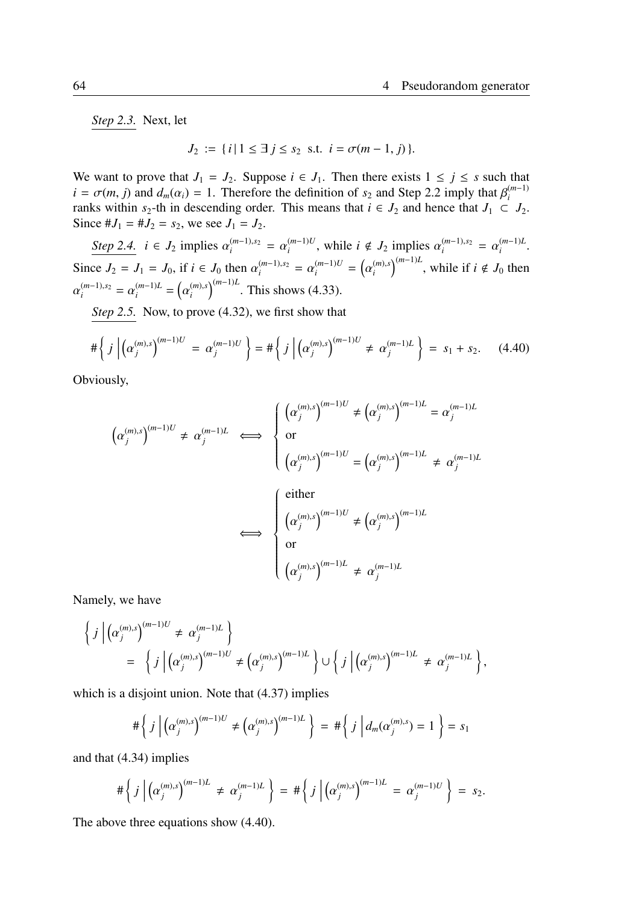*Step 2.3.* Next, let

$$
J_2 := \{ i \mid 1 \leq \exists \ j \leq s_2 \ \text{ s.t. } i = \sigma(m-1, j) \}.
$$

We want to prove that  $J_1 = J_2$ . Suppose  $i \in J_1$ . Then there exists  $1 \le j \le s$  such that  $i = \sigma(m, j)$  and  $d_m(\alpha_i) = 1$ . Therefore the definition of  $s_2$  and Step 2.2 imply that  $\beta_i^{(m-1)}$ ranks within  $s_2$ -th in descending order. This means that  $i \in J_2$  and hence that  $J_1 \subset J_2$ . Since  $#J_1 = #J_2 = s_2$ , we see  $J_1 = J_2$ .

*Step 2.4.*  $i \in J_2$  implies  $\alpha_i^{(m-1),s_2} = \alpha_i^{(m-1)U}$ , while  $i \notin J_2$  implies  $\alpha_i^{(m-1),s_2} = \alpha_i^{(m-1)L}$ . Since  $J_2 = J_1 = J_0$ , if  $i \in J_0$  then  $\alpha_i^{(m-1),s_2} = \alpha_i^{(m-1)U} = (\alpha_i^{(m),s})^{(m-1)L}$ , while if  $i \notin J_0$  then  $\alpha_i^{(m-1),s_2} = \alpha_i^{(m-1)L} = (\alpha_i^{(m),s})^{(m-1)L}$ . This shows (4.33).

*Step 2.5.* Now, to prove (4.32), we first show that

$$
\#\left\{j\left|\left(\alpha_j^{(m),s}\right)^{(m-1)U}=\alpha_j^{(m-1)U}\right.\right\}=\#\left\{j\left|\left(\alpha_j^{(m),s}\right)^{(m-1)U}\neq\alpha_j^{(m-1)L}\right.\right\}=\,s_1+s_2.\qquad(4.40)
$$

Obviously,

$$
\left(\alpha_j^{(m),s}\right)^{(m-1)U} \neq \alpha_j^{(m-1)L} \iff \begin{cases} \left(\alpha_j^{(m),s}\right)^{(m-1)U} \neq \left(\alpha_j^{(m),s}\right)^{(m-1)L} = \alpha_j^{(m-1)L} \\ \text{or} \\ \left(\alpha_j^{(m),s}\right)^{(m-1)U} = \left(\alpha_j^{(m),s}\right)^{(m-1)L} \neq \alpha_j^{(m-1)L} \end{cases}
$$
\n
$$
\iff \begin{cases} \text{either} \\ \left(\alpha_j^{(m),s}\right)^{(m-1)U} \neq \left(\alpha_j^{(m),s}\right)^{(m-1)L} \\ \text{or} \\ \left(\alpha_j^{(m),s}\right)^{(m-1)L} \neq \alpha_j^{(m-1)L} \end{cases}
$$

Namely, we have

$$
\left\{j \left|\left(\alpha_j^{(m),s}\right)^{(m-1)U} \neq \alpha_j^{(m-1)L}\right\}\right\} = \left\{j \left|\left(\alpha_j^{(m),s}\right)^{(m-1)U} \neq \left(\alpha_j^{(m),s}\right)^{(m-1)L}\right\} \cup \left\{j \left|\left(\alpha_j^{(m),s}\right)^{(m-1)L} \neq \alpha_j^{(m-1)L}\right\}\right\},
$$

which is a disjoint union. Note that  $(4.37)$  implies

$$
\#\left\{j\left|\left(\alpha_j^{(m),s}\right)^{(m-1)U}\neq\left(\alpha_j^{(m),s}\right)^{(m-1)L}\right\} = \#\left\{j\left|d_m(\alpha_j^{(m),s})=1\right.\right\} = s_1
$$

and that (4.34) implies

$$
\#\left\{j\left|\left(\alpha_j^{(m),s}\right)^{(m-1)L}\neq\alpha_j^{(m-1)L}\right\}\right\} = \#\left\{j\left|\left(\alpha_j^{(m),s}\right)^{(m-1)L}\right\} = \alpha_j^{(m-1)U}\right\} = s_2.
$$

The above three equations show (4.40).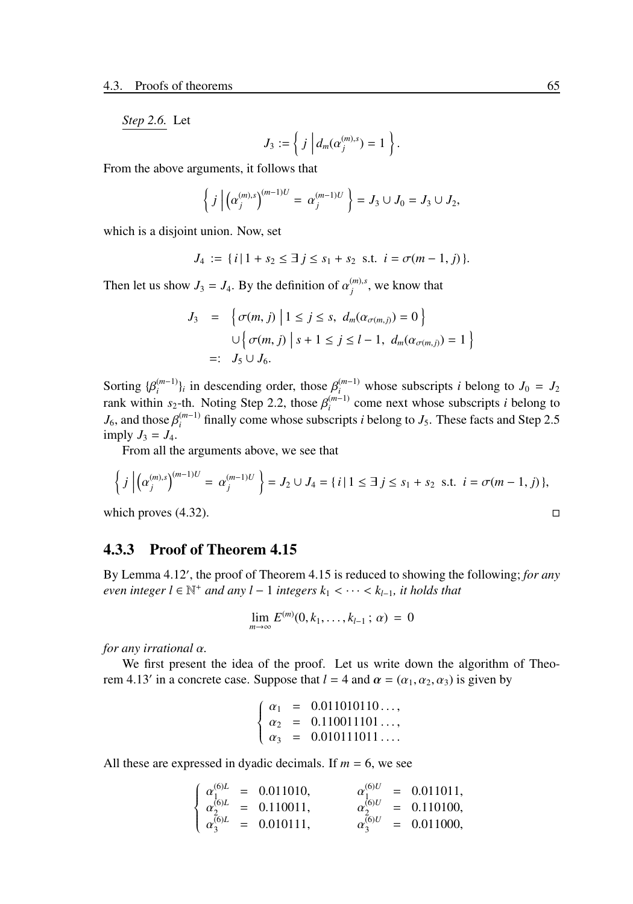*Step 2.6.* Let

$$
J_3 := \left\{ j \middle| d_m(\alpha_j^{(m),s}) = 1 \right\}.
$$

From the above arguments, it follows that

$$
\left\{ j \left| \left( \alpha_j^{(m),s} \right)^{(m-1)U} = \alpha_j^{(m-1)U} \right. \right\} = J_3 \cup J_0 = J_3 \cup J_2,
$$

which is a disjoint union. Now, set

$$
J_4 := \{ i \, | \, 1 + s_2 \leq \exists \, j \leq s_1 + s_2 \, \text{ s.t. } i = \sigma(m-1, j) \}.
$$

Then let us show  $J_3 = J_4$ . By the definition of  $\alpha_j^{(m),s}$ , we know that

$$
J_3 = \left\{ \sigma(m, j) \middle| 1 \le j \le s, d_m(\alpha_{\sigma(m, j)}) = 0 \right\}
$$
  

$$
\cup \left\{ \sigma(m, j) \middle| s + 1 \le j \le l - 1, d_m(\alpha_{\sigma(m, j)}) = 1 \right\}
$$
  

$$
=: J_5 \cup J_6.
$$

Sorting  $\{\beta_i^{(m-1)}\}_i$  in descending order, those  $\beta_i^{(m-1)}$  whose subscripts *i* belong to  $J_0 = J_2$ rank within  $s_2$ -th. Noting Step 2.2, those  $\beta_i^{(m-1)}$  come next whose subscripts *i* belong to  $J_6$ , and those  $\beta_i^{(m-1)}$  finally come whose subscripts *i* belong to  $J_5$ . These facts and Step 2.5 imply  $J_3 = J_4$ .

From all the arguments above, we see that

$$
\left\{ j \left| \left( \alpha_j^{(m),s} \right)^{(m-1)U} = \alpha_j^{(m-1)U} \right. \right\} = J_2 \cup J_4 = \{ i \mid 1 \le \exists j \le s_1 + s_2 \text{ s.t. } i = \sigma(m-1,j) \},
$$
\nwhich proves (4.32).

### 4.3.3 Proof of Theorem 4.15

By Lemma 4.12′ , the proof of Theorem 4.15 is reduced to showing the following; *for any even integer l* ∈  $\mathbb{N}^+$  *and any l* − 1 *integers*  $k_1$  < · · · <  $k_{l-1}$ *, it holds that* 

$$
\lim_{m \to \infty} E^{(m)}(0, k_1, \dots, k_{l-1}; \alpha) = 0
$$

*for any irrational* α*.*

We first present the idea of the proof. Let us write down the algorithm of Theorem 4.13<sup>'</sup> in a concrete case. Suppose that  $l = 4$  and  $\alpha = (\alpha_1, \alpha_2, \alpha_3)$  is given by

$$
\begin{cases}\n\alpha_1 = 0.011010110..., \\
\alpha_2 = 0.110011101..., \\
\alpha_3 = 0.010111011...
$$

All these are expressed in dyadic decimals. If  $m = 6$ , we see

$$
\begin{cases}\n\alpha_1^{(6)L} = 0.011010, & \alpha_1^{(6)U} = 0.011011, \\
\alpha_2^{(6)L} = 0.110011, & \alpha_2^{(6)U} = 0.110100, \\
\alpha_3^{(6)L} = 0.010111, & \alpha_3^{(6)U} = 0.011000,\n\end{cases}
$$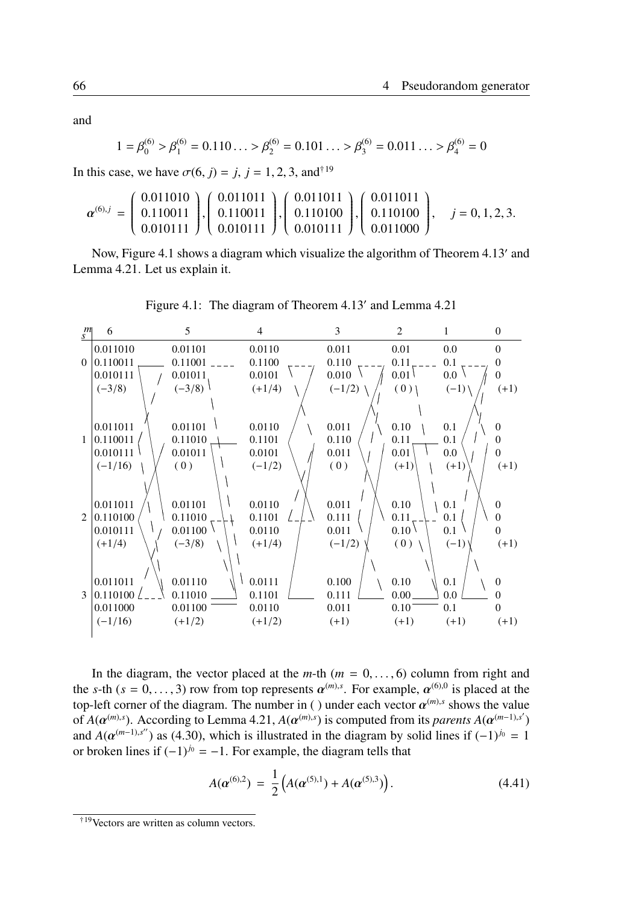and

$$
1 = \beta_0^{(6)} > \beta_1^{(6)} = 0.110... > \beta_2^{(6)} = 0.101... > \beta_3^{(6)} = 0.011... > \beta_4^{(6)} = 0
$$

In this case, we have  $\sigma(6, j) = j$ ,  $j = 1, 2, 3$ , and<sup>†19</sup>

$$
\boldsymbol{\alpha}^{(6),j} = \begin{pmatrix} 0.011010 \\ 0.110011 \\ 0.010111 \end{pmatrix}, \begin{pmatrix} 0.011011 \\ 0.110011 \\ 0.010111 \end{pmatrix}, \begin{pmatrix} 0.011011 \\ 0.110100 \\ 0.010111 \end{pmatrix}, \begin{pmatrix} 0.011011 \\ 0.110100 \\ 0.011000 \end{pmatrix}, \quad j = 0, 1, 2, 3.
$$

Now, Figure 4.1 shows a diagram which visualize the algorithm of Theorem 4.13′ and Lemma 4.21. Let us explain it.



Figure 4.1: The diagram of Theorem 4.13′ and Lemma 4.21

In the diagram, the vector placed at the  $m$ -th  $(m = 0, \ldots, 6)$  column from right and the *s*-th ( $s = 0, ..., 3$ ) row from top represents  $\alpha^{(m),s}$ . For example,  $\alpha^{(6),0}$  is placed at the top-left corner of the diagram. The number in ( ) under each vector  $\alpha^{(m),s}$  shows the value of  $A(\alpha^{(m),s})$ . According to Lemma 4.21,  $A(\alpha^{(m),s})$  is computed from its *parents*  $A(\alpha^{(m-1),s'})$ and *A*( $\alpha^{(m-1),s''}$ ) as (4.30), which is illustrated in the diagram by solid lines if  $(-1)^{j_0} = 1$ or broken lines if  $(-1)^{j_0} = -1$ . For example, the diagram tells that

$$
A(\boldsymbol{\alpha}^{(6),2}) = \frac{1}{2} \left( A(\boldsymbol{\alpha}^{(5),1}) + A(\boldsymbol{\alpha}^{(5),3}) \right). \tag{4.41}
$$

<sup>†</sup>19Vectors are written as column vectors.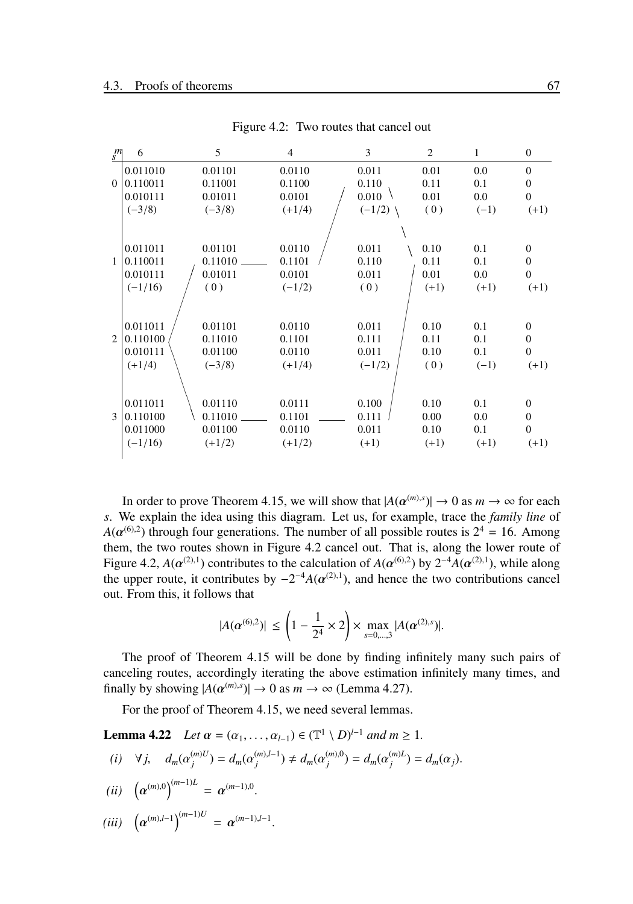| $\frac{m}{s}$ | 6                                             | 5                                         | $\overline{4}$                         | 3                                   | 2                              | 1                           | $\mathbf{0}$                                       |
|---------------|-----------------------------------------------|-------------------------------------------|----------------------------------------|-------------------------------------|--------------------------------|-----------------------------|----------------------------------------------------|
|               | 0.011010                                      | 0.01101                                   | 0.0110                                 | 0.011                               | 0.01                           | 0.0                         | $\Omega$                                           |
| $\Omega$      | 0.110011                                      | 0.11001                                   | 0.1100                                 | 0.110                               | 0.11                           | 0.1                         | $\mathbf{0}$                                       |
|               | 0.010111                                      | 0.01011                                   | 0.0101                                 | 0.010                               | 0.01                           | 0.0                         | $\Omega$                                           |
|               | $(-3/8)$                                      | $(-3/8)$                                  | $(+1/4)$                               | $(-1/2)$                            | (0)                            | $(-1)$                      | $(+1)$                                             |
|               |                                               |                                           |                                        |                                     |                                |                             |                                                    |
|               | 0.011011                                      | 0.01101                                   | 0.0110                                 | 0.011                               | 0.10                           | 0.1                         | $\Omega$                                           |
| $\mathbf{1}$  | 0.110011                                      | $0.11010$ $\qquad$                        | 0.1101                                 | 0.110                               | 0.11                           | 0.1                         | $\Omega$                                           |
|               | 0.010111                                      | 0.01011                                   | 0.0101                                 | 0.011                               | 0.01                           | 0.0                         | $\theta$                                           |
|               | $(-1/16)$                                     | (0)                                       | $(-1/2)$                               | (0)                                 | $(+1)$                         | $(+1)$                      | $(+1)$                                             |
| 2             | 0.011011<br>0.110100<br>0.010111<br>$(+1/4)$  | 0.01101<br>0.11010<br>0.01100<br>$(-3/8)$ | 0.0110<br>0.1101<br>0.0110<br>$(+1/4)$ | 0.011<br>0.111<br>0.011<br>$(-1/2)$ | 0.10<br>0.11<br>0.10<br>(0)    | 0.1<br>0.1<br>0.1<br>$(-1)$ | $\Omega$<br>$\Omega$<br>$\Omega$<br>$(+1)$         |
| 3             | 0.011011<br>0.110100<br>0.011000<br>$(-1/16)$ | 0.01110<br>0.11010<br>0.01100<br>$(+1/2)$ | 0.0111<br>0.1101<br>0.0110<br>$(+1/2)$ | 0.100<br>0.111<br>0.011<br>$(+1)$   | 0.10<br>0.00<br>0.10<br>$(+1)$ | 0.1<br>0.0<br>0.1<br>$(+1)$ | $\mathbf{0}$<br>$\Omega$<br>$\mathbf{0}$<br>$(+1)$ |

Figure 4.2: Two routes that cancel out

In order to prove Theorem 4.15, we will show that  $|A(\alpha^{(m),s})| \to 0$  as  $m \to \infty$  for each *s*. We explain the idea using this diagram. Let us, for example, trace the *family line* of  $A(\boldsymbol{\alpha}^{(6),2})$  through four generations. The number of all possible routes is  $2^4 = 16$ . Among them, the two routes shown in Figure 4.2 cancel out. That is, along the lower route of Figure 4.2,  $A(\alpha^{(2),1})$  contributes to the calculation of  $A(\alpha^{(6),2})$  by  $2^{-4}A(\alpha^{(2),1})$ , while along the upper route, it contributes by  $-2^{-4}A(\alpha^{(2),1})$ , and hence the two contributions cancel out. From this, it follows that

$$
|A(\alpha^{(6),2})| \le \left(1 - \frac{1}{2^4} \times 2\right) \times \max_{s=0,\dots,3} |A(\alpha^{(2),s})|.
$$

The proof of Theorem 4.15 will be done by finding infinitely many such pairs of canceling routes, accordingly iterating the above estimation infinitely many times, and finally by showing  $|A(\alpha^{(m),s})| \to 0$  as  $m \to \infty$  (Lemma 4.27).

For the proof of Theorem 4.15, we need several lemmas.

**Lemma 4.22** *Let*  $\alpha = (\alpha_1, ..., \alpha_{l-1}) \in (\mathbb{T}^1 \setminus D)^{l-1}$  *and*  $m \ge 1$ *.* 

(i)  $\forall j, \quad d_m(\alpha_j^{(m)U}) = d_m(\alpha_j^{(m),l-1}) \neq d_m(\alpha_j^{(m),0}) = d_m(\alpha_j^{(m)L}) = d_m(\alpha_j).$ 

$$
(ii) \quad \left(\alpha^{(m),0}\right)^{(m-1)L} = \alpha^{(m-1),0}.
$$

$$
(iii) \quad \left(\alpha^{(m),l-1}\right)^{(m-1)U} = \alpha^{(m-1),l-1}.
$$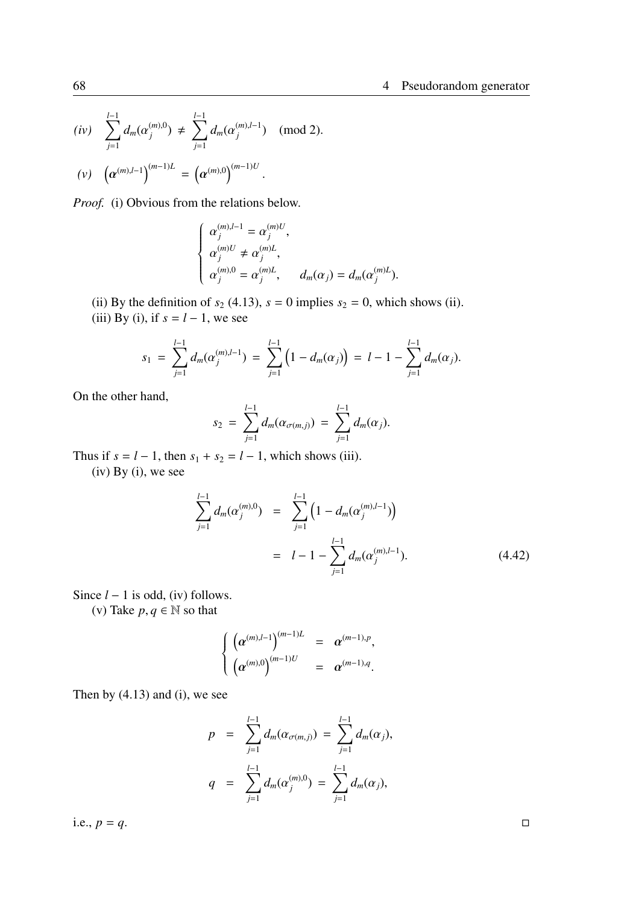$$
\begin{array}{lll} (iv) & \displaystyle \sum_{j=1}^{l-1} d_m(\alpha_j^{(m),0}) \, \neq \, \sum_{j=1}^{l-1} d_m(\alpha_j^{(m),l-1}) \quad \text{(mod 2).} \\ & & \\ (v) & \displaystyle \left(\alpha^{(m),l-1}\right)^{(m-1)L} \, = \, \left(\alpha^{(m),0}\right)^{(m-1)U}. \end{array}
$$

*Proof.* (i) Obvious from the relations below.

$$
\label{eq:2.1} \left\{ \begin{array}{l} \alpha_j^{(m),l-1}=\alpha_j^{(m)U}, \vspace{.1in} \\ \alpha_j^{(m)U}\neq \alpha_j^{(m)L}, \vspace{.1in} \\ \alpha_j^{(m),0}=\alpha_j^{(m)L}, \vspace{.1in} \quad d_m(\alpha_j)=d_m(\alpha_j^{(m)L}). \end{array} \right.
$$

(ii) By the definition of  $s_2$  (4.13),  $s = 0$  implies  $s_2 = 0$ , which shows (ii). (iii) By (i), if  $s = l - 1$ , we see

$$
s_1 = \sum_{j=1}^{l-1} d_m(\alpha_j^{(m),l-1}) = \sum_{j=1}^{l-1} (1 - d_m(\alpha_j)) = l - 1 - \sum_{j=1}^{l-1} d_m(\alpha_j).
$$

On the other hand,

$$
s_2 = \sum_{j=1}^{l-1} d_m(\alpha_{\sigma(m,j)}) = \sum_{j=1}^{l-1} d_m(\alpha_j).
$$

Thus if  $s = l - 1$ , then  $s_1 + s_2 = l - 1$ , which shows (iii).

 $(iv)$  By  $(i)$ , we see

$$
\sum_{j=1}^{l-1} d_m(\alpha_j^{(m),0}) = \sum_{j=1}^{l-1} \left( 1 - d_m(\alpha_j^{(m),l-1}) \right)
$$
  
=  $l - 1 - \sum_{j=1}^{l-1} d_m(\alpha_j^{(m),l-1}).$  (4.42)

Since *l* − 1 is odd, (iv) follows.

(v) Take  $p, q \in \mathbb{N}$  so that

$$
\begin{cases}\n\left(\alpha^{(m),l-1}\right)^{(m-1)L} = \alpha^{(m-1),p},\\
\left(\alpha^{(m),0}\right)^{(m-1)U} = \alpha^{(m-1),q}.\n\end{cases}
$$

Then by  $(4.13)$  and  $(i)$ , we see

$$
p = \sum_{j=1}^{l-1} d_m(\alpha_{\sigma(m,j)}) = \sum_{j=1}^{l-1} d_m(\alpha_j),
$$
  

$$
q = \sum_{j=1}^{l-1} d_m(\alpha_j^{(m),0}) = \sum_{j=1}^{l-1} d_m(\alpha_j),
$$

i.e.,  $p = q$ .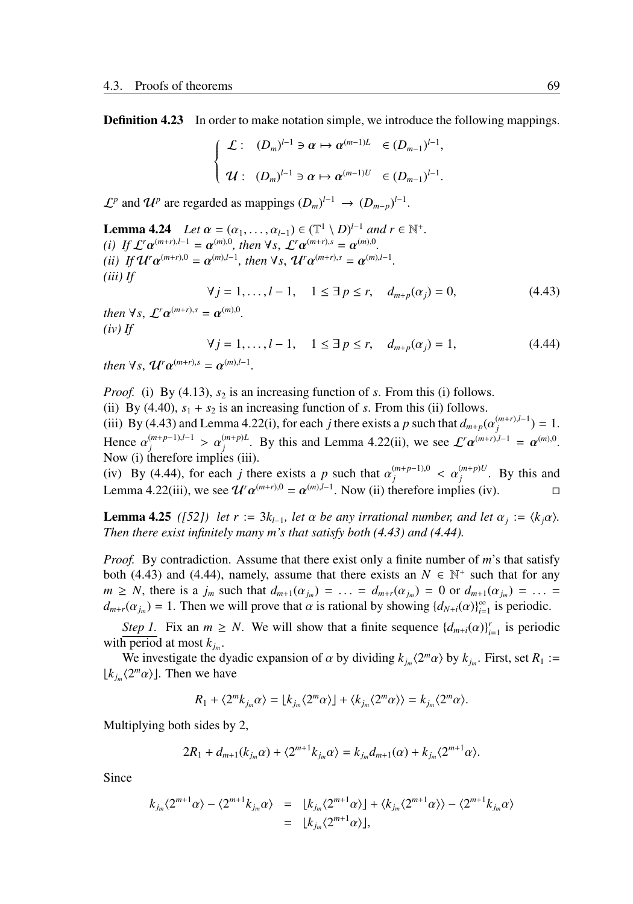**Definition 4.23** In order to make notation simple, we introduce the following mappings.

$$
\label{eq:2.1} \left\{ \begin{array}{ll} \mathcal{L}: & (D_m)^{l-1} \ni \alpha \mapsto \alpha^{(m-1)L} & \in (D_{m-1})^{l-1}, \\\\ \mathcal{U}: & (D_m)^{l-1} \ni \alpha \mapsto \alpha^{(m-1)U} & \in (D_{m-1})^{l-1}. \end{array} \right.
$$

 $\mathcal{L}^p$  and  $\mathcal{U}^p$  are regarded as mappings  $(D_m)^{l-1} \rightarrow (D_{m-p})^{l-1}$ .

**Lemma 4.24** *Let*  $\alpha = (\alpha_1, ..., \alpha_{l-1}) \in (\mathbb{T}^1 \setminus D)^{l-1}$  *and*  $r \in \mathbb{N}^+$ *. (i) If*  $\mathcal{L}^r \alpha^{(m+r),l-1} = \alpha^{(m),0}$ , then  $\forall s$ ,  $\mathcal{L}^r \alpha^{(m+r),s} = \alpha^{(m),0}$ *. (ii) If*  $\mathcal{U}^r \alpha^{(m+r),0} = \alpha^{(m),l-1}$ , then  $\forall s$ ,  $\mathcal{U}^r \alpha^{(m+r),s} = \alpha^{(m),l-1}$ . *(iii) If*  $∀ j = 1, ..., l - 1, 1 ≤ ∃ p ≤ r, d<sub>m+p</sub>(α<sub>i</sub>) = 0,$  (4.43)

*then*  $\forall s, \mathcal{L}^r \alpha^{(m+r),s} = \alpha^{(m),0}$ . *(iv) If*

$$
\forall j = 1, ..., l - 1, \quad 1 \leq \exists p \leq r, \quad d_{m+p}(\alpha_j) = 1,
$$
\n(4.44)

*then*  $\forall s$ ,  $\mathcal{U}^r \alpha^{(m+r),s} = \alpha^{(m),l-1}$ .

*Proof.* (i) By (4.13),  $s_2$  is an increasing function of *s*. From this (i) follows. (ii) By (4.40),  $s_1 + s_2$  is an increasing function of *s*. From this (ii) follows. (iii) By (4.43) and Lemma 4.22(i), for each *j* there exists a *p* such that  $d_{m+p}(\alpha_j^{(m+r),l-1}) = 1$ . Hence  $\alpha_j^{(m+p-1),l-1} > \alpha_j^{(m+p)L}$ . By this and Lemma 4.22(ii), we see  $\mathcal{L}^r \alpha^{(m+r),l-1} = \alpha^{(m),0}$ . Now (i) therefore implies (iii).

(iv) By (4.44), for each *j* there exists a *p* such that  $\alpha_j^{(m+p-1),0} < \alpha_j^{(m+p)U}$ . By this and Lemma 4.22(iii), we see  $\mathcal{U}^r \alpha^{(m+r),0} = \alpha^{(m),l-1}$ . Now (ii) therefore implies (iv).

**Lemma 4.25** *([52]) let*  $r := 3k_{l-1}$ *, let*  $\alpha$  *be any irrational number, and let*  $\alpha_j := \langle k_j \alpha \rangle$ *. Then there exist infinitely many m's that satisfy both (4.43) and (4.44).*

*Proof.* By contradiction. Assume that there exist only a finite number of *m*'s that satisfy both (4.43) and (4.44), namely, assume that there exists an  $N \in \mathbb{N}^+$  such that for any  $m \geq N$ , there is a  $j_m$  such that  $d_{m+1}(\alpha_{j_m}) = \ldots = d_{m+r}(\alpha_{j_m}) = 0$  or  $d_{m+1}(\alpha_{j_m}) = \ldots =$  $d_{m+r}(\alpha_{j_m}) = 1$ . Then we will prove that  $\alpha$  is rational by showing  $\{d_{N+i}(\alpha)\}_{i=1}^{\infty}$  is periodic.

*Step 1*. Fix an  $m \geq N$ . We will show that a finite sequence  $\{d_{m+i}(\alpha)\}_{i=1}^r$  is periodic with period at most  $k_{j_m}$ .

We investigate the dyadic expansion of  $\alpha$  by dividing  $k_{j_m}(2^m\alpha)$  by  $k_{j_m}$ . First, set  $R_1 :=$  $\lfloor k_{j_m} \langle 2^m \alpha \rangle \rfloor$ . Then we have

$$
R_1 + \langle 2^m k_{j_m} \alpha \rangle = \lfloor k_{j_m} \langle 2^m \alpha \rangle \rfloor + \langle k_{j_m} \langle 2^m \alpha \rangle \rangle = k_{j_m} \langle 2^m \alpha \rangle.
$$

Multiplying both sides by 2,

$$
2R_1 + d_{m+1}(k_{j_m}\alpha) + \langle 2^{m+1}k_{j_m}\alpha \rangle = k_{j_m}d_{m+1}(\alpha) + k_{j_m}\langle 2^{m+1}\alpha \rangle.
$$

Since

$$
k_{j_m} \langle 2^{m+1} \alpha \rangle - \langle 2^{m+1} k_{j_m} \alpha \rangle = \lfloor k_{j_m} \langle 2^{m+1} \alpha \rangle \rfloor + \langle k_{j_m} \langle 2^{m+1} \alpha \rangle \rangle - \langle 2^{m+1} k_{j_m} \alpha \rangle
$$
  
=  $\lfloor k_{j_m} \langle 2^{m+1} \alpha \rangle \rfloor$ ,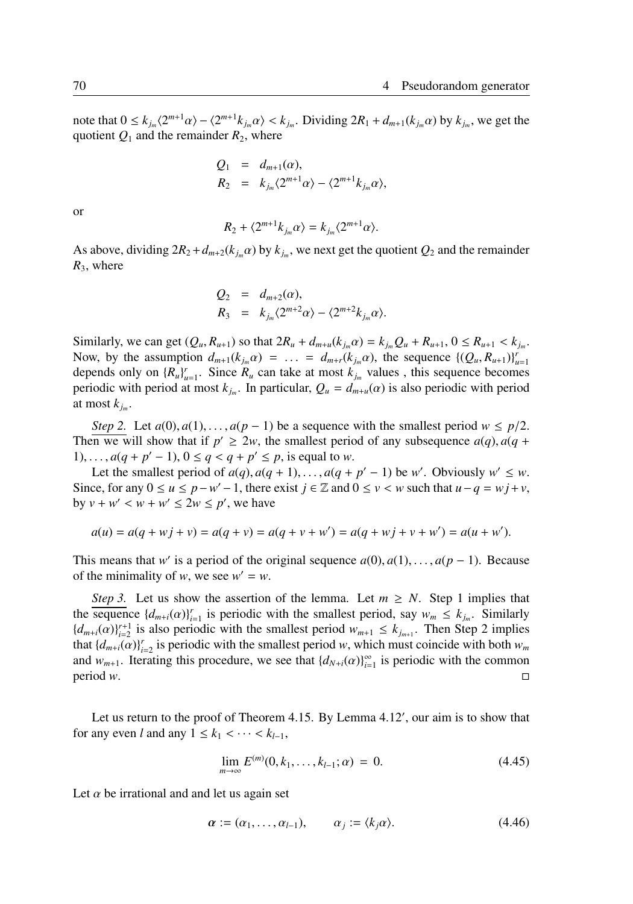note that  $0 \le k_{j_m} \langle 2^{m+1} \alpha \rangle - \langle 2^{m+1} k_{j_m} \alpha \rangle < k_{j_m}$ . Dividing  $2R_1 + d_{m+1}(k_{j_m} \alpha)$  by  $k_{j_m}$ , we get the quotient  $Q_1$  and the remainder  $R_2$ , where

$$
Q_1 = d_{m+1}(\alpha),
$$
  
\n
$$
R_2 = k_{j_m} \langle 2^{m+1} \alpha \rangle - \langle 2^{m+1} k_{j_m} \alpha \rangle,
$$

or

$$
R_2 + \langle 2^{m+1} k_{j_m} \alpha \rangle = k_{j_m} \langle 2^{m+1} \alpha \rangle.
$$

As above, dividing  $2R_2 + d_{m+2}(k_{j_m}\alpha)$  by  $k_{j_m}$ , we next get the quotient  $Q_2$  and the remainder *R*3, where

$$
Q_2 = d_{m+2}(\alpha),
$$
  
\n
$$
R_3 = k_{j_m} \langle 2^{m+2} \alpha \rangle - \langle 2^{m+2} k_{j_m} \alpha \rangle.
$$

Similarly, we can get  $(Q_u, R_{u+1})$  so that  $2R_u + d_{m+u}(k_{j_m}\alpha) = k_{j_m}Q_u + R_{u+1}, 0 \le R_{u+1} < k_{j_m}$ . Now, by the assumption  $d_{m+1}(k_{j_m}\alpha) = \ldots = d_{m+r}(k_{j_m}\alpha)$ , the sequence  $\{(Q_u, R_{u+1})\}_{u=1}^r$ depends only on  ${R_u}_{u=1}^r$ . Since  $R_u$  can take at most  $k_{j_m}$  values, this sequence becomes periodic with period at most  $k_{j_m}$ . In particular,  $Q_u = d_{m+u}(\alpha)$  is also periodic with period at most  $k_{j_m}$ .

*Step 2.* Let  $a(0), a(1), \ldots, a(p-1)$  be a sequence with the smallest period  $w \leq p/2$ . Then we will show that if  $p' \ge 2w$ , the smallest period of any subsequence  $a(q)$ ,  $a(q +$ 1), ...,  $a(q + p' - 1)$ ,  $0 \le q < q + p' \le p$ , is equal to *w*.

Let the smallest period of  $a(q)$ ,  $a(q + 1)$ , ...,  $a(q + p' - 1)$  be *w'*. Obviously  $w' \leq w$ . Since, for any  $0 \le u \le p - w' - 1$ , there exist  $j \in \mathbb{Z}$  and  $0 \le v \le w$  such that  $u - q = wj + v$ , by  $v + w' < w + w' \le 2w \le p'$ , we have

$$
a(u) = a(q + wj + v) = a(q + v) = a(q + v + w') = a(q + wj + v + w') = a(u + w').
$$

This means that *w'* is a period of the original sequence  $a(0), a(1), \ldots, a(p-1)$ . Because of the minimality of *w*, we see  $w' = w$ .

*Step 3.* Let us show the assertion of the lemma. Let  $m \geq N$ . Step 1 implies that the sequence  $\{d_{m+i}(\alpha)\}_{i=1}^r$  is periodic with the smallest period, say  $w_m \le k_{j_m}$ . Similarly  ${d_{m+i}(\alpha)}_{i=2}^{r+1}$  is also periodic with the smallest period  $w_{m+1} \leq k_{j_{m+1}}$ . Then Step 2 implies that  $\{d_{m+i}(\alpha)\}_{i=2}^r$  is periodic with the smallest period *w*, which must coincide with both  $w_m$ and  $w_{m+1}$ . Iterating this procedure, we see that  $\{d_{N+i}(\alpha)\}_{i=1}^{\infty}$  is periodic with the common period *w*. □

Let us return to the proof of Theorem 4.15. By Lemma 4.12', our aim is to show that for any even *l* and any  $1 \leq k_1 < \cdots < k_{l-1}$ ,

$$
\lim_{m \to \infty} E^{(m)}(0, k_1, \dots, k_{l-1}; \alpha) = 0. \tag{4.45}
$$

Let  $\alpha$  be irrational and and let us again set

$$
\alpha := (\alpha_1, \dots, \alpha_{l-1}), \qquad \alpha_j := \langle k_j \alpha \rangle. \tag{4.46}
$$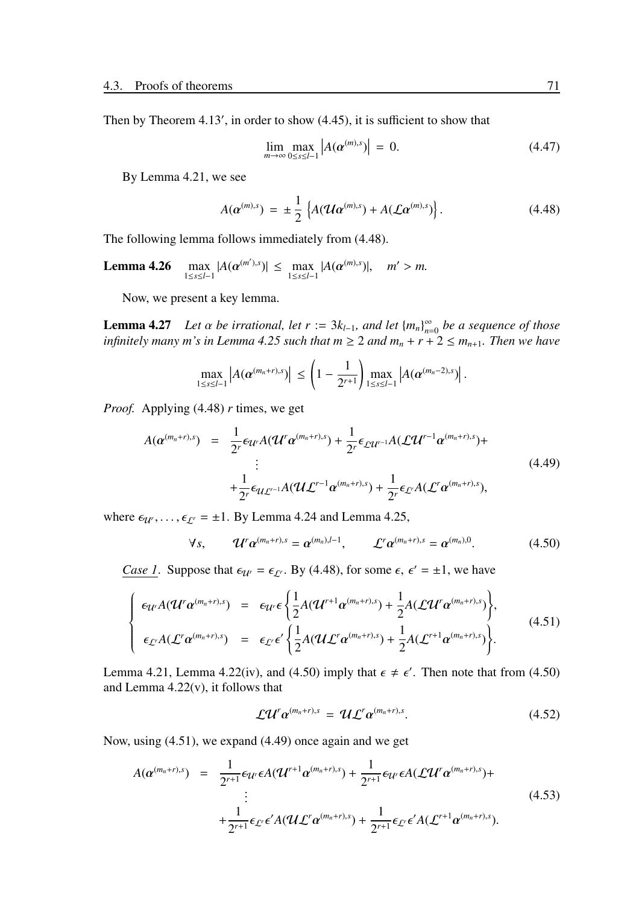Then by Theorem 4.13', in order to show (4.45), it is sufficient to show that

$$
\lim_{m \to \infty} \max_{0 \le s \le l-1} \left| A(\boldsymbol{\alpha}^{(m),s}) \right| = 0. \tag{4.47}
$$

By Lemma 4.21, we see

$$
A(\boldsymbol{\alpha}^{(m),s}) = \pm \frac{1}{2} \left\{ A(\boldsymbol{\mathcal{U}}\boldsymbol{\alpha}^{(m),s}) + A(\boldsymbol{\mathcal{L}}\boldsymbol{\alpha}^{(m),s}) \right\}.
$$
 (4.48)

The following lemma follows immediately from (4.48).

Lemma  $4.26$  $\max_{1 \le s \le l-1} |A(\alpha^{(m'),s})| \le \max_{1 \le s \le l-1} |A(\alpha^{(m),s})|, \quad m' > m.$ 

Now, we present a key lemma.

**Lemma 4.27** *Let*  $\alpha$  *be irrational, let*  $r := 3k_{l-1}$ *, and let*  $\{m_n\}_{n=0}^{\infty}$  *be a sequence of those infinitely many m's in Lemma 4.25 such that*  $m \geq 2$  *and*  $m_n + r + 2 \leq m_{n+1}$ *. Then we have* 

$$
\max_{1\leq s\leq l-1}\left|A(\boldsymbol{\alpha}^{(m_n+r),s})\right| \leq \left(1-\frac{1}{2^{r+1}}\right)\max_{1\leq s\leq l-1}\left|A(\boldsymbol{\alpha}^{(m_n-2),s})\right|.
$$

*Proof.* Applying (4.48) *r* times, we get

$$
A(\boldsymbol{\alpha}^{(m_n+r),s}) = \frac{1}{2^r} \epsilon_{\mathcal{U}^r} A(\mathcal{U}^r \boldsymbol{\alpha}^{(m_n+r),s}) + \frac{1}{2^r} \epsilon_{\mathcal{L}^r \mathcal{U}^{r-1}} A(\mathcal{L} \mathcal{U}^{r-1} \boldsymbol{\alpha}^{(m_n+r),s}) + \\ \vdots \\ + \frac{1}{2^r} \epsilon_{\mathcal{U} \mathcal{L}^{r-1}} A(\mathcal{U} \mathcal{L}^{r-1} \boldsymbol{\alpha}^{(m_n+r),s}) + \frac{1}{2^r} \epsilon_{\mathcal{L}^r} A(\mathcal{L}^r \boldsymbol{\alpha}^{(m_n+r),s}),
$$
\n(4.49)

where  $\epsilon_{\mathcal{U}'}$ , ...,  $\epsilon_{\mathcal{L}'} = \pm 1$ . By Lemma 4.24 and Lemma 4.25,

$$
\forall s, \qquad \mathcal{U}^r \alpha^{(m_n+r),s} = \alpha^{(m_n),l-1}, \qquad \mathcal{L}^r \alpha^{(m_n+r),s} = \alpha^{(m_n),0}.
$$
 (4.50)

*Case 1*. Suppose that  $\epsilon_{U} = \epsilon_{U}$ . By (4.48), for some  $\epsilon$ ,  $\epsilon' = \pm 1$ , we have

$$
\begin{cases}\n\epsilon_{\mathcal{U}'}A(\mathcal{U}^r\alpha^{(m_n+r),s}) = \epsilon_{\mathcal{U}'}\epsilon\left\{\frac{1}{2}A(\mathcal{U}^{r+1}\alpha^{(m_n+r),s}) + \frac{1}{2}A(\mathcal{L}\mathcal{U}^r\alpha^{(m_n+r),s})\right\}, \\
\epsilon_{\mathcal{L}'}A(\mathcal{L}^r\alpha^{(m_n+r),s}) = \epsilon_{\mathcal{L}'}\epsilon'\left\{\frac{1}{2}A(\mathcal{U}\mathcal{L}^r\alpha^{(m_n+r),s}) + \frac{1}{2}A(\mathcal{L}^{r+1}\alpha^{(m_n+r),s})\right\}.\n\end{cases} \tag{4.51}
$$

Lemma 4.21, Lemma 4.22(iv), and (4.50) imply that  $\epsilon \neq \epsilon'$ . Then note that from (4.50) and Lemma  $4.22(v)$ , it follows that

$$
\mathcal{L}\mathcal{U}^r \alpha^{(m_n+r),s} = \mathcal{U}\mathcal{L}^r \alpha^{(m_n+r),s}.
$$
 (4.52)

Now, using (4.51), we expand (4.49) once again and we get

$$
A(\alpha^{(m_n+r),s}) = \frac{1}{2^{r+1}} \epsilon_{\mathcal{U}^r} \epsilon A(\mathcal{U}^{r+1} \alpha^{(m_n+r),s}) + \frac{1}{2^{r+1}} \epsilon_{\mathcal{U}^r} \epsilon A(\mathcal{L} \mathcal{U}^r \alpha^{(m_n+r),s}) + \frac{1}{2^{r+1}} \epsilon_{\mathcal{L}^r} \epsilon' A(\mathcal{U} \mathcal{L}^r \alpha^{(m_n+r),s}) + \frac{1}{2^{r+1}} \epsilon_{\mathcal{L}^r} \epsilon' A(\mathcal{L}^{r+1} \alpha^{(m_n+r),s}).
$$
\n(4.53)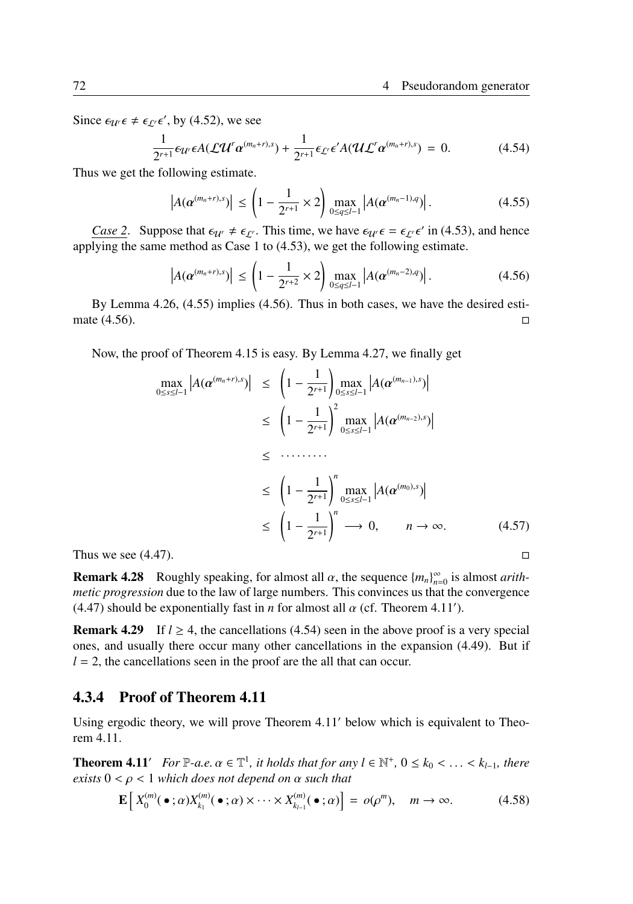Since  $\epsilon_{\mathcal{U}'}\epsilon \neq \epsilon_{\mathcal{L}'}\epsilon'$ , by (4.52), we see

$$
\frac{1}{2^{r+1}}\epsilon_{\mathcal{U}'}\epsilon A(\mathcal{L}\mathcal{U}^r\alpha^{(m_n+r),s}) + \frac{1}{2^{r+1}}\epsilon_{\mathcal{L}'}\epsilon' A(\mathcal{U}\mathcal{L}^r\alpha^{(m_n+r),s}) = 0.
$$
 (4.54)

Thus we get the following estimate.

$$
\left| A(\alpha^{(m_n+r),s}) \right| \le \left( 1 - \frac{1}{2^{r+1}} \times 2 \right) \max_{0 \le q \le l-1} \left| A(\alpha^{(m_n-1),q}) \right|.
$$
 (4.55)

*Case 2.* Suppose that  $\epsilon_{U} \neq \epsilon_{L'}$ . This time, we have  $\epsilon_{U'} \epsilon = \epsilon_{L'} \epsilon'$  in (4.53), and hence applying the same method as Case 1 to (4.53), we get the following estimate.

$$
\left| A(\boldsymbol{\alpha}^{(m_n+r),s}) \right| \le \left( 1 - \frac{1}{2^{r+2}} \times 2 \right) \max_{0 \le q \le l-1} \left| A(\boldsymbol{\alpha}^{(m_n-2),q}) \right|.
$$
 (4.56)

By Lemma 4.26, (4.55) implies (4.56). Thus in both cases, we have the desired estimate  $(4.56)$ . □

Now, the proof of Theorem 4.15 is easy. By Lemma 4.27, we finally get

$$
\max_{0 \le s \le l-1} |A(\alpha^{(m_n+r),s})| \le \left(1 - \frac{1}{2^{r+1}}\right) \max_{0 \le s \le l-1} |A(\alpha^{(m_{n-1}),s})|
$$
  
\n
$$
\le \left(1 - \frac{1}{2^{r+1}}\right)^2 \max_{0 \le s \le l-1} |A(\alpha^{(m_{n-2}),s})|
$$
  
\n
$$
\le \dots \dots
$$
  
\n
$$
\le \left(1 - \frac{1}{2^{r+1}}\right)^n \max_{0 \le s \le l-1} |A(\alpha^{(m_0),s})|
$$
  
\n
$$
\le \left(1 - \frac{1}{2^{r+1}}\right)^n \longrightarrow 0, \qquad n \to \infty.
$$
 (4.57)

**Remark 4.28** Roughly speaking, for almost all  $\alpha$ , the sequence  ${m_n}_{n=0}^{\infty}$  is almost *arithmetic progression* due to the law of large numbers. This convinces us that the convergence (4.47) should be exponentially fast in *n* for almost all  $\alpha$  (cf. Theorem 4.11').

**Remark 4.29** If  $l \geq 4$ , the cancellations (4.54) seen in the above proof is a very special ones, and usually there occur many other cancellations in the expansion (4.49). But if  $l = 2$ , the cancellations seen in the proof are the all that can occur.

### 4.3.4 Proof of Theorem 4.11

Using ergodic theory, we will prove Theorem 4.11′ below which is equivalent to Theorem 4.11.

**Theorem 4.11′** *For*  $\mathbb{P}\text{-}a.e.$   $\alpha \in \mathbb{T}^1$ , it holds that for any  $l \in \mathbb{N}^+$ ,  $0 \leq k_0 < \ldots < k_{l-1}$ , there *exists* 0 < ρ < 1 *which does not depend on* α *such that*

$$
\mathbf{E}\left[X_0^{(m)}(\bullet;\alpha)X_{k_1}^{(m)}(\bullet;\alpha)\times\cdots\times X_{k_{l-1}}^{(m)}(\bullet;\alpha)\right]=o(\rho^m),\quad m\to\infty.
$$
 (4.58)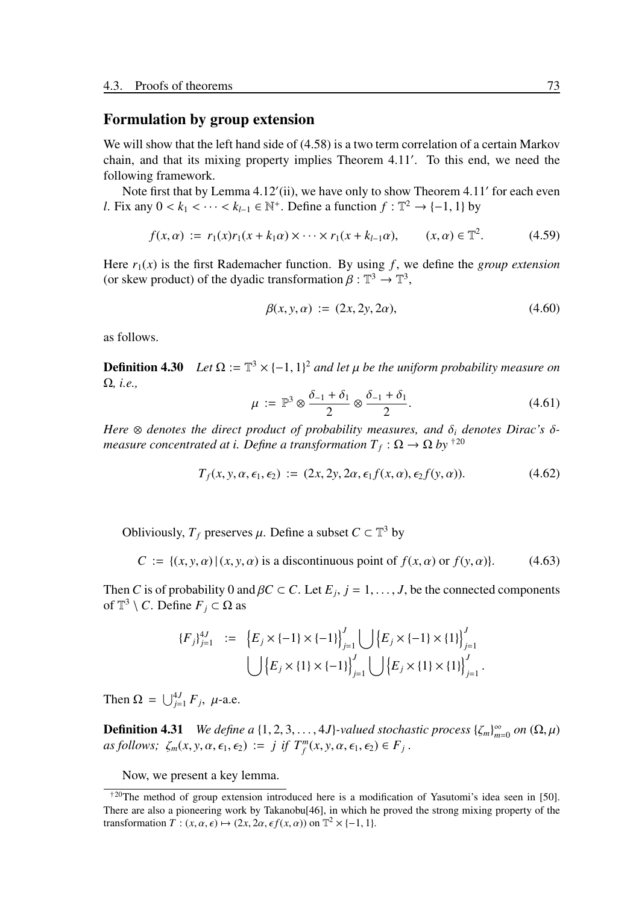### Formulation by group extension

We will show that the left hand side of  $(4.58)$  is a two term correlation of a certain Markov chain, and that its mixing property implies Theorem 4.11′ . To this end, we need the following framework.

Note first that by Lemma 4.12'(ii), we have only to show Theorem 4.11' for each even *l*. Fix any  $0 < k_1 < \cdots < k_{l-1} \in \mathbb{N}^+$ . Define a function  $f : \mathbb{T}^2 \to \{-1, 1\}$  by

$$
f(x, \alpha) := r_1(x)r_1(x + k_1\alpha) \times \dots \times r_1(x + k_{l-1}\alpha), \qquad (x, \alpha) \in \mathbb{T}^2. \tag{4.59}
$$

Here  $r_1(x)$  is the first Rademacher function. By using f, we define the *group extension* (or skew product) of the dyadic transformation  $\beta : \mathbb{T}^3 \to \mathbb{T}^3$ ,

$$
\beta(x, y, \alpha) := (2x, 2y, 2\alpha), \tag{4.60}
$$

as follows.

**Definition 4.30** *Let*  $\Omega := \mathbb{T}^3 \times \{-1, 1\}^2$  *and let*  $\mu$  *be the uniform probability measure on* Ω*, i.e.,*

$$
\mu := \mathbb{P}^3 \otimes \frac{\delta_{-1} + \delta_1}{2} \otimes \frac{\delta_{-1} + \delta_1}{2}.
$$
 (4.61)

*Here*  $\otimes$  *denotes the direct product of probability measures, and*  $\delta_i$  *denotes Dirac's*  $\delta$ *measure concentrated at i. Define a transformation*  $T_f$  *:*  $\Omega \rightarrow \Omega$  *by* <sup>†20</sup>

$$
T_f(x, y, \alpha, \epsilon_1, \epsilon_2) := (2x, 2y, 2\alpha, \epsilon_1 f(x, \alpha), \epsilon_2 f(y, \alpha)). \tag{4.62}
$$

Obliviously,  $T_f$  preserves  $\mu$ . Define a subset  $C \subset \mathbb{T}^3$  by

$$
C := \{(x, y, \alpha) | (x, y, \alpha) \text{ is a discontinuous point of } f(x, \alpha) \text{ or } f(y, \alpha) \}. \tag{4.63}
$$

Then *C* is of probability 0 and  $\beta C \subset C$ . Let  $E_j$ ,  $j = 1, \ldots, J$ , be the connected components of  $\mathbb{T}^3 \setminus C$ . Define  $F_j \subset \Omega$  as

$$
{F_j}_{j=1}^{4J} := {E_j \times \{-1\} \times \{-1\}}_{j=1}^{J} \bigcup {E_j \times \{-1\} \times \{1\}}_{j=1}^{J}
$$

$$
\bigcup {E_j \times \{1\} \times \{-1\}}_{j=1}^{J} \bigcup {E_j \times \{1\} \times \{1\}}_{j=1}^{J}.
$$

Then  $\Omega = \bigcup_{j=1}^{4J} F_j$ ,  $\mu$ -a.e.

**Definition 4.31** *We define a*  $\{1, 2, 3, ..., 4J\}$ *-valued stochastic process*  $\{\zeta_m\}_{m=0}^{\infty}$  *on*  $(\Omega, \mu)$  $as follows; \zeta_m(x, y, \alpha, \epsilon_1, \epsilon_2) := j \text{ if } T_f^m(x, y, \alpha, \epsilon_1, \epsilon_2) \in F_j.$ 

Now, we present a key lemma.

 $\text{A}^{20}$ The method of group extension introduced here is a modification of Yasutomi's idea seen in [50]. There are also a pioneering work by Takanobu[46], in which he proved the strong mixing property of the transformation  $T : (x, \alpha, \epsilon) \mapsto (2x, 2\alpha, \epsilon f(x, \alpha))$  on  $\mathbb{T}^2 \times \{-1, 1\}$ .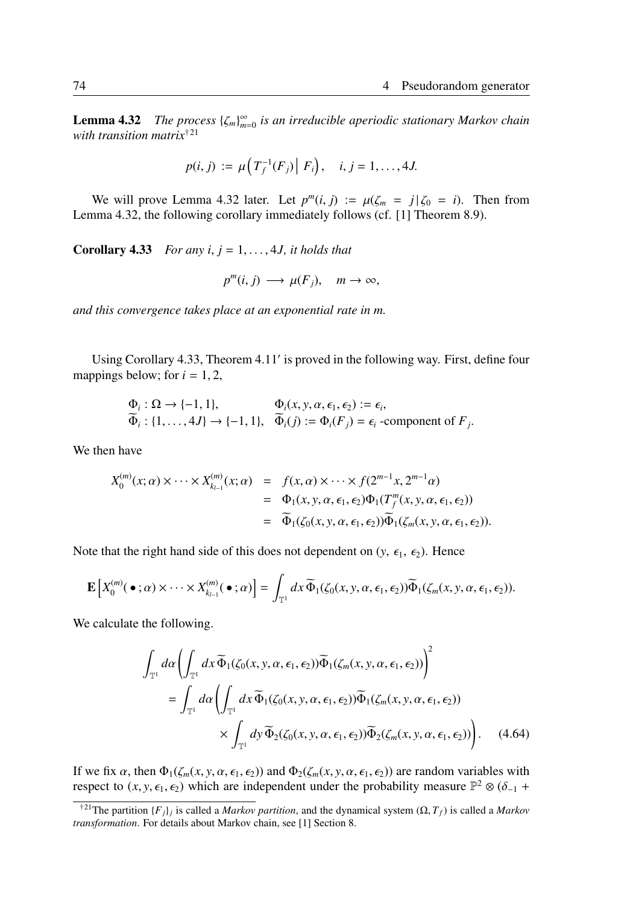**Lemma 4.32** *The process*  $\{\zeta_m\}_{m=0}^{\infty}$  *is an irreducible aperiodic stationary Markov chain with transition matrix*†<sup>21</sup>

$$
p(i, j) := \mu\left(T_f^{-1}(F_j) \,|\, F_i\right), \quad i, j = 1, ..., 4J.
$$

We will prove Lemma 4.32 later. Let  $p^m(i, j) := \mu(\zeta_m = j | \zeta_0 = i)$ . Then from Lemma 4.32, the following corollary immediately follows (cf. [1] Theorem 8.9).

**Corollary 4.33** *For any i, j* = 1, . . . , 4*J, it holds that* 

$$
p^m(i, j) \longrightarrow \mu(F_j), \quad m \to \infty,
$$

*and this convergence takes place at an exponential rate in m.*

Using Corollary 4.33, Theorem 4.11′ is proved in the following way. First, define four mappings below; for  $i = 1, 2$ ,

$$
\Phi_i: \Omega \to \{-1, 1\}, \qquad \Phi_i(x, y, \alpha, \epsilon_1, \epsilon_2) := \epsilon_i, \n\Phi_i: \{1, \dots, 4J\} \to \{-1, 1\}, \quad \Phi_i(j) := \Phi_i(F_j) = \epsilon_i
$$
-component of  $F_j$ .

We then have

$$
X_0^{(m)}(x;\alpha) \times \cdots \times X_{k_{l-1}}^{(m)}(x;\alpha) = f(x,\alpha) \times \cdots \times f(2^{m-1}x, 2^{m-1}\alpha)
$$
  
=  $\Phi_1(x, y, \alpha, \epsilon_1, \epsilon_2) \Phi_1(T_f^m(x, y, \alpha, \epsilon_1, \epsilon_2))$   
=  $\widetilde{\Phi}_1(\zeta_0(x, y, \alpha, \epsilon_1, \epsilon_2)) \widetilde{\Phi}_1(\zeta_m(x, y, \alpha, \epsilon_1, \epsilon_2)).$ 

Note that the right hand side of this does not dependent on  $(y, \epsilon_1, \epsilon_2)$ . Hence

$$
\mathbf{E}\left[X_0^{(m)}(\bullet;\alpha)\times\cdots\times X_{k_{l-1}}^{(m)}(\bullet;\alpha)\right]=\int_{\mathbb{T}^1}dx\,\widetilde{\Phi}_1(\zeta_0(x,y,\alpha,\epsilon_1,\epsilon_2))\widetilde{\Phi}_1(\zeta_m(x,y,\alpha,\epsilon_1,\epsilon_2)).
$$

We calculate the following.

$$
\int_{\mathbb{T}^1} d\alpha \left( \int_{\mathbb{T}^1} dx \, \widetilde{\Phi}_1(\zeta_0(x, y, \alpha, \epsilon_1, \epsilon_2)) \widetilde{\Phi}_1(\zeta_m(x, y, \alpha, \epsilon_1, \epsilon_2)) \right)^2
$$
\n
$$
= \int_{\mathbb{T}^1} d\alpha \left( \int_{\mathbb{T}^1} dx \, \widetilde{\Phi}_1(\zeta_0(x, y, \alpha, \epsilon_1, \epsilon_2)) \widetilde{\Phi}_1(\zeta_m(x, y, \alpha, \epsilon_1, \epsilon_2)) \times \int_{\mathbb{T}^1} dy \, \widetilde{\Phi}_2(\zeta_0(x, y, \alpha, \epsilon_1, \epsilon_2)) \widetilde{\Phi}_2(\zeta_m(x, y, \alpha, \epsilon_1, \epsilon_2)) \right). \tag{4.64}
$$

If we fix  $\alpha$ , then  $\Phi_1(\zeta_m(x, y, \alpha, \epsilon_1, \epsilon_2))$  and  $\Phi_2(\zeta_m(x, y, \alpha, \epsilon_1, \epsilon_2))$  are random variables with respect to  $(x, y, \epsilon_1, \epsilon_2)$  which are independent under the probability measure  $\mathbb{P}^2 \otimes (\delta_{-1} +$ 

<sup>&</sup>lt;sup>†21</sup>The partition  ${F_i}_j$  is called a *Markov partition*, and the dynamical system  $(\Omega, T_f)$  is called a *Markov transformation*. For details about Markov chain, see [1] Section 8.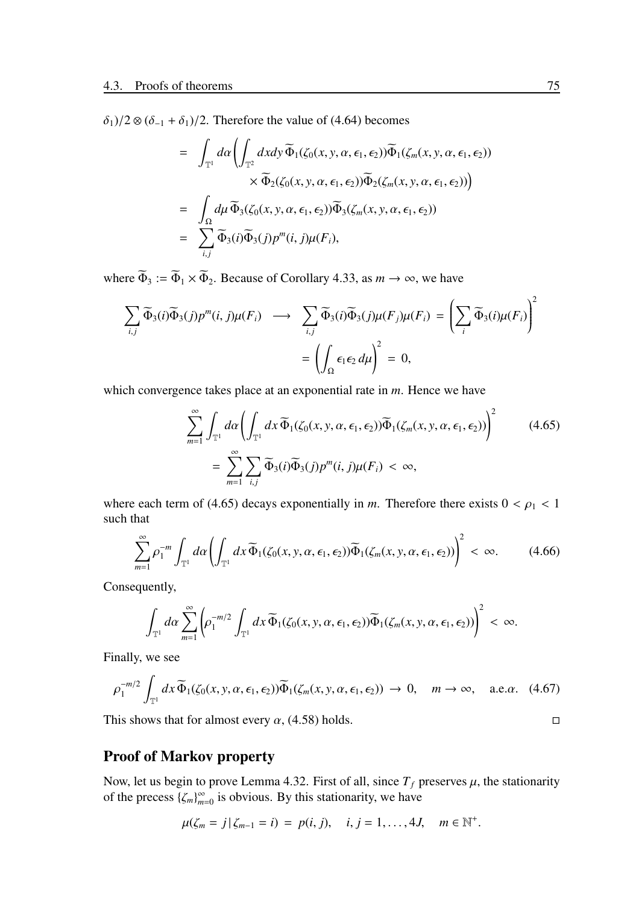$\delta_1$ )/2 ⊗ ( $\delta_{-1}$  +  $\delta_1$ )/2. Therefore the value of (4.64) becomes

$$
= \int_{\mathbb{T}^1} d\alpha \left( \int_{\mathbb{T}^2} dxdy \, \widetilde{\Phi}_1(\zeta_0(x, y, \alpha, \epsilon_1, \epsilon_2)) \widetilde{\Phi}_1(\zeta_m(x, y, \alpha, \epsilon_1, \epsilon_2)) \times \widetilde{\Phi}_2(\zeta_0(x, y, \alpha, \epsilon_1, \epsilon_2)) \widetilde{\Phi}_2(\zeta_m(x, y, \alpha, \epsilon_1, \epsilon_2)) \right)
$$
\n
$$
= \int_{\Omega} d\mu \, \widetilde{\Phi}_3(\zeta_0(x, y, \alpha, \epsilon_1, \epsilon_2)) \widetilde{\Phi}_3(\zeta_m(x, y, \alpha, \epsilon_1, \epsilon_2))
$$
\n
$$
= \sum_{i,j} \widetilde{\Phi}_3(i) \widetilde{\Phi}_3(j) p^m(i, j) \mu(F_i),
$$

where  $\widetilde{\Phi}_3 := \widetilde{\Phi}_1 \times \widetilde{\Phi}_2$ . Because of Corollary 4.33, as  $m \to \infty$ , we have

$$
\sum_{i,j} \widetilde{\Phi}_3(i) \widetilde{\Phi}_3(j) p^m(i,j) \mu(F_i) \longrightarrow \sum_{i,j} \widetilde{\Phi}_3(i) \widetilde{\Phi}_3(j) \mu(F_j) \mu(F_i) = \left(\sum_i \widetilde{\Phi}_3(i) \mu(F_i)\right)^2
$$

$$
= \left(\int_{\Omega} \epsilon_1 \epsilon_2 d\mu\right)^2 = 0,
$$

which convergence takes place at an exponential rate in *m*. Hence we have

$$
\sum_{m=1}^{\infty} \int_{\mathbb{T}^1} d\alpha \left( \int_{\mathbb{T}^1} dx \, \widetilde{\Phi}_1(\zeta_0(x, y, \alpha, \epsilon_1, \epsilon_2)) \widetilde{\Phi}_1(\zeta_m(x, y, \alpha, \epsilon_1, \epsilon_2)) \right)^2 \qquad (4.65)
$$

$$
= \sum_{m=1}^{\infty} \sum_{i,j} \widetilde{\Phi}_3(i) \widetilde{\Phi}_3(j) p^m(i,j) \mu(F_i) < \infty,
$$

where each term of (4.65) decays exponentially in *m*. Therefore there exists  $0 < \rho_1 < 1$ such that

$$
\sum_{m=1}^{\infty} \rho_1^{-m} \int_{\mathbb{T}^1} d\alpha \left( \int_{\mathbb{T}^1} dx \, \widetilde{\Phi}_1(\zeta_0(x, y, \alpha, \epsilon_1, \epsilon_2)) \widetilde{\Phi}_1(\zeta_m(x, y, \alpha, \epsilon_1, \epsilon_2)) \right)^2 < \infty. \tag{4.66}
$$

Consequently,

$$
\int_{\mathbb{T}^1} d\alpha \sum_{m=1}^{\infty} \left( \rho_1^{-m/2} \int_{\mathbb{T}^1} dx \, \widetilde{\Phi}_1(\zeta_0(x, y, \alpha, \epsilon_1, \epsilon_2)) \widetilde{\Phi}_1(\zeta_m(x, y, \alpha, \epsilon_1, \epsilon_2)) \right)^2 < \infty.
$$

Finally, we see

$$
\rho_1^{-m/2} \int_{\mathbb{T}^1} dx \, \widetilde{\Phi}_1(\zeta_0(x, y, \alpha, \epsilon_1, \epsilon_2)) \widetilde{\Phi}_1(\zeta_m(x, y, \alpha, \epsilon_1, \epsilon_2)) \to 0, \quad m \to \infty, \quad \text{a.e.} \alpha. \tag{4.67}
$$

This shows that for almost every  $\alpha$ , (4.58) holds.  $\Box$ 

# Proof of Markov property

Now, let us begin to prove Lemma 4.32. First of all, since  $T_f$  preserves  $\mu$ , the stationarity of the precess  $\{\zeta_m\}_{m=0}^{\infty}$  is obvious. By this stationarity, we have

$$
\mu(\zeta_m = j | \zeta_{m-1} = i) = p(i, j), \quad i, j = 1, ..., 4J, \quad m \in \mathbb{N}^+.
$$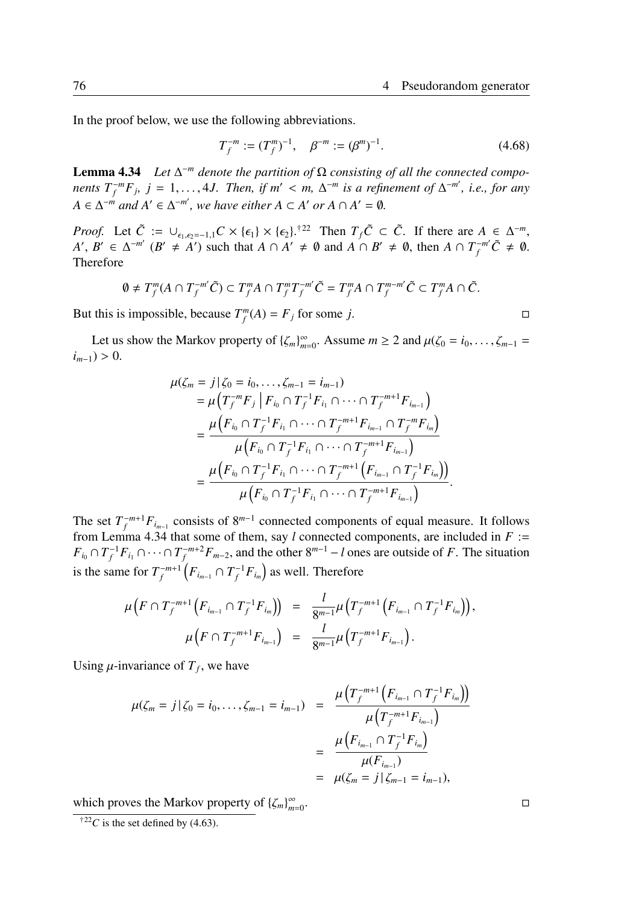In the proof below, we use the following abbreviations.

$$
T_f^{-m} := (T_f^m)^{-1}, \quad \beta^{-m} := (\beta^m)^{-1}.
$$
 (4.68)

**Lemma 4.34** *Let*  $\Delta^{-m}$  *denote the partition of*  $\Omega$  *consisting of all the connected components*  $T_f^{-m}F_j$ ,  $j = 1, \ldots, 4J$ . Then, if  $m' < m$ ,  $\Delta^{-m}$  is a refinement of  $\Delta^{-m'}$ , i.e., for any  $A \in \Delta^{-m}$  *and*  $A' \in \Delta^{-m'}$ , we have either  $A \subset A'$  or  $A \cap A' = \emptyset$ .

*Proof.* Let  $\tilde{C} := \bigcup_{\epsilon_1, \epsilon_2 = -1, 1} C \times \{\epsilon_1\} \times \{\epsilon_2\}$ .<sup>†22</sup> Then  $T_f \tilde{C} \subset \tilde{C}$ . If there are  $A \in \Delta^{-m}$ ,  $A', B' \in \Delta^{-m'}$  ( $B' \neq A'$ ) such that  $A \cap A' \neq \emptyset$  and  $A \cap B' \neq \emptyset$ , then  $A \cap T_f^{-m'}\tilde{C} \neq \emptyset$ . Therefore

$$
0 \neq T_f^m(A \cap T_f^{-m'}\tilde{C}) \subset T_f^m A \cap T_f^m T_f^{-m'}\tilde{C} = T_f^m A \cap T_f^{m-m'}\tilde{C} \subset T_f^m A \cap \tilde{C}.
$$

But this is impossible, because  $T_f^m(A) = F_j$  for some *j*.  $\Box$ 

Let us show the Markov property of  $\{\zeta_m\}_{m=0}^{\infty}$ . Assume  $m \geq 2$  and  $\mu(\zeta_0 = i_0, \dots, \zeta_{m-1} =$ *) > 0.* 

$$
\mu(\zeta_m = j | \zeta_0 = i_0, \dots, \zeta_{m-1} = i_{m-1})
$$
\n
$$
= \mu\left(T_f^{-m} F_j | F_{i_0} \cap T_f^{-1} F_{i_1} \cap \dots \cap T_f^{-m+1} F_{i_{m-1}}\right)
$$
\n
$$
= \frac{\mu\left(F_{i_0} \cap T_f^{-1} F_{i_1} \cap \dots \cap T_f^{-m+1} F_{i_{m-1}} \cap T_f^{-m} F_{i_m}\right)}{\mu\left(F_{i_0} \cap T_f^{-1} F_{i_1} \cap \dots \cap T_f^{-m+1} F_{i_{m-1}}\right)}
$$
\n
$$
= \frac{\mu\left(F_{i_0} \cap T_f^{-1} F_{i_1} \cap \dots \cap T_f^{-m+1} \left(F_{i_{m-1}} \cap T_f^{-1} F_{i_m}\right)\right)}{\mu\left(F_{i_0} \cap T_f^{-1} F_{i_1} \cap \dots \cap T_f^{-m+1} F_{i_{m-1}}\right)}.
$$

The set  $T_f^{-m+1}F_{i_{m-1}}$  consists of 8<sup>*m*−1</sup> connected components of equal measure. It follows from Lemma 4.34 that some of them, say *l* connected components, are included in *F* :=  $F_{i_0} \cap T_f^{-1}F_{i_1} \cap \cdots \cap T_f^{-m+2}F_{m-2}$ , and the other  $8^{m-1} - l$  ones are outside of *F*. The situation is the same for  $T_f^{-m+1} \left( F_{i_{m-1}} \cap T_f^{-1} F_{i_m} \right)$  as well. Therefore

$$
\mu\big(F \cap T_f^{-m+1}\big(F_{i_{m-1}} \cap T_f^{-1}F_{i_m}\big)\big) = \frac{l}{8^{m-1}}\mu\big(T_f^{-m+1}\big(F_{i_{m-1}} \cap T_f^{-1}F_{i_m}\big)\big),\newline \mu\big(F \cap T_f^{-m+1}F_{i_{m-1}}\big) = \frac{l}{8^{m-1}}\mu\big(T_f^{-m+1}F_{i_{m-1}}\big).
$$

Using  $\mu$ -invariance of  $T_f$ , we have

$$
\mu(\zeta_m = j | \zeta_0 = i_0, \dots, \zeta_{m-1} = i_{m-1}) = \frac{\mu\left(T_f^{-m+1}\left(F_{i_{m-1}} \cap T_f^{-1}F_{i_m}\right)\right)}{\mu\left(T_f^{-m+1}F_{i_{m-1}}\right)} \\
= \frac{\mu\left(F_{i_{m-1}} \cap T_f^{-1}F_{i_m}\right)}{\mu(F_{i_{m-1}})} \\
= \mu(\zeta_m = j | \zeta_{m-1} = i_{m-1}),
$$

which proves the Markov property of { $ζ<sub>m</sub>$ }<sup>∞</sup><sub>*m*=0</sub>

<sup>&</sup>lt;sup>†22</sup>*C* is the set defined by (4.63).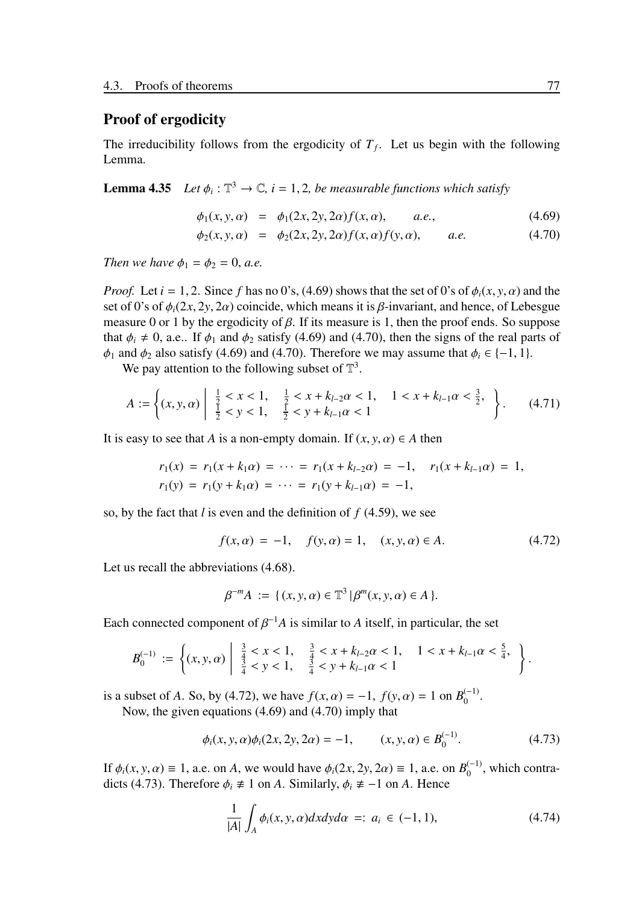# Proof of ergodicity

The irreducibility follows from the ergodicity of  $T_f$ . Let us begin with the following Lemma.

**Lemma 4.35** *Let*  $\phi_i : \mathbb{T}^3 \to \mathbb{C}$ ,  $i = 1, 2$ , be measurable functions which satisfy

$$
\phi_1(x, y, \alpha) = \phi_1(2x, 2y, 2\alpha) f(x, \alpha), \quad a.e., \tag{4.69}
$$

$$
\phi_2(x, y, \alpha) = \phi_2(2x, 2y, 2\alpha) f(x, \alpha) f(y, \alpha), \quad a.e. \tag{4.70}
$$

*Then we have*  $\phi_1 = \phi_2 = 0$ , *a.e.* 

*Proof.* Let  $i = 1, 2$ . Since f has no 0's, (4.69) shows that the set of 0's of  $\phi_i(x, y, \alpha)$  and the set of 0's of  $\phi_i(2x, 2y, 2\alpha)$  coincide, which means it is  $\beta$ -invariant, and hence, of Lebesgue measure 0 or 1 by the ergodicity of  $\beta$ . If its measure is 1, then the proof ends. So suppose that  $\phi_i \neq 0$ , a.e.. If  $\phi_1$  and  $\phi_2$  satisfy (4.69) and (4.70), then the signs of the real parts of  $\phi_1$  and  $\phi_2$  also satisfy (4.69) and (4.70). Therefore we may assume that  $\phi_i \in \{-1, 1\}$ .

We pay attention to the following subset of  $\mathbb{T}^3$ .

$$
A := \left\{ (x, y, \alpha) \middle| \begin{array}{l} \frac{1}{2} < x < 1, \\ \frac{1}{2} < y < 1, \end{array} \right. \xrightarrow[\frac{1}{2} < y + k_{l-1}\alpha < 1] \xrightarrow[1]{l} \left. \begin{array}{l} 1 < x + k_{l-1}\alpha < \frac{3}{2}, \\ 1 < x + k_{l-1}\alpha < \frac{3}{2}, \end{array} \right\}.
$$
\n(4.71)

It is easy to see that *A* is a non-empty domain. If  $(x, y, \alpha) \in A$  then

$$
r_1(x) = r_1(x + k_1\alpha) = \cdots = r_1(x + k_{l-2}\alpha) = -1, \quad r_1(x + k_{l-1}\alpha) = 1,
$$
  

$$
r_1(y) = r_1(y + k_1\alpha) = \cdots = r_1(y + k_{l-1}\alpha) = -1,
$$

so, by the fact that *l* is even and the definition of *f* (4.59), we see

$$
f(x, \alpha) = -1, \quad f(y, \alpha) = 1, \quad (x, y, \alpha) \in A. \tag{4.72}
$$

Let us recall the abbreviations (4.68).

$$
\beta^{-m}A := \{ (x, y, \alpha) \in \mathbb{T}^3 \, | \, \beta^m(x, y, \alpha) \in A \, \}.
$$

Each connected component of  $\beta^{-1}A$  is similar to A itself, in particular, the set

$$
B_0^{(-1)} := \left\{ (x, y, \alpha) \left| \begin{array}{cc} \frac{3}{4} < x < 1, & \frac{3}{4} < x + k_{l-2}\alpha < 1, & 1 < x + k_{l-1}\alpha < \frac{5}{4}, \\ \frac{3}{4} < y < 1, & \frac{3}{4} < y + k_{l-1}\alpha < 1 & \end{array} \right. \right\}.
$$

is a subset of *A*. So, by (4.72), we have  $f(x, \alpha) = -1$ ,  $f(y, \alpha) = 1$  on  $B_0^{(-1)}$  $_{0}^{(-1)}.$ Now, the given equations (4.69) and (4.70) imply that

$$
\phi_i(x, y, \alpha)\phi_i(2x, 2y, 2\alpha) = -1, \qquad (x, y, \alpha) \in B_0^{(-1)}.
$$
 (4.73)

If  $\phi_i(x, y, \alpha) \equiv 1$ , a.e. on *A*, we would have  $\phi_i(2x, 2y, 2\alpha) \equiv 1$ , a.e. on  $B_0^{(-1)}$  $_0^{(-1)}$ , which contradicts (4.73). Therefore  $\phi_i \neq 1$  on *A*. Similarly,  $\phi_i \neq -1$  on *A*. Hence

$$
\frac{1}{|A|} \int_{A} \phi_i(x, y, \alpha) dx dy d\alpha =: a_i \in (-1, 1), \tag{4.74}
$$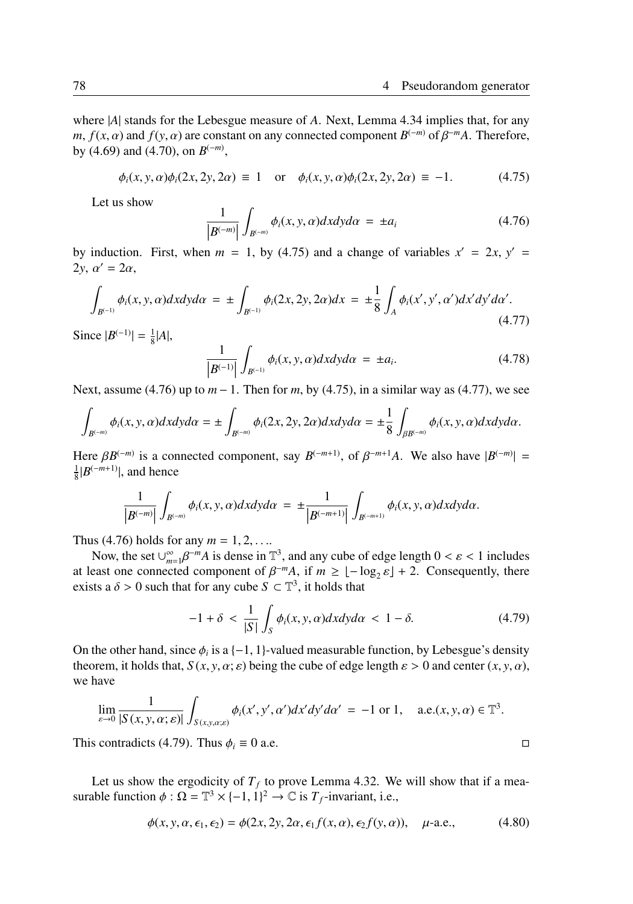where |*A*| stands for the Lebesgue measure of *A*. Next, Lemma 4.34 implies that, for any *m*,  $f(x, \alpha)$  and  $f(y, \alpha)$  are constant on any connected component  $B^{(-m)}$  of  $\beta^{-m}A$ . Therefore, by (4.69) and (4.70), on  $B^{(-m)}$ ,

$$
\phi_i(x, y, \alpha)\phi_i(2x, 2y, 2\alpha) \equiv 1
$$
 or  $\phi_i(x, y, \alpha)\phi_i(2x, 2y, 2\alpha) \equiv -1.$  (4.75)

Let us show

$$
\frac{1}{|B^{(-m)}|} \int_{B^{(-m)}} \phi_i(x, y, \alpha) dx dy d\alpha = \pm a_i
$$
 (4.76)

by induction. First, when *m* = 1, by (4.75) and a change of variables  $x' = 2x$ ,  $y' =$ 2*y*, α′ = 2α,

$$
\int_{B^{(-1)}} \phi_i(x, y, \alpha) dx dy d\alpha = \pm \int_{B^{(-1)}} \phi_i(2x, 2y, 2\alpha) dx = \pm \frac{1}{8} \int_A \phi_i(x', y', \alpha') dx' dy' d\alpha'.
$$
\n(4.77)

Since  $|B^{(-1)}| = \frac{1}{8}|A|$ ,

$$
\frac{1}{|B^{(-1)}|} \int_{B^{(-1)}} \phi_i(x, y, \alpha) dx dy d\alpha = \pm a_i.
$$
 (4.78)

 Next, assume (4.76) up to *m* − 1. Then for *m*, by (4.75), in a similar way as (4.77), we see

$$
\int_{B^{(-m)}} \phi_i(x,y,\alpha) dx dy d\alpha = \pm \int_{B^{(-m)}} \phi_i(2x,2y,2\alpha) dx dy d\alpha = \pm \frac{1}{8} \int_{\beta B^{(-m)}} \phi_i(x,y,\alpha) dx dy d\alpha.
$$

Here  $\beta B^{(-m)}$  is a connected component, say  $B^{(-m+1)}$ , of  $\beta^{-m+1}A$ . We also have  $|B^{(-m)}|$  =  $\frac{1}{8}$ | $B^{(-m+1)}$ |, and hence

$$
\frac{1}{|B^{(-m)}|}\int_{B^{(-m)}}\phi_i(x,y,\alpha)dxdyd\alpha = \pm \frac{1}{|B^{(-m+1)}|}\int_{B^{(-m+1)}}\phi_i(x,y,\alpha)dxdyd\alpha.
$$

Thus (4.76) holds for any  $m = 1, 2, ...$ 

Now, the set  $\bigcup_{m=1}^{\infty} \beta^{-m}A$  is dense in  $\mathbb{T}^3$ , and any cube of edge length  $0 < \varepsilon < 1$  includes at least one connected component of  $\beta^{-m}A$ , if  $m \geq \lfloor -\log_2 \varepsilon \rfloor + 2$ . Consequently, there exists a  $\delta > 0$  such that for any cube  $S \subset \mathbb{T}^3$ , it holds that

$$
-1 + \delta < \frac{1}{|S|} \int_{S} \phi_i(x, y, \alpha) dx dy d\alpha < 1 - \delta. \tag{4.79}
$$

On the other hand, since  $\phi_i$  is a  $\{-1, 1\}$ -valued measurable function, by Lebesgue's density theorem, it holds that,  $S(x, y, \alpha; \varepsilon)$  being the cube of edge length  $\varepsilon > 0$  and center  $(x, y, \alpha)$ , we have

$$
\lim_{\varepsilon \to 0} \frac{1}{|S(x, y, \alpha; \varepsilon)|} \int_{S(x, y, \alpha; \varepsilon)} \phi_i(x', y', \alpha') dx' dy' d\alpha' = -1 \text{ or } 1, \quad \text{a.e.}(x, y, \alpha) \in \mathbb{T}^3.
$$

This contradicts (4.79). Thus  $\phi_i \equiv 0$  a.e. □

Let us show the ergodicity of  $T_f$  to prove Lemma 4.32. We will show that if a measurable function  $\phi : \Omega = \mathbb{T}^3 \times \{-1, 1\}^2 \to \mathbb{C}$  is  $T_f$ -invariant, i.e.,

$$
\phi(x, y, \alpha, \epsilon_1, \epsilon_2) = \phi(2x, 2y, 2\alpha, \epsilon_1 f(x, \alpha), \epsilon_2 f(y, \alpha)), \quad \mu\text{-a.e.,}
$$
\n(4.80)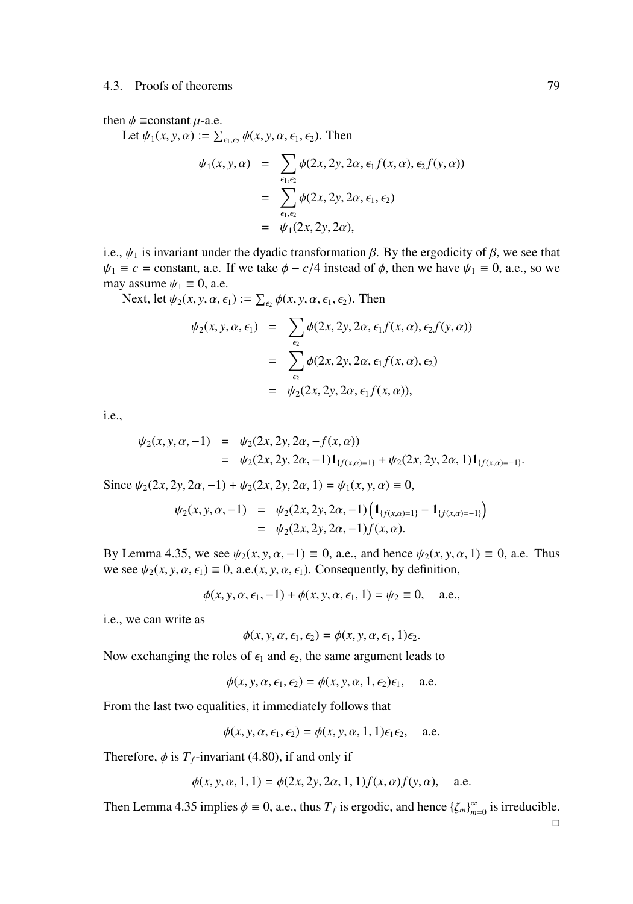then  $\phi$  ≡constant  $\mu$ -a.e.

Let  $\psi_1(x, y, \alpha) := \sum_{\epsilon_1, \epsilon_2} \phi(x, y, \alpha, \epsilon_1, \epsilon_2)$ . Then

$$
\psi_1(x, y, \alpha) = \sum_{\epsilon_1, \epsilon_2} \phi(2x, 2y, 2\alpha, \epsilon_1 f(x, \alpha), \epsilon_2 f(y, \alpha))
$$
  
= 
$$
\sum_{\epsilon_1, \epsilon_2} \phi(2x, 2y, 2\alpha, \epsilon_1, \epsilon_2)
$$
  
= 
$$
\psi_1(2x, 2y, 2\alpha),
$$

i.e.,  $\psi_1$  is invariant under the dyadic transformation  $\beta$ . By the ergodicity of  $\beta$ , we see that  $\psi_1 \equiv c = \text{constant}$ , a.e. If we take  $\phi - c/4$  instead of  $\phi$ , then we have  $\psi_1 \equiv 0$ , a.e., so we may assume  $\psi_1 \equiv 0$ , a.e.

Next, let  $\psi_2(x, y, \alpha, \epsilon_1) := \sum_{\epsilon_2} \phi(x, y, \alpha, \epsilon_1, \epsilon_2)$ . Then

$$
\psi_2(x, y, \alpha, \epsilon_1) = \sum_{\epsilon_2} \phi(2x, 2y, 2\alpha, \epsilon_1 f(x, \alpha), \epsilon_2 f(y, \alpha))
$$

$$
= \sum_{\epsilon_2} \phi(2x, 2y, 2\alpha, \epsilon_1 f(x, \alpha), \epsilon_2)
$$

$$
= \psi_2(2x, 2y, 2\alpha, \epsilon_1 f(x, \alpha)),
$$

i.e.,

$$
\psi_2(x, y, \alpha, -1) = \psi_2(2x, 2y, 2\alpha, -f(x, \alpha))
$$
  
= 
$$
\psi_2(2x, 2y, 2\alpha, -1) \mathbf{1}_{\{f(x, \alpha) = 1\}} + \psi_2(2x, 2y, 2\alpha, 1) \mathbf{1}_{\{f(x, \alpha) = -1\}}.
$$

Since  $\psi_2(2x, 2y, 2\alpha, -1) + \psi_2(2x, 2y, 2\alpha, 1) = \psi_1(x, y, \alpha) \equiv 0$ ,

$$
\psi_2(x, y, \alpha, -1) = \psi_2(2x, 2y, 2\alpha, -1) \left( \mathbf{1}_{\{f(x, \alpha) = 1\}} - \mathbf{1}_{\{f(x, \alpha) = -1\}} \right) \n= \psi_2(2x, 2y, 2\alpha, -1) f(x, \alpha).
$$

By Lemma 4.35, we see  $\psi_2(x, y, \alpha, -1) \equiv 0$ , a.e., and hence  $\psi_2(x, y, \alpha, 1) \equiv 0$ , a.e. Thus we see  $\psi_2(x, y, \alpha, \epsilon_1) \equiv 0$ , a.e. $(x, y, \alpha, \epsilon_1)$ . Consequently, by definition,

$$
\phi(x, y, \alpha, \epsilon_1, -1) + \phi(x, y, \alpha, \epsilon_1, 1) = \psi_2 \equiv 0
$$
, a.e.,

i.e., we can write as

$$
\phi(x, y, \alpha, \epsilon_1, \epsilon_2) = \phi(x, y, \alpha, \epsilon_1, 1)\epsilon_2.
$$

Now exchanging the roles of  $\epsilon_1$  and  $\epsilon_2$ , the same argument leads to

$$
\phi(x, y, \alpha, \epsilon_1, \epsilon_2) = \phi(x, y, \alpha, 1, \epsilon_2)\epsilon_1, \quad \text{a.e.}
$$

From the last two equalities, it immediately follows that

$$
\phi(x, y, \alpha, \epsilon_1, \epsilon_2) = \phi(x, y, \alpha, 1, 1)\epsilon_1 \epsilon_2, \quad \text{a.e.}
$$

Therefore,  $\phi$  is  $T_f$ -invariant (4.80), if and only if

$$
\phi(x, y, \alpha, 1, 1) = \phi(2x, 2y, 2\alpha, 1, 1) f(x, \alpha) f(y, \alpha), \quad \text{a.e.}
$$

Then Lemma 4.35 implies  $\phi \equiv 0$ , a.e., thus  $T_f$  is ergodic, and hence  $\{\zeta_m\}_{m=0}^{\infty}$  is irreducible.

□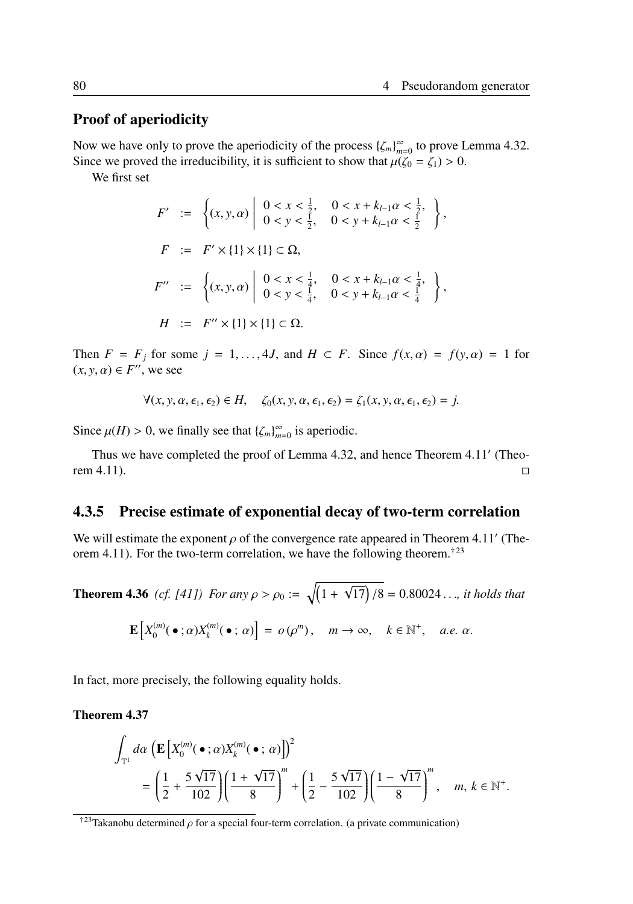# Proof of aperiodicity

Now we have only to prove the aperiodicity of the process  $\{\zeta_m\}_{m=0}^{\infty}$  to prove Lemma 4.32. Since we proved the irreducibility, it is sufficient to show that  $\mu(\zeta_0 = \zeta_1) > 0$ .

We first set

$$
F' := \left\{ (x, y, \alpha) \middle| \begin{array}{ll} 0 < x < \frac{1}{2}, & 0 < x + k_{l-1}\alpha < \frac{1}{2}, \\ 0 < y < \frac{1}{2}, & 0 < y + k_{l-1}\alpha < \frac{1}{2} \end{array} \right\},
$$
\n
$$
F := F' \times \{1\} \times \{1\} \subset \Omega,
$$
\n
$$
F'' := \left\{ (x, y, \alpha) \middle| \begin{array}{ll} 0 < x < \frac{1}{4}, & 0 < x + k_{l-1}\alpha < \frac{1}{4}, \\ 0 < y < \frac{1}{4}, & 0 < y + k_{l-1}\alpha < \frac{1}{4} \end{array} \right\},
$$
\n
$$
H := F'' \times \{1\} \times \{1\} \subset \Omega.
$$

Then  $F = F_j$  for some  $j = 1, ..., 4J$ , and  $H \subset F$ . Since  $f(x, \alpha) = f(y, \alpha) = 1$  for  $(x, y, \alpha) \in F''$ , we see

$$
\forall (x, y, \alpha, \epsilon_1, \epsilon_2) \in H, \quad \zeta_0(x, y, \alpha, \epsilon_1, \epsilon_2) = \zeta_1(x, y, \alpha, \epsilon_1, \epsilon_2) = j.
$$

Since  $\mu(H) > 0$ , we finally see that  $\{\zeta_m\}_{m=0}^{\infty}$  is aperiodic.

Thus we have completed the proof of Lemma 4.32, and hence Theorem 4.11′ (Theorem 4.11).  $\square$ 

### 4.3.5 Precise estimate of exponential decay of two-term correlation

We will estimate the exponent  $\rho$  of the convergence rate appeared in Theorem 4.11' (Theorem 4.11). For the two-term correlation, we have the following theorem.<sup>†23</sup>

**Theorem 4.36** (*cf.* [41]) For any  $\rho > \rho_0 := \sqrt{(1 +$  $\sqrt{17}$  /8 = 0.80024 . . ., *it holds that*  $\mathbf{E}\left[X_0^{(m)}\right]$  $\chi_0^{(m)}(\bullet\ ;\alpha)X_k^{(m)}$  $\begin{bmatrix} (m) \\ k \end{bmatrix} (\bullet; \alpha)$  =  $o(\rho^m)$ ,  $m \to \infty$ ,  $k \in \mathbb{N}^+$ , *a.e.*  $\alpha$ .

In fact, more precisely, the following equality holds.

Theorem 4.37

$$
\int_{\mathbb{T}^1} d\alpha \left( \mathbf{E} \left[ X_0^{(m)}(\bullet;\alpha) X_k^{(m)}(\bullet;\alpha) \right] \right)^2
$$
\n
$$
= \left( \frac{1}{2} + \frac{5\sqrt{17}}{102} \right) \left( \frac{1+\sqrt{17}}{8} \right)^m + \left( \frac{1}{2} - \frac{5\sqrt{17}}{102} \right) \left( \frac{1-\sqrt{17}}{8} \right)^m, \quad m, k \in \mathbb{N}^+.
$$

 $\dagger$ <sup>23</sup>Takanobu determined  $\rho$  for a special four-term correlation. (a private communication)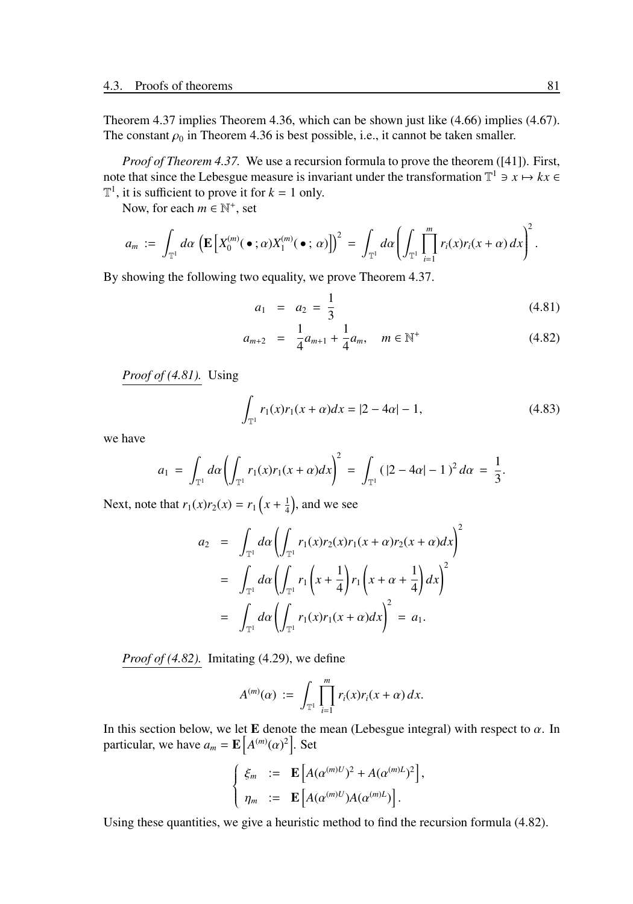Theorem 4.37 implies Theorem 4.36, which can be shown just like (4.66) implies (4.67). The constant  $\rho_0$  in Theorem 4.36 is best possible, i.e., it cannot be taken smaller.

*Proof of Theorem 4.37.* We use a recursion formula to prove the theorem ([41]). First, note that since the Lebesgue measure is invariant under the transformation  $\mathbb{T}^1 \ni x \mapsto kx \in$  $\mathbb{T}^1$ , it is sufficient to prove it for  $k = 1$  only.

Now, for each  $m \in \mathbb{N}^+$ , set

$$
a_m := \int_{\mathbb{T}^1} d\alpha \left( \mathbf{E} \left[ X_0^{(m)}(\bullet;\alpha) X_1^{(m)}(\bullet;\alpha) \right] \right)^2 = \int_{\mathbb{T}^1} d\alpha \left( \int_{\mathbb{T}^1} \prod_{i=1}^m r_i(x) r_i(x+\alpha) dx \right)^2.
$$

By showing the following two equality, we prove Theorem 4.37.

$$
a_1 = a_2 = \frac{1}{3} \tag{4.81}
$$

$$
a_{m+2} = \frac{1}{4}a_{m+1} + \frac{1}{4}a_m, \quad m \in \mathbb{N}^+ \tag{4.82}
$$

*Proof of (4.81).* Using

$$
\int_{\mathbb{T}^1} r_1(x)r_1(x+\alpha)dx = |2-4\alpha|-1,
$$
\n(4.83)

we have

$$
a_1 = \int_{\mathbb{T}^1} d\alpha \left( \int_{\mathbb{T}^1} r_1(x) r_1(x+\alpha) dx \right)^2 = \int_{\mathbb{T}^1} (|2-4\alpha|-1)^2 d\alpha = \frac{1}{3}.
$$

Next, note that  $r_1(x)r_2(x) = r_1\left(x + \frac{1}{4}\right)$ , and we see

$$
a_2 = \int_{\mathbb{T}^1} d\alpha \left( \int_{\mathbb{T}^1} r_1(x) r_2(x) r_1(x + \alpha) r_2(x + \alpha) dx \right)^2
$$
  
= 
$$
\int_{\mathbb{T}^1} d\alpha \left( \int_{\mathbb{T}^1} r_1\left(x + \frac{1}{4}\right) r_1\left(x + \alpha + \frac{1}{4}\right) dx \right)^2
$$
  
= 
$$
\int_{\mathbb{T}^1} d\alpha \left( \int_{\mathbb{T}^1} r_1(x) r_1(x + \alpha) dx \right)^2 = a_1.
$$

*Proof of (4.82).* Imitating (4.29), we define

$$
A^{(m)}(\alpha) \; := \; \int_{\mathbb{T}^1} \prod_{i=1}^m r_i(x) r_i(x+\alpha) \, dx.
$$

In this section below, we let E denote the mean (Lebesgue integral) with respect to  $\alpha$ . In particular, we have  $a_m = \mathbf{E} |A^{(m)}(\alpha)^2|$ . Set

$$
\begin{cases}\n\xi_m &:= \mathbf{E}\left[A(\alpha^{(m)U})^2 + A(\alpha^{(m)L})^2\right], \\
\eta_m &:= \mathbf{E}\left[A(\alpha^{(m)U})A(\alpha^{(m)L})\right].\n\end{cases}
$$

Using these quantities, we give a heuristic method to find the recursion formula (4.82).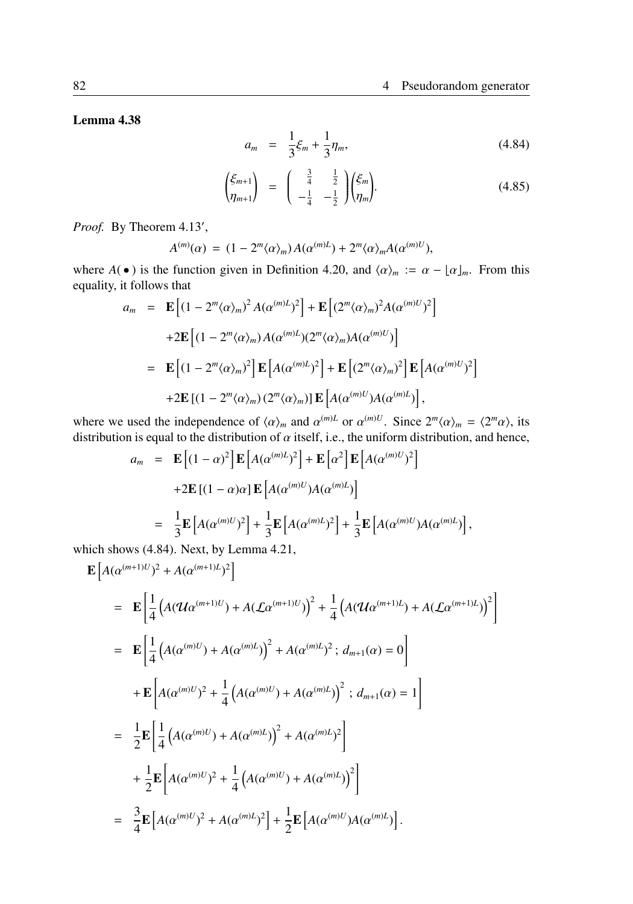Lemma 4.38

$$
a_m = \frac{1}{3}\xi_m + \frac{1}{3}\eta_m, \tag{4.84}
$$

$$
\begin{pmatrix} \xi_{m+1} \\ \eta_{m+1} \end{pmatrix} = \begin{pmatrix} \frac{3}{4} & \frac{1}{2} \\ -\frac{1}{4} & -\frac{1}{2} \end{pmatrix} \begin{pmatrix} \xi_m \\ \eta_m \end{pmatrix} . \tag{4.85}
$$

Proof. By Theorem 4.13',

$$
A^{(m)}(\alpha) = (1 - 2^m \langle \alpha \rangle_m) A(\alpha^{(m)L}) + 2^m \langle \alpha \rangle_m A(\alpha^{(m)U}),
$$

where  $A(\bullet)$  is the function given in Definition 4.20, and  $\langle \alpha \rangle_m := \alpha - \lfloor \alpha \rfloor_m$ . From this equality, it follows that

$$
a_m = \mathbf{E} \left[ (1 - 2^m \langle \alpha \rangle_m)^2 A(\alpha^{(m)L})^2 \right] + \mathbf{E} \left[ (2^m \langle \alpha \rangle_m)^2 A(\alpha^{(m)L})^2 \right]
$$
  
+2
$$
\mathbf{E} \left[ (1 - 2^m \langle \alpha \rangle_m) A(\alpha^{(m)L}) (2^m \langle \alpha \rangle_m) A(\alpha^{(m)L}) \right]
$$
  
= 
$$
\mathbf{E} \left[ (1 - 2^m \langle \alpha \rangle_m)^2 \right] \mathbf{E} \left[ A(\alpha^{(m)L})^2 \right] + \mathbf{E} \left[ (2^m \langle \alpha \rangle_m)^2 \right] \mathbf{E} \left[ A(\alpha^{(m)L})^2 \right]
$$
  
+2
$$
\mathbf{E} \left[ (1 - 2^m \langle \alpha \rangle_m) (2^m \langle \alpha \rangle_m) \right] \mathbf{E} \left[ A(\alpha^{(m)L}) A(\alpha^{(m)L}) \right],
$$

where we used the independence of  $\langle \alpha \rangle_m$  and  $\alpha^{(m)L}$  or  $\alpha^{(m)U}$ . Since  $2^m \langle \alpha \rangle_m = \langle 2^m \alpha \rangle$ , its distribution is equal to the distribution of  $\alpha$  itself, i.e., the uniform distribution, and hence,

$$
a_m = \mathbf{E} \left[ (1 - \alpha)^2 \right] \mathbf{E} \left[ A (\alpha^{(m)L})^2 \right] + \mathbf{E} \left[ \alpha^2 \right] \mathbf{E} \left[ A (\alpha^{(m)U})^2 \right]
$$
  
+2
$$
\mathbf{E} \left[ (1 - \alpha) \alpha \right] \mathbf{E} \left[ A (\alpha^{(m)U}) A (\alpha^{(m)L}) \right]
$$
  
= 
$$
\frac{1}{3} \mathbf{E} \left[ A (\alpha^{(m)U})^2 \right] + \frac{1}{3} \mathbf{E} \left[ A (\alpha^{(m)L})^2 \right] + \frac{1}{3} \mathbf{E} \left[ A (\alpha^{(m)U}) A (\alpha^{(m)L}) \right],
$$

which shows (4.84). Next, by Lemma 4.21,

$$
\mathbf{E}\left[A(\alpha^{(m+1)U})^{2} + A(\alpha^{(m+1)L})^{2}\right]
$$
\n
$$
= \mathbf{E}\left[\frac{1}{4}\left(A(\mathcal{U}\alpha^{(m+1)U}) + A(\mathcal{L}\alpha^{(m+1)U})\right)^{2} + \frac{1}{4}\left(A(\mathcal{U}\alpha^{(m+1)L}) + A(\mathcal{L}\alpha^{(m+1)L})\right)^{2}\right]
$$
\n
$$
= \mathbf{E}\left[\frac{1}{4}\left(A(\alpha^{(m)U}) + A(\alpha^{(m)L})\right)^{2} + A(\alpha^{(m)L})^{2} ; d_{m+1}(\alpha) = 0\right]
$$
\n
$$
+ \mathbf{E}\left[A(\alpha^{(m)U})^{2} + \frac{1}{4}\left(A(\alpha^{(m)U}) + A(\alpha^{(m)L})\right)^{2} ; d_{m+1}(\alpha) = 1\right]
$$
\n
$$
= \frac{1}{2}\mathbf{E}\left[\frac{1}{4}\left(A(\alpha^{(m)U}) + A(\alpha^{(m)L})\right)^{2} + A(\alpha^{(m)L})^{2}\right]
$$
\n
$$
+ \frac{1}{2}\mathbf{E}\left[A(\alpha^{(m)U})^{2} + \frac{1}{4}\left(A(\alpha^{(m)U}) + A(\alpha^{(m)L})\right)^{2}\right]
$$
\n
$$
= \frac{3}{4}\mathbf{E}\left[A(\alpha^{(m)U})^{2} + A(\alpha^{(m)L})^{2}\right] + \frac{1}{2}\mathbf{E}\left[A(\alpha^{(m)U})A(\alpha^{(m)L})\right].
$$